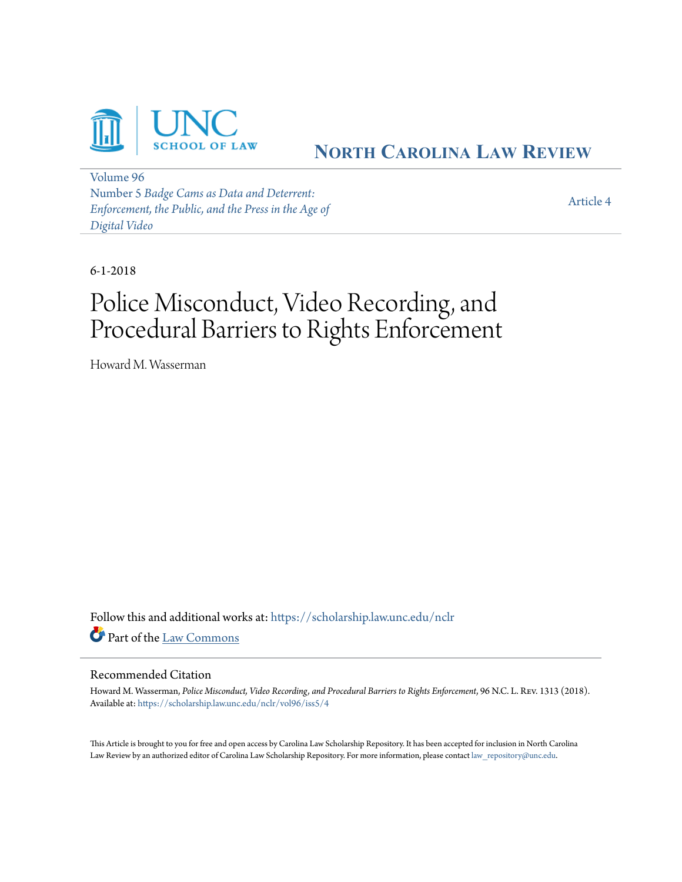

## **NORTH C[AROLINA](https://scholarship.law.unc.edu/nclr?utm_source=scholarship.law.unc.edu%2Fnclr%2Fvol96%2Fiss5%2F4&utm_medium=PDF&utm_campaign=PDFCoverPages) LAW REVIEW**

[Volume 96](https://scholarship.law.unc.edu/nclr/vol96?utm_source=scholarship.law.unc.edu%2Fnclr%2Fvol96%2Fiss5%2F4&utm_medium=PDF&utm_campaign=PDFCoverPages) Number 5 *[Badge Cams as Data and Deterrent:](https://scholarship.law.unc.edu/nclr/vol96/iss5?utm_source=scholarship.law.unc.edu%2Fnclr%2Fvol96%2Fiss5%2F4&utm_medium=PDF&utm_campaign=PDFCoverPages) [Enforcement, the Public, and the Press in the Age of](https://scholarship.law.unc.edu/nclr/vol96/iss5?utm_source=scholarship.law.unc.edu%2Fnclr%2Fvol96%2Fiss5%2F4&utm_medium=PDF&utm_campaign=PDFCoverPages) [Digital Video](https://scholarship.law.unc.edu/nclr/vol96/iss5?utm_source=scholarship.law.unc.edu%2Fnclr%2Fvol96%2Fiss5%2F4&utm_medium=PDF&utm_campaign=PDFCoverPages)*

[Article 4](https://scholarship.law.unc.edu/nclr/vol96/iss5/4?utm_source=scholarship.law.unc.edu%2Fnclr%2Fvol96%2Fiss5%2F4&utm_medium=PDF&utm_campaign=PDFCoverPages)

6-1-2018

# Police Misconduct, Video Recording, and Procedural Barriers to Rights Enforcement

Howard M. Wasserman

Follow this and additional works at: [https://scholarship.law.unc.edu/nclr](https://scholarship.law.unc.edu/nclr?utm_source=scholarship.law.unc.edu%2Fnclr%2Fvol96%2Fiss5%2F4&utm_medium=PDF&utm_campaign=PDFCoverPages) Part of the [Law Commons](http://network.bepress.com/hgg/discipline/578?utm_source=scholarship.law.unc.edu%2Fnclr%2Fvol96%2Fiss5%2F4&utm_medium=PDF&utm_campaign=PDFCoverPages)

#### Recommended Citation

Howard M. Wasserman, *Police Misconduct, Video Recording, and Procedural Barriers to Rights Enforcement*, 96 N.C. L. Rev. 1313 (2018). Available at: [https://scholarship.law.unc.edu/nclr/vol96/iss5/4](https://scholarship.law.unc.edu/nclr/vol96/iss5/4?utm_source=scholarship.law.unc.edu%2Fnclr%2Fvol96%2Fiss5%2F4&utm_medium=PDF&utm_campaign=PDFCoverPages)

This Article is brought to you for free and open access by Carolina Law Scholarship Repository. It has been accepted for inclusion in North Carolina Law Review by an authorized editor of Carolina Law Scholarship Repository. For more information, please contact [law\\_repository@unc.edu](mailto:law_repository@unc.edu).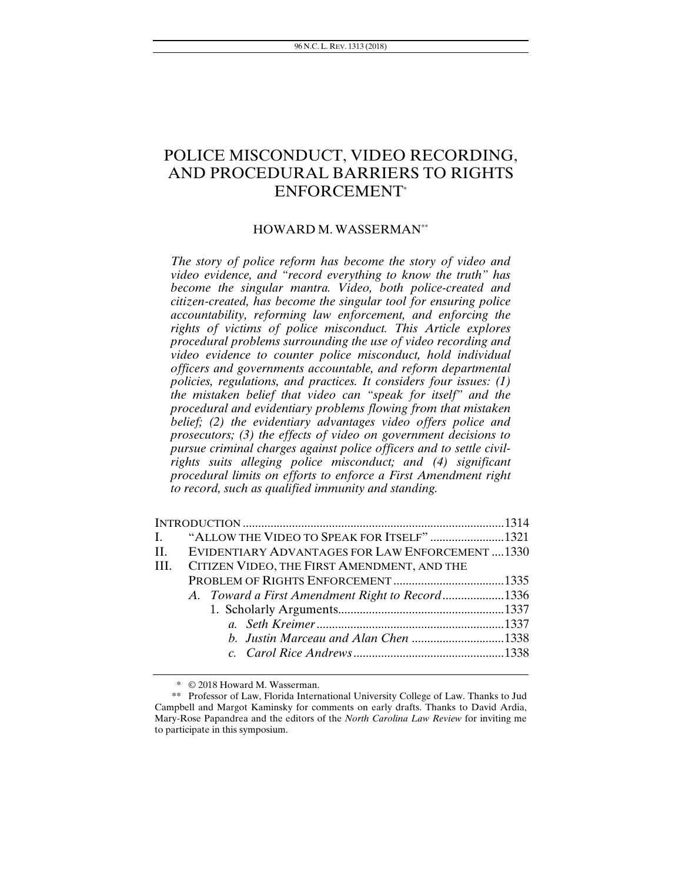### POLICE MISCONDUCT, VIDEO RECORDING, AND PROCEDURAL BARRIERS TO RIGHTS ENFORCEMENT\*

#### HOWARD M. WASSERMAN\*\*

*The story of police reform has become the story of video and video evidence, and "record everything to know the truth" has become the singular mantra. Video, both police-created and citizen-created, has become the singular tool for ensuring police accountability, reforming law enforcement, and enforcing the rights of victims of police misconduct. This Article explores procedural problems surrounding the use of video recording and video evidence to counter police misconduct, hold individual officers and governments accountable, and reform departmental policies, regulations, and practices. It considers four issues: (1) the mistaken belief that video can "speak for itself" and the procedural and evidentiary problems flowing from that mistaken belief; (2) the evidentiary advantages video offers police and prosecutors; (3) the effects of video on government decisions to pursue criminal charges against police officers and to settle civilrights suits alleging police misconduct; and (4) significant procedural limits on efforts to enforce a First Amendment right to record, such as qualified immunity and standing.* 

| II. I | EVIDENTIARY ADVANTAGES FOR LAW ENFORCEMENT1330  |  |
|-------|-------------------------------------------------|--|
| III.  | CITIZEN VIDEO, THE FIRST AMENDMENT, AND THE     |  |
|       |                                                 |  |
|       | A. Toward a First Amendment Right to Record1336 |  |
|       |                                                 |  |
|       |                                                 |  |
|       |                                                 |  |
|       |                                                 |  |
|       |                                                 |  |

<sup>\* © 2018</sup> Howard M. Wasserman.

<sup>\*\*</sup> Professor of Law, Florida International University College of Law. Thanks to Jud Campbell and Margot Kaminsky for comments on early drafts. Thanks to David Ardia, Mary-Rose Papandrea and the editors of the *North Carolina Law Review* for inviting me to participate in this symposium.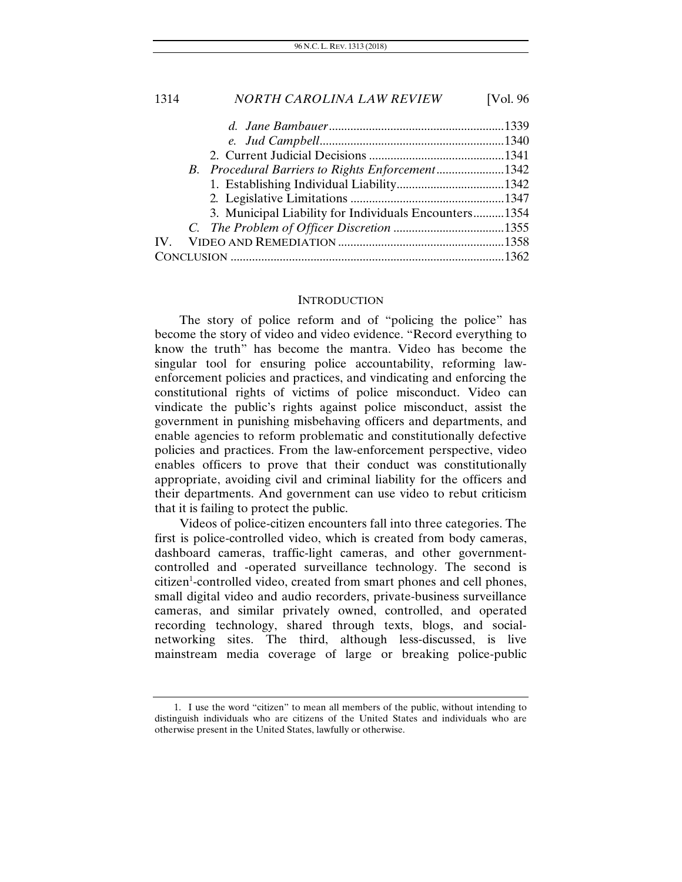## 1314 *NORTH CAROLINA LAW REVIEW* [Vol. 96 *d. Jane Bambauer* ......................................................... 1339 *e. Jud Campbell* ............................................................ 1340 2. Current Judicial Decisions ............................................ 1341 *B. Procedural Barriers to Rights Enforcement* ...................... 1342 1. Establishing Individual Liability ................................... 1342 2*.* Legislative Limitations .................................................. 1347

|  | 3. Municipal Liability for Individuals Encounters1354 |  |
|--|-------------------------------------------------------|--|
|  |                                                       |  |
|  |                                                       |  |
|  |                                                       |  |

#### **INTRODUCTION**

The story of police reform and of "policing the police" has become the story of video and video evidence. "Record everything to know the truth" has become the mantra. Video has become the singular tool for ensuring police accountability, reforming lawenforcement policies and practices, and vindicating and enforcing the constitutional rights of victims of police misconduct. Video can vindicate the public's rights against police misconduct, assist the government in punishing misbehaving officers and departments, and enable agencies to reform problematic and constitutionally defective policies and practices. From the law-enforcement perspective, video enables officers to prove that their conduct was constitutionally appropriate, avoiding civil and criminal liability for the officers and their departments. And government can use video to rebut criticism that it is failing to protect the public.

Videos of police-citizen encounters fall into three categories. The first is police-controlled video, which is created from body cameras, dashboard cameras, traffic-light cameras, and other governmentcontrolled and -operated surveillance technology. The second is citizen1 -controlled video, created from smart phones and cell phones, small digital video and audio recorders, private-business surveillance cameras, and similar privately owned, controlled, and operated recording technology, shared through texts, blogs, and socialnetworking sites. The third, although less-discussed, is live mainstream media coverage of large or breaking police-public

 <sup>1.</sup> I use the word "citizen" to mean all members of the public, without intending to distinguish individuals who are citizens of the United States and individuals who are otherwise present in the United States, lawfully or otherwise.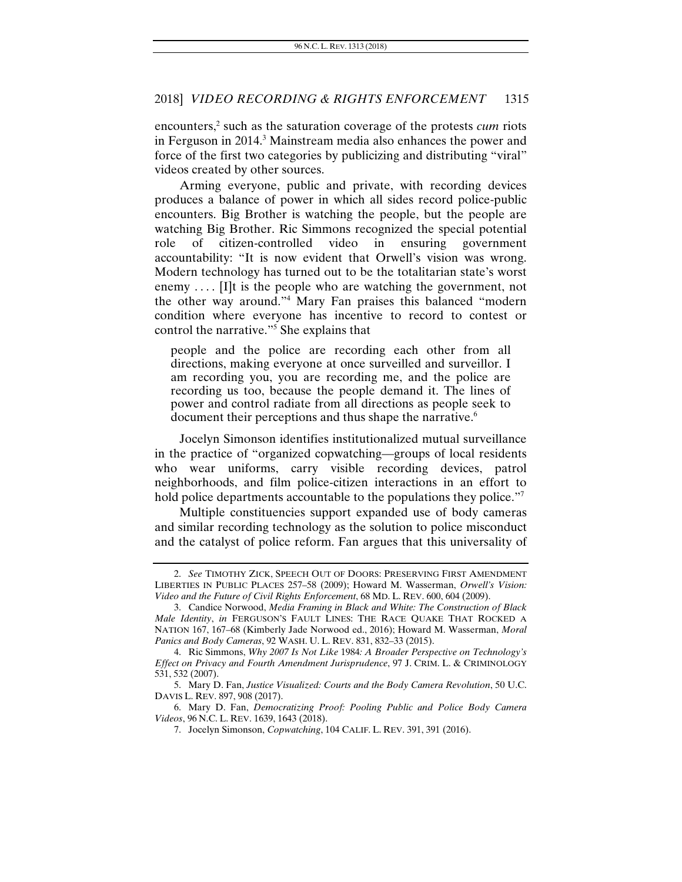encounters,<sup>2</sup> such as the saturation coverage of the protests *cum* riots in Ferguson in 2014.<sup>3</sup> Mainstream media also enhances the power and force of the first two categories by publicizing and distributing "viral" videos created by other sources.

Arming everyone, public and private, with recording devices produces a balance of power in which all sides record police-public encounters. Big Brother is watching the people, but the people are watching Big Brother. Ric Simmons recognized the special potential role of citizen-controlled video in ensuring government accountability: "It is now evident that Orwell's vision was wrong. Modern technology has turned out to be the totalitarian state's worst enemy  $\dots$  [I]t is the people who are watching the government, not the other way around."4 Mary Fan praises this balanced "modern condition where everyone has incentive to record to contest or control the narrative."5 She explains that

people and the police are recording each other from all directions, making everyone at once surveilled and surveillor. I am recording you, you are recording me, and the police are recording us too, because the people demand it. The lines of power and control radiate from all directions as people seek to document their perceptions and thus shape the narrative.<sup>6</sup>

Jocelyn Simonson identifies institutionalized mutual surveillance in the practice of "organized copwatching—groups of local residents who wear uniforms, carry visible recording devices, patrol neighborhoods, and film police-citizen interactions in an effort to hold police departments accountable to the populations they police."<sup>7</sup>

Multiple constituencies support expanded use of body cameras and similar recording technology as the solution to police misconduct and the catalyst of police reform. Fan argues that this universality of

<sup>2.</sup> *See* TIMOTHY ZICK, SPEECH OUT OF DOORS: PRESERVING FIRST AMENDMENT LIBERTIES IN PUBLIC PLACES 257–58 (2009); Howard M. Wasserman, *Orwell's Vision: Video and the Future of Civil Rights Enforcement*, 68 MD. L. REV. 600, 604 (2009).

 <sup>3.</sup> Candice Norwood, *Media Framing in Black and White: The Construction of Black Male Identity*, *in* FERGUSON'S FAULT LINES: THE RACE QUAKE THAT ROCKED A NATION 167, 167–68 (Kimberly Jade Norwood ed., 2016); Howard M. Wasserman, *Moral Panics and Body Cameras*, 92 WASH. U. L. REV. 831, 832–33 (2015).

 <sup>4.</sup> Ric Simmons, *Why 2007 Is Not Like* 1984*: A Broader Perspective on Technology's Effect on Privacy and Fourth Amendment Jurisprudence*, 97 J. CRIM. L. & CRIMINOLOGY 531, 532 (2007).

 <sup>5.</sup> Mary D. Fan, *Justice Visualized: Courts and the Body Camera Revolution*, 50 U.C. DAVIS L. REV. 897, 908 (2017).

 <sup>6.</sup> Mary D. Fan, *Democratizing Proof: Pooling Public and Police Body Camera Videos*, 96 N.C. L. REV. 1639, 1643 (2018).

 <sup>7.</sup> Jocelyn Simonson, *Copwatching*, 104 CALIF. L. REV. 391, 391 (2016).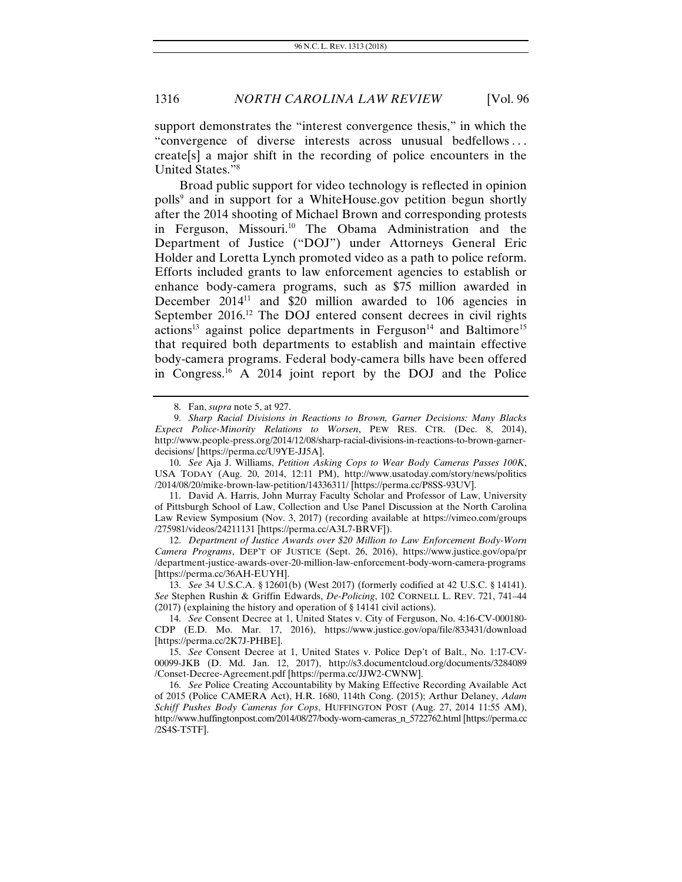support demonstrates the "interest convergence thesis," in which the "convergence of diverse interests across unusual bedfellows . . . create[s] a major shift in the recording of police encounters in the United States."8

Broad public support for video technology is reflected in opinion polls<sup>9</sup> and in support for a WhiteHouse.gov petition begun shortly after the 2014 shooting of Michael Brown and corresponding protests in Ferguson, Missouri.<sup>10</sup> The Obama Administration and the Department of Justice ("DOJ") under Attorneys General Eric Holder and Loretta Lynch promoted video as a path to police reform. Efforts included grants to law enforcement agencies to establish or enhance body-camera programs, such as \$75 million awarded in December  $2014<sup>11</sup>$  and \$20 million awarded to 106 agencies in September 2016.<sup>12</sup> The DOJ entered consent decrees in civil rights  $actions<sup>13</sup>$  against police departments in Ferguson<sup>14</sup> and Baltimore<sup>15</sup> that required both departments to establish and maintain effective body-camera programs. Federal body-camera bills have been offered in Congress.16 A 2014 joint report by the DOJ and the Police

10. *See* Aja J. Williams, *Petition Asking Cops to Wear Body Cameras Passes 100K*, USA TODAY (Aug. 20, 2014, 12:11 PM), http://www.usatoday.com/story/news/politics /2014/08/20/mike-brown-law-petition/14336311/ [https://perma.cc/P8SS-93UV].

11. David A. Harris, John Murray Faculty Scholar and Professor of Law, University of Pittsburgh School of Law, Collection and Use Panel Discussion at the North Carolina Law Review Symposium (Nov. 3, 2017) (recording available at https://vimeo.com/groups /275981/videos/24211131 [https://perma.cc/A3L7-BRVF]).

12. *Department of Justice Awards over \$20 Million to Law Enforcement Body-Worn Camera Programs*, DEP'T OF JUSTICE (Sept. 26, 2016), https://www.justice.gov/opa/pr /department-justice-awards-over-20-million-law-enforcement-body-worn-camera-programs [https://perma.cc/36AH-EUYH].

13. *See* 34 U.S.C.A. § 12601(b) (West 2017) (formerly codified at 42 U.S.C. § 14141). *See* Stephen Rushin & Griffin Edwards, *De-Policing*, 102 CORNELL L. REV. 721, 741–44 (2017) (explaining the history and operation of § 14141 civil actions).

14. *See* Consent Decree at 1, United States v. City of Ferguson, No. 4:16-CV-000180- CDP (E.D. Mo. Mar. 17, 2016), https://www.justice.gov/opa/file/833431/download [https://perma.cc/2K7J-PHBE].

15. *See* Consent Decree at 1, United States v. Police Dep't of Balt., No. 1:17-CV-00099-JKB (D. Md. Jan. 12, 2017), http://s3.documentcloud.org/documents/3284089 /Conset-Decree-Agreement.pdf [https://perma.cc/JJW2-CWNW].

16. *See* Police Creating Accountability by Making Effective Recording Available Act of 2015 (Police CAMERA Act), H.R. 1680, 114th Cong. (2015); Arthur Delaney, *Adam Schiff Pushes Body Cameras for Cops*, HUFFINGTON POST (Aug. 27, 2014 11:55 AM), http://www.huffingtonpost.com/2014/08/27/body-worn-cameras\_n\_5722762.html [https://perma.cc /2S4S-T5TF].

 <sup>8.</sup> Fan, *supra* note 5, at 927.

<sup>9.</sup> *Sharp Racial Divisions in Reactions to Brown, Garner Decisions: Many Blacks Expect Police-Minority Relations to Worsen*, PEW RES. CTR. (Dec. 8, 2014), http://www.people-press.org/2014/12/08/sharp-racial-divisions-in-reactions-to-brown-garnerdecisions/ [https://perma.cc/U9YE-JJ5A].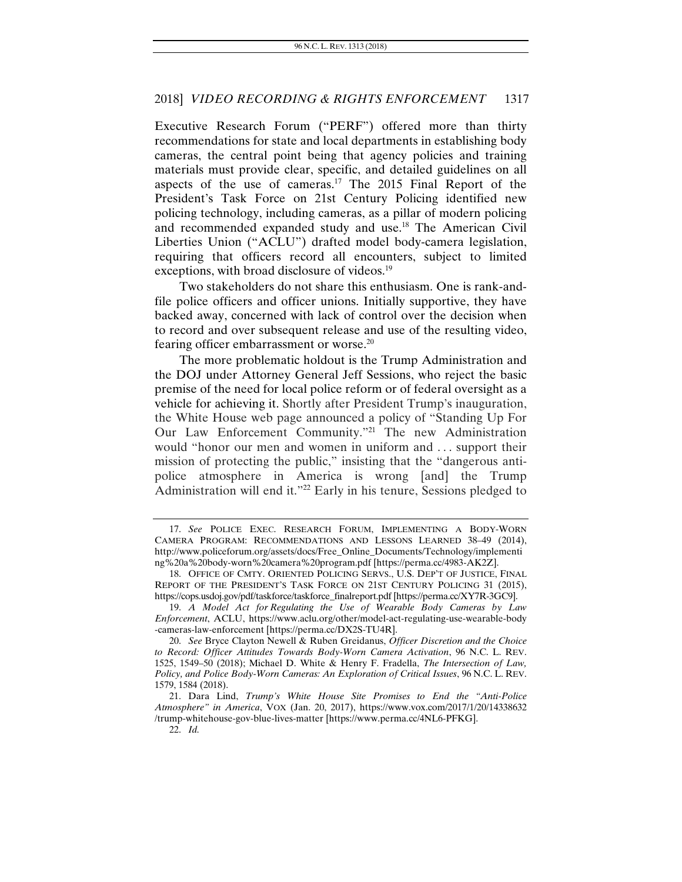Executive Research Forum ("PERF") offered more than thirty recommendations for state and local departments in establishing body cameras, the central point being that agency policies and training materials must provide clear, specific, and detailed guidelines on all aspects of the use of cameras.<sup>17</sup> The 2015 Final Report of the President's Task Force on 21st Century Policing identified new policing technology, including cameras, as a pillar of modern policing and recommended expanded study and use.18 The American Civil Liberties Union ("ACLU") drafted model body-camera legislation, requiring that officers record all encounters, subject to limited exceptions, with broad disclosure of videos.<sup>19</sup>

Two stakeholders do not share this enthusiasm. One is rank-andfile police officers and officer unions. Initially supportive, they have backed away, concerned with lack of control over the decision when to record and over subsequent release and use of the resulting video, fearing officer embarrassment or worse.<sup>20</sup>

The more problematic holdout is the Trump Administration and the DOJ under Attorney General Jeff Sessions, who reject the basic premise of the need for local police reform or of federal oversight as a vehicle for achieving it. Shortly after President Trump's inauguration, the White House web page announced a policy of "Standing Up For Our Law Enforcement Community."21 The new Administration would "honor our men and women in uniform and . . . support their mission of protecting the public," insisting that the "dangerous antipolice atmosphere in America is wrong [and] the Trump Administration will end it."22 Early in his tenure, Sessions pledged to

<sup>17.</sup> *See* POLICE EXEC. RESEARCH FORUM, IMPLEMENTING A BODY-WORN CAMERA PROGRAM: RECOMMENDATIONS AND LESSONS LEARNED 38–49 (2014), http://www.policeforum.org/assets/docs/Free\_Online\_Documents/Technology/implementi ng%20a%20body-worn%20camera%20program.pdf [https://perma.cc/4983-AK2Z].

 <sup>18.</sup> OFFICE OF CMTY. ORIENTED POLICING SERVS., U.S. DEP'T OF JUSTICE, FINAL REPORT OF THE PRESIDENT'S TASK FORCE ON 21ST CENTURY POLICING 31 (2015), https://cops.usdoj.gov/pdf/taskforce/taskforce\_finalreport.pdf [https://perma.cc/XY7R-3GC9].

<sup>19.</sup> *A Model Act for Regulating the Use of Wearable Body Cameras by Law Enforcement*, ACLU, https://www.aclu.org/other/model-act-regulating-use-wearable-body -cameras-law-enforcement [https://perma.cc/DX2S-TU4R].

<sup>20.</sup> *See* Bryce Clayton Newell & Ruben Greidanus, *Officer Discretion and the Choice to Record: Officer Attitudes Towards Body-Worn Camera Activation*, 96 N.C. L. REV. 1525, 1549–50 (2018); Michael D. White & Henry F. Fradella, *The Intersection of Law, Policy, and Police Body-Worn Cameras: An Exploration of Critical Issues*, 96 N.C. L. REV. 1579, 1584 (2018).

 <sup>21.</sup> Dara Lind, *Trump's White House Site Promises to End the "Anti-Police Atmosphere" in America*, VOX (Jan. 20, 2017), https://www.vox.com/2017/1/20/14338632 /trump-whitehouse-gov-blue-lives-matter [https://www.perma.cc/4NL6-PFKG].

<sup>22.</sup> *Id.*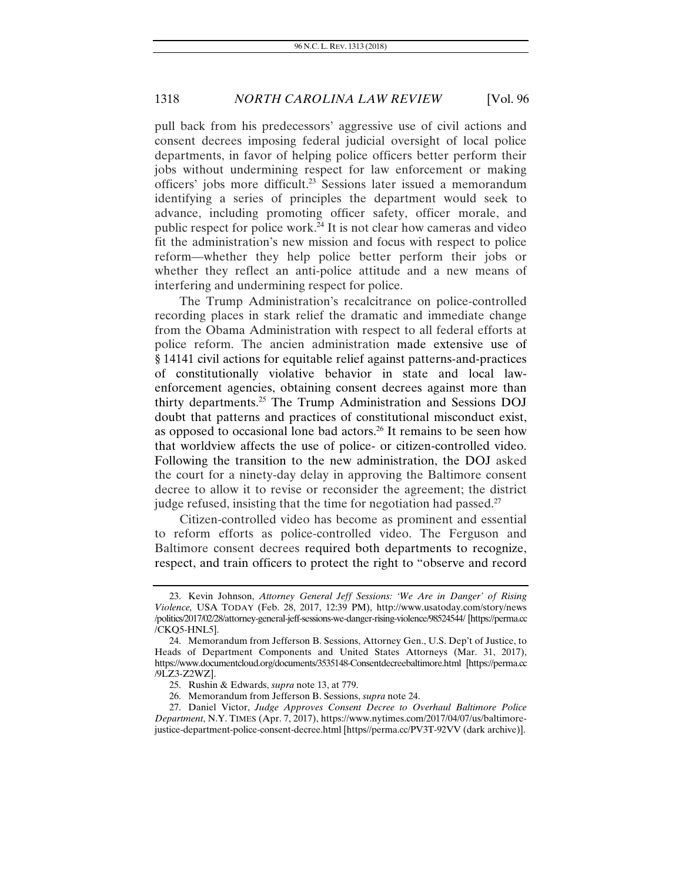pull back from his predecessors' aggressive use of civil actions and consent decrees imposing federal judicial oversight of local police departments, in favor of helping police officers better perform their jobs without undermining respect for law enforcement or making officers' jobs more difficult.23 Sessions later issued a memorandum identifying a series of principles the department would seek to advance, including promoting officer safety, officer morale, and public respect for police work.24 It is not clear how cameras and video fit the administration's new mission and focus with respect to police reform—whether they help police better perform their jobs or whether they reflect an anti-police attitude and a new means of interfering and undermining respect for police.

The Trump Administration's recalcitrance on police-controlled recording places in stark relief the dramatic and immediate change from the Obama Administration with respect to all federal efforts at police reform. The ancien administration made extensive use of § 14141 civil actions for equitable relief against patterns-and-practices of constitutionally violative behavior in state and local lawenforcement agencies, obtaining consent decrees against more than thirty departments.25 The Trump Administration and Sessions DOJ doubt that patterns and practices of constitutional misconduct exist, as opposed to occasional lone bad actors.<sup>26</sup> It remains to be seen how that worldview affects the use of police- or citizen-controlled video. Following the transition to the new administration, the DOJ asked the court for a ninety-day delay in approving the Baltimore consent decree to allow it to revise or reconsider the agreement; the district judge refused, insisting that the time for negotiation had passed.<sup>27</sup>

Citizen-controlled video has become as prominent and essential to reform efforts as police-controlled video. The Ferguson and Baltimore consent decrees required both departments to recognize, respect, and train officers to protect the right to "observe and record

 <sup>23.</sup> Kevin Johnson, *Attorney General Jeff Sessions: 'We Are in Danger' of Rising Violence,* USA TODAY (Feb. 28, 2017, 12:39 PM), http://www.usatoday.com/story/news /politics/2017/02/28/attorney-general-jeff-sessions-we-danger-rising-violence/98524544/ [https://perma.cc /CKQ5-HNL5].

 <sup>24.</sup> Memorandum from Jefferson B. Sessions, Attorney Gen., U.S. Dep't of Justice, to Heads of Department Components and United States Attorneys (Mar. 31, 2017), https://www.documentcloud.org/documents/3535148-Consentdecreebaltimore.html [https://perma.cc /9LZ3-Z2WZ].

 <sup>25.</sup> Rushin & Edwards, *supra* note 13, at 779.

 <sup>26.</sup> Memorandum from Jefferson B. Sessions, *supra* note 24.

 <sup>27.</sup> Daniel Victor, *Judge Approves Consent Decree to Overhaul Baltimore Police Department*, N.Y. TIMES (Apr. 7, 2017), https://www.nytimes.com/2017/04/07/us/baltimorejustice-department-police-consent-decree.html [https//perma.cc/PV3T-92VV (dark archive)].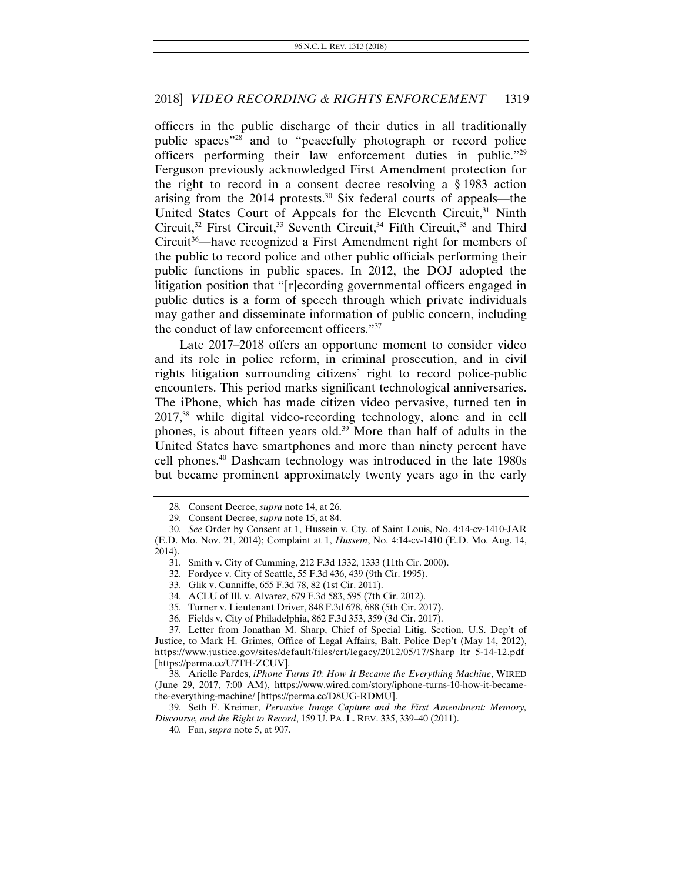officers in the public discharge of their duties in all traditionally public spaces"28 and to "peacefully photograph or record police officers performing their law enforcement duties in public."29 Ferguson previously acknowledged First Amendment protection for the right to record in a consent decree resolving a § 1983 action arising from the  $2014$  protests.<sup>30</sup> Six federal courts of appeals—the United States Court of Appeals for the Eleventh Circuit,<sup>31</sup> Ninth Circuit,<sup>32</sup> First Circuit,<sup>33</sup> Seventh Circuit,<sup>34</sup> Fifth Circuit,<sup>35</sup> and Third Circuit<sup>36</sup>—have recognized a First Amendment right for members of the public to record police and other public officials performing their public functions in public spaces. In 2012, the DOJ adopted the litigation position that "[r]ecording governmental officers engaged in public duties is a form of speech through which private individuals may gather and disseminate information of public concern, including the conduct of law enforcement officers."37

Late 2017–2018 offers an opportune moment to consider video and its role in police reform, in criminal prosecution, and in civil rights litigation surrounding citizens' right to record police-public encounters. This period marks significant technological anniversaries. The iPhone, which has made citizen video pervasive, turned ten in 2017,38 while digital video-recording technology, alone and in cell phones, is about fifteen years old.39 More than half of adults in the United States have smartphones and more than ninety percent have cell phones.40 Dashcam technology was introduced in the late 1980s but became prominent approximately twenty years ago in the early

- 34. ACLU of Ill. v. Alvarez, 679 F.3d 583, 595 (7th Cir. 2012).
- 35. Turner v. Lieutenant Driver, 848 F.3d 678, 688 (5th Cir. 2017).
- 36. Fields v. City of Philadelphia, 862 F.3d 353, 359 (3d Cir. 2017).

 <sup>28.</sup> Consent Decree, *supra* note 14, at 26.

 <sup>29.</sup> Consent Decree, *supra* note 15, at 84.

<sup>30.</sup> *See* Order by Consent at 1, Hussein v. Cty. of Saint Louis, No. 4:14-cv-1410-JAR (E.D. Mo. Nov. 21, 2014); Complaint at 1, *Hussein*, No. 4:14-cv-1410 (E.D. Mo. Aug. 14, 2014).

 <sup>31.</sup> Smith v. City of Cumming, 212 F.3d 1332, 1333 (11th Cir. 2000).

 <sup>32.</sup> Fordyce v. City of Seattle, 55 F.3d 436, 439 (9th Cir. 1995).

 <sup>33.</sup> Glik v. Cunniffe, 655 F.3d 78, 82 (1st Cir. 2011).

 <sup>37.</sup> Letter from Jonathan M. Sharp, Chief of Special Litig. Section, U.S. Dep't of Justice, to Mark H. Grimes, Office of Legal Affairs, Balt. Police Dep't (May 14, 2012), https://www.justice.gov/sites/default/files/crt/legacy/2012/05/17/Sharp\_ltr\_5-14-12.pdf [https://perma.cc/U7TH-ZCUV].

 <sup>38.</sup> Arielle Pardes, *iPhone Turns 10: How It Became the Everything Machine*, WIRED (June 29, 2017, 7:00 AM), https://www.wired.com/story/iphone-turns-10-how-it-becamethe-everything-machine/ [https://perma.cc/D8UG-RDMU].

 <sup>39.</sup> Seth F. Kreimer, *Pervasive Image Capture and the First Amendment: Memory, Discourse, and the Right to Record*, 159 U. PA. L. REV. 335, 339–40 (2011).

 <sup>40.</sup> Fan, *supra* note 5, at 907.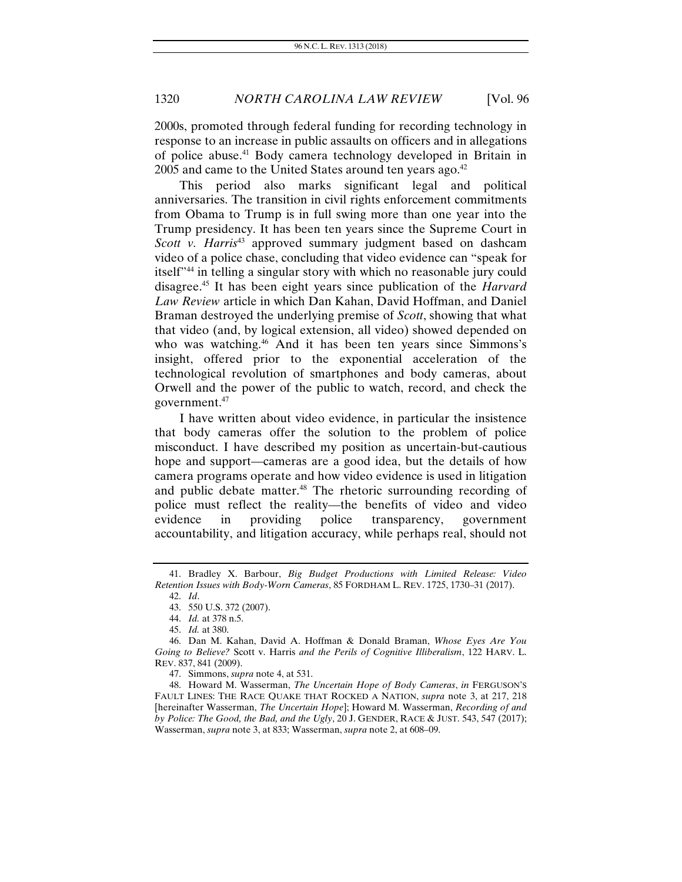2000s, promoted through federal funding for recording technology in response to an increase in public assaults on officers and in allegations of police abuse.41 Body camera technology developed in Britain in 2005 and came to the United States around ten years ago.<sup>42</sup>

This period also marks significant legal and political anniversaries. The transition in civil rights enforcement commitments from Obama to Trump is in full swing more than one year into the Trump presidency. It has been ten years since the Supreme Court in *Scott v. Harris*<sup>43</sup> approved summary judgment based on dashcam video of a police chase, concluding that video evidence can "speak for itself"44 in telling a singular story with which no reasonable jury could disagree.45 It has been eight years since publication of the *Harvard Law Review* article in which Dan Kahan, David Hoffman, and Daniel Braman destroyed the underlying premise of *Scott*, showing that what that video (and, by logical extension, all video) showed depended on who was watching.<sup>46</sup> And it has been ten years since Simmons's insight, offered prior to the exponential acceleration of the technological revolution of smartphones and body cameras, about Orwell and the power of the public to watch, record, and check the government.47

I have written about video evidence, in particular the insistence that body cameras offer the solution to the problem of police misconduct. I have described my position as uncertain-but-cautious hope and support—cameras are a good idea, but the details of how camera programs operate and how video evidence is used in litigation and public debate matter.<sup>48</sup> The rhetoric surrounding recording of police must reflect the reality—the benefits of video and video evidence in providing police transparency, government accountability, and litigation accuracy, while perhaps real, should not

 <sup>41.</sup> Bradley X. Barbour, *Big Budget Productions with Limited Release: Video Retention Issues with Body-Worn Cameras*, 85 FORDHAM L. REV. 1725, 1730–31 (2017).

<sup>42.</sup> *Id*.

 <sup>43. 550</sup> U.S. 372 (2007).

<sup>44.</sup> *Id.* at 378 n.5.

<sup>45.</sup> *Id.* at 380.

 <sup>46.</sup> Dan M. Kahan, David A. Hoffman & Donald Braman, *Whose Eyes Are You Going to Believe?* Scott v. Harris *and the Perils of Cognitive Illiberalism*, 122 HARV. L. REV. 837, 841 (2009).

<sup>47.</sup> Simmons, *supra* note 4, at 531.

 <sup>48.</sup> Howard M. Wasserman, *The Uncertain Hope of Body Cameras*, *in* FERGUSON'S FAULT LINES: THE RACE QUAKE THAT ROCKED A NATION, *supra* note 3, at 217, 218 [hereinafter Wasserman, *The Uncertain Hope*]; Howard M. Wasserman, *Recording of and by Police: The Good, the Bad, and the Ugly*, 20 J. GENDER, RACE & JUST. 543, 547 (2017); Wasserman, *supra* note 3, at 833; Wasserman, *supra* note 2, at 608–09.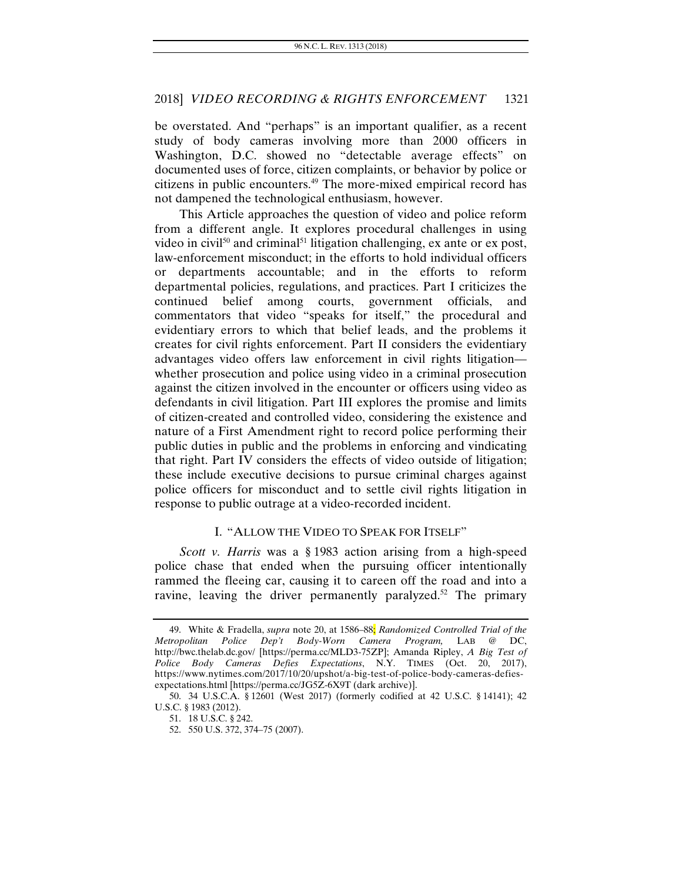be overstated. And "perhaps" is an important qualifier, as a recent study of body cameras involving more than 2000 officers in Washington, D.C. showed no "detectable average effects" on documented uses of force, citizen complaints, or behavior by police or citizens in public encounters.49 The more-mixed empirical record has not dampened the technological enthusiasm, however.

This Article approaches the question of video and police reform from a different angle. It explores procedural challenges in using video in civil<sup>50</sup> and criminal<sup>51</sup> litigation challenging, ex ante or ex post, law-enforcement misconduct; in the efforts to hold individual officers or departments accountable; and in the efforts to reform departmental policies, regulations, and practices. Part I criticizes the continued belief among courts, government officials, and commentators that video "speaks for itself," the procedural and evidentiary errors to which that belief leads, and the problems it creates for civil rights enforcement. Part II considers the evidentiary advantages video offers law enforcement in civil rights litigation whether prosecution and police using video in a criminal prosecution against the citizen involved in the encounter or officers using video as defendants in civil litigation. Part III explores the promise and limits of citizen-created and controlled video, considering the existence and nature of a First Amendment right to record police performing their public duties in public and the problems in enforcing and vindicating that right. Part IV considers the effects of video outside of litigation; these include executive decisions to pursue criminal charges against police officers for misconduct and to settle civil rights litigation in response to public outrage at a video-recorded incident.

#### I. "ALLOW THE VIDEO TO SPEAK FOR ITSELF"

*Scott v. Harris* was a § 1983 action arising from a high-speed police chase that ended when the pursuing officer intentionally rammed the fleeing car, causing it to careen off the road and into a ravine, leaving the driver permanently paralyzed.<sup>52</sup> The primary

<sup>49.</sup> White & Fradella, *supra* note 20, at 1586–88; *Randomized Controlled Trial of the Metropolitan Police Dep't Body-Worn Camera Program,* LAB @ DC, http://bwc.thelab.dc.gov/ [https://perma.cc/MLD3-75ZP]; Amanda Ripley, *A Big Test of Police Body Cameras Defies Expectations*, N.Y. TIMES (Oct. 20, 2017), https://www.nytimes.com/2017/10/20/upshot/a-big-test-of-police-body-cameras-defiesexpectations.html [https://perma.cc/JG5Z-6X9T (dark archive)].

 <sup>50. 34</sup> U.S.C.A. § 12601 (West 2017) (formerly codified at 42 U.S.C. § 14141); 42 U.S.C. § 1983 (2012).

 <sup>51. 18</sup> U.S.C. § 242.

 <sup>52. 550</sup> U.S. 372, 374–75 (2007).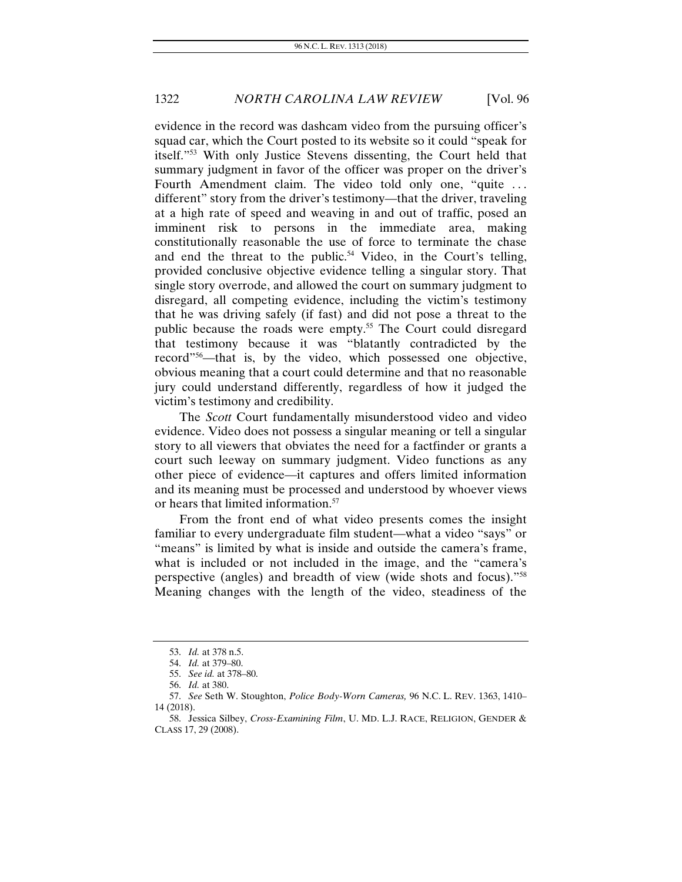evidence in the record was dashcam video from the pursuing officer's squad car, which the Court posted to its website so it could "speak for itself."53 With only Justice Stevens dissenting, the Court held that summary judgment in favor of the officer was proper on the driver's Fourth Amendment claim. The video told only one, "quite ... different" story from the driver's testimony—that the driver, traveling at a high rate of speed and weaving in and out of traffic, posed an imminent risk to persons in the immediate area, making constitutionally reasonable the use of force to terminate the chase and end the threat to the public.<sup>54</sup> Video, in the Court's telling, provided conclusive objective evidence telling a singular story. That single story overrode, and allowed the court on summary judgment to disregard, all competing evidence, including the victim's testimony that he was driving safely (if fast) and did not pose a threat to the public because the roads were empty.<sup>55</sup> The Court could disregard that testimony because it was "blatantly contradicted by the record"56—that is, by the video, which possessed one objective, obvious meaning that a court could determine and that no reasonable jury could understand differently, regardless of how it judged the victim's testimony and credibility.

The *Scott* Court fundamentally misunderstood video and video evidence. Video does not possess a singular meaning or tell a singular story to all viewers that obviates the need for a factfinder or grants a court such leeway on summary judgment. Video functions as any other piece of evidence—it captures and offers limited information and its meaning must be processed and understood by whoever views or hears that limited information.57

From the front end of what video presents comes the insight familiar to every undergraduate film student—what a video "says" or "means" is limited by what is inside and outside the camera's frame, what is included or not included in the image, and the "camera's perspective (angles) and breadth of view (wide shots and focus)."58 Meaning changes with the length of the video, steadiness of the

<sup>53.</sup> *Id.* at 378 n.5.

<sup>54.</sup> *Id.* at 379–80.

<sup>55.</sup> *See id.* at 378–80.

<sup>56.</sup> *Id.* at 380.

<sup>57.</sup> *See* Seth W. Stoughton, *Police Body-Worn Cameras,* 96 N.C. L. REV. 1363, 1410– 14 (2018).

 <sup>58.</sup> Jessica Silbey, *Cross-Examining Film*, U. MD. L.J. RACE, RELIGION, GENDER & CLASS 17, 29 (2008).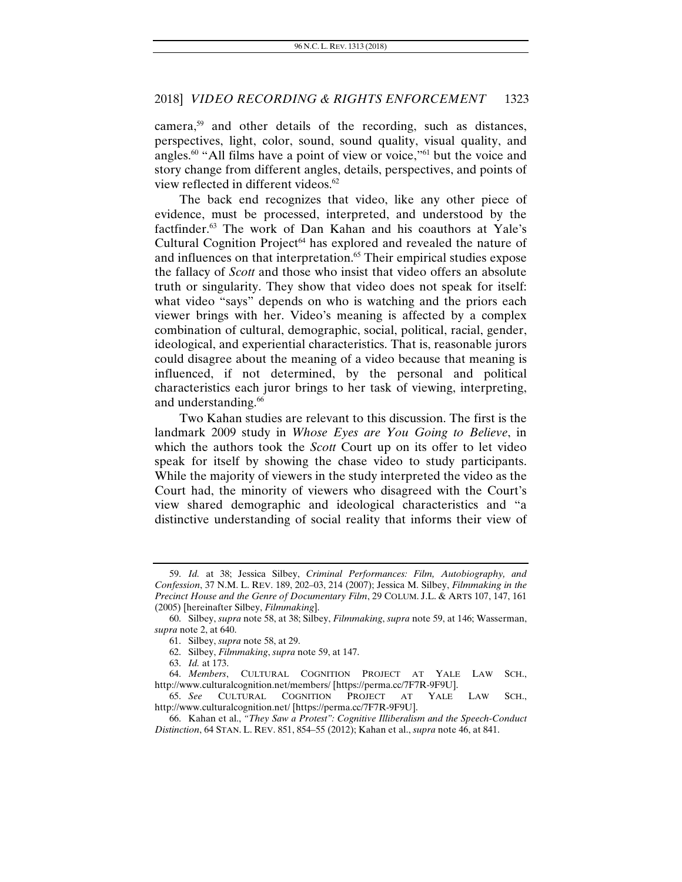camera,59 and other details of the recording, such as distances, perspectives, light, color, sound, sound quality, visual quality, and angles.<sup>60</sup> "All films have a point of view or voice,"<sup>61</sup> but the voice and story change from different angles, details, perspectives, and points of view reflected in different videos.<sup>62</sup>

The back end recognizes that video, like any other piece of evidence, must be processed, interpreted, and understood by the factfinder.<sup>63</sup> The work of Dan Kahan and his coauthors at Yale's Cultural Cognition Project<sup>64</sup> has explored and revealed the nature of and influences on that interpretation.<sup>65</sup> Their empirical studies expose the fallacy of *Scott* and those who insist that video offers an absolute truth or singularity. They show that video does not speak for itself: what video "says" depends on who is watching and the priors each viewer brings with her. Video's meaning is affected by a complex combination of cultural, demographic, social, political, racial, gender, ideological, and experiential characteristics. That is, reasonable jurors could disagree about the meaning of a video because that meaning is influenced, if not determined, by the personal and political characteristics each juror brings to her task of viewing, interpreting, and understanding.<sup>66</sup>

Two Kahan studies are relevant to this discussion. The first is the landmark 2009 study in *Whose Eyes are You Going to Believe*, in which the authors took the *Scott* Court up on its offer to let video speak for itself by showing the chase video to study participants. While the majority of viewers in the study interpreted the video as the Court had, the minority of viewers who disagreed with the Court's view shared demographic and ideological characteristics and "a distinctive understanding of social reality that informs their view of

<sup>59.</sup> *Id.* at 38; Jessica Silbey, *Criminal Performances: Film, Autobiography, and Confession*, 37 N.M. L. REV. 189, 202–03, 214 (2007); Jessica M. Silbey, *Filmmaking in the Precinct House and the Genre of Documentary Film*, 29 COLUM. J.L. & ARTS 107, 147, 161 (2005) [hereinafter Silbey, *Filmmaking*].

 <sup>60.</sup> Silbey, *supra* note 58, at 38; Silbey, *Filmmaking*, *supra* note 59, at 146; Wasserman, *supra* note 2, at 640.

 <sup>61.</sup> Silbey, *supra* note 58, at 29.

 <sup>62.</sup> Silbey, *Filmmaking*, *supra* note 59, at 147.

<sup>63.</sup> *Id.* at 173.

<sup>64.</sup> *Members*, CULTURAL COGNITION PROJECT AT YALE LAW SCH., http://www.culturalcognition.net/members/ [https://perma.cc/7F7R-9F9U].

<sup>65.</sup> *See* CULTURAL COGNITION PROJECT AT YALE LAW SCH., http://www.culturalcognition.net/ [https://perma.cc/7F7R-9F9U].

 <sup>66.</sup> Kahan et al., *"They Saw a Protest": Cognitive Illiberalism and the Speech-Conduct Distinction*, 64 STAN. L. REV. 851, 854–55 (2012); Kahan et al., *supra* note 46, at 841.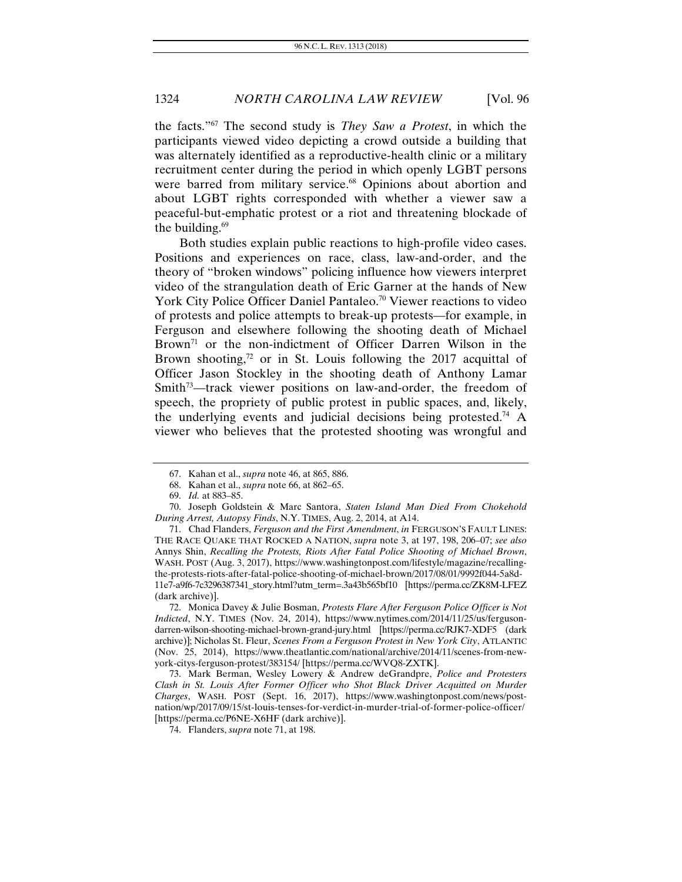the facts."67 The second study is *They Saw a Protest*, in which the participants viewed video depicting a crowd outside a building that was alternately identified as a reproductive-health clinic or a military recruitment center during the period in which openly LGBT persons were barred from military service.<sup>68</sup> Opinions about abortion and about LGBT rights corresponded with whether a viewer saw a peaceful-but-emphatic protest or a riot and threatening blockade of the building. $69$ 

Both studies explain public reactions to high-profile video cases. Positions and experiences on race, class, law-and-order, and the theory of "broken windows" policing influence how viewers interpret video of the strangulation death of Eric Garner at the hands of New York City Police Officer Daniel Pantaleo.<sup>70</sup> Viewer reactions to video of protests and police attempts to break-up protests—for example, in Ferguson and elsewhere following the shooting death of Michael Brown<sup>71</sup> or the non-indictment of Officer Darren Wilson in the Brown shooting, $72$  or in St. Louis following the 2017 acquittal of Officer Jason Stockley in the shooting death of Anthony Lamar Smith<sup>73</sup>—track viewer positions on law-and-order, the freedom of speech, the propriety of public protest in public spaces, and, likely, the underlying events and judicial decisions being protested.<sup>74</sup> A viewer who believes that the protested shooting was wrongful and

 <sup>67.</sup> Kahan et al., *supra* note 46, at 865, 886.

 <sup>68.</sup> Kahan et al., *supra* note 66, at 862–65.

<sup>69.</sup> *Id.* at 883–85.

 <sup>70.</sup> Joseph Goldstein & Marc Santora, *Staten Island Man Died From Chokehold During Arrest, Autopsy Finds*, N.Y. TIMES, Aug. 2, 2014, at A14.

 <sup>71.</sup> Chad Flanders, *Ferguson and the First Amendment*, *in* FERGUSON'S FAULT LINES: THE RACE QUAKE THAT ROCKED A NATION, *supra* note 3, at 197, 198, 206–07; *see also*  Annys Shin, *Recalling the Protests, Riots After Fatal Police Shooting of Michael Brown*, WASH. POST (Aug. 3, 2017), https://www.washingtonpost.com/lifestyle/magazine/recallingthe-protests-riots-after-fatal-police-shooting-of-michael-brown/2017/08/01/9992f044-5a8d-11e7-a9f6-7c3296387341\_story.html?utm\_term=.3a43b565bf10 [https://perma.cc/ZK8M-LFEZ (dark archive)].

 <sup>72.</sup> Monica Davey & Julie Bosman, *Protests Flare After Ferguson Police Officer is Not Indicted*, N.Y. TIMES (Nov. 24, 2014), https://www.nytimes.com/2014/11/25/us/fergusondarren-wilson-shooting-michael-brown-grand-jury.html [https://perma.cc/RJK7-XDF5 (dark archive)]; Nicholas St. Fleur, *Scenes From a Ferguson Protest in New York City*, ATLANTIC (Nov. 25, 2014), https://www.theatlantic.com/national/archive/2014/11/scenes-from-newyork-citys-ferguson-protest/383154/ [https://perma.cc/WVQ8-ZXTK].

 <sup>73.</sup> Mark Berman, Wesley Lowery & Andrew deGrandpre, *Police and Protesters Clash in St. Louis After Former Officer who Shot Black Driver Acquitted on Murder Charges*, WASH. POST (Sept. 16, 2017), https://www.washingtonpost.com/news/postnation/wp/2017/09/15/st-louis-tenses-for-verdict-in-murder-trial-of-former-police-officer/ [https://perma.cc/P6NE-X6HF (dark archive)].

 <sup>74.</sup> Flanders, *supra* note 71, at 198.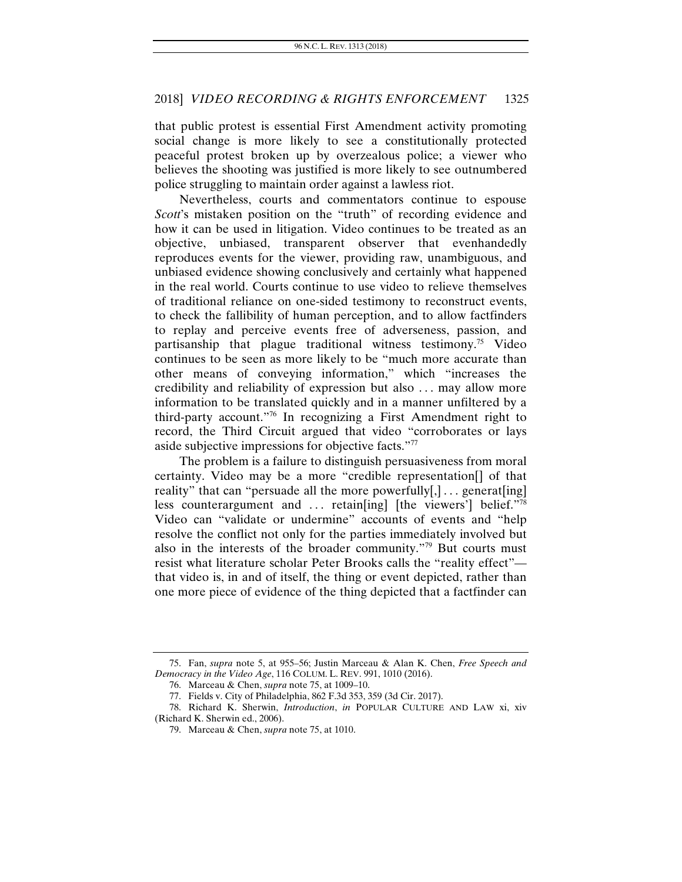that public protest is essential First Amendment activity promoting social change is more likely to see a constitutionally protected peaceful protest broken up by overzealous police; a viewer who believes the shooting was justified is more likely to see outnumbered police struggling to maintain order against a lawless riot.

Nevertheless, courts and commentators continue to espouse *Scott*'s mistaken position on the "truth" of recording evidence and how it can be used in litigation. Video continues to be treated as an objective, unbiased, transparent observer that evenhandedly reproduces events for the viewer, providing raw, unambiguous, and unbiased evidence showing conclusively and certainly what happened in the real world. Courts continue to use video to relieve themselves of traditional reliance on one-sided testimony to reconstruct events, to check the fallibility of human perception, and to allow factfinders to replay and perceive events free of adverseness, passion, and partisanship that plague traditional witness testimony.75 Video continues to be seen as more likely to be "much more accurate than other means of conveying information," which "increases the credibility and reliability of expression but also . . . may allow more information to be translated quickly and in a manner unfiltered by a third-party account."76 In recognizing a First Amendment right to record, the Third Circuit argued that video "corroborates or lays aside subjective impressions for objective facts."77

The problem is a failure to distinguish persuasiveness from moral certainty. Video may be a more "credible representation[] of that reality" that can "persuade all the more powerfully[,]... generat[ing] less counterargument and  $\ldots$  retain [ing] [the viewers'] belief."<sup>78</sup> Video can "validate or undermine" accounts of events and "help resolve the conflict not only for the parties immediately involved but also in the interests of the broader community."79 But courts must resist what literature scholar Peter Brooks calls the "reality effect" that video is, in and of itself, the thing or event depicted, rather than one more piece of evidence of the thing depicted that a factfinder can

 <sup>75.</sup> Fan, *supra* note 5, at 955–56; Justin Marceau & Alan K. Chen, *Free Speech and Democracy in the Video Age*, 116 COLUM. L. REV. 991, 1010 (2016).

 <sup>76.</sup> Marceau & Chen, *supra* note 75, at 1009–10.

 <sup>77.</sup> Fields v. City of Philadelphia, 862 F.3d 353, 359 (3d Cir. 2017).

 <sup>78.</sup> Richard K. Sherwin, *Introduction*, *in* POPULAR CULTURE AND LAW xi, xiv (Richard K. Sherwin ed., 2006).

 <sup>79.</sup> Marceau & Chen, *supra* note 75, at 1010.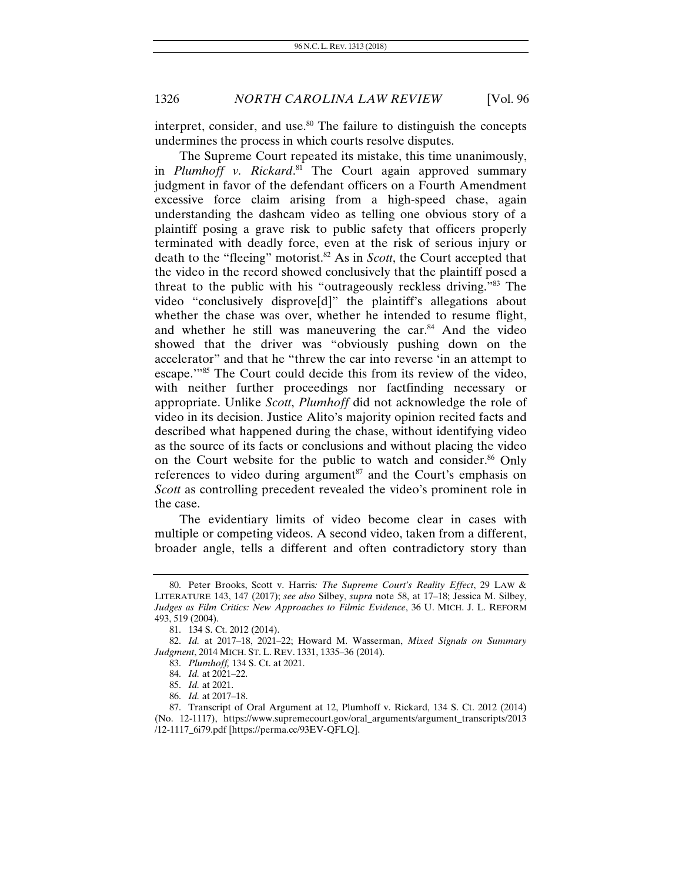interpret, consider, and use. $80$  The failure to distinguish the concepts undermines the process in which courts resolve disputes.

The Supreme Court repeated its mistake, this time unanimously, in *Plumhoff v. Rickard*. 81 The Court again approved summary judgment in favor of the defendant officers on a Fourth Amendment excessive force claim arising from a high-speed chase, again understanding the dashcam video as telling one obvious story of a plaintiff posing a grave risk to public safety that officers properly terminated with deadly force, even at the risk of serious injury or death to the "fleeing" motorist.82 As in *Scott*, the Court accepted that the video in the record showed conclusively that the plaintiff posed a threat to the public with his "outrageously reckless driving."83 The video "conclusively disprove[d]" the plaintiff's allegations about whether the chase was over, whether he intended to resume flight, and whether he still was maneuvering the car.<sup>84</sup> And the video showed that the driver was "obviously pushing down on the accelerator" and that he "threw the car into reverse 'in an attempt to escape."<sup>85</sup> The Court could decide this from its review of the video, with neither further proceedings nor factfinding necessary or appropriate. Unlike *Scott*, *Plumhoff* did not acknowledge the role of video in its decision. Justice Alito's majority opinion recited facts and described what happened during the chase, without identifying video as the source of its facts or conclusions and without placing the video on the Court website for the public to watch and consider.<sup>86</sup> Only references to video during argument<sup>87</sup> and the Court's emphasis on *Scott* as controlling precedent revealed the video's prominent role in the case.

The evidentiary limits of video become clear in cases with multiple or competing videos. A second video, taken from a different, broader angle, tells a different and often contradictory story than

 <sup>80.</sup> Peter Brooks, Scott v. Harris*: The Supreme Court's Reality Effect*, 29 LAW & LITERATURE 143, 147 (2017); *see also* Silbey, *supra* note 58, at 17–18; Jessica M. Silbey, *Judges as Film Critics: New Approaches to Filmic Evidence*, 36 U. MICH. J. L. REFORM 493, 519 (2004).

 <sup>81. 134</sup> S. Ct. 2012 (2014).

<sup>82.</sup> *Id.* at 2017–18, 2021–22; Howard M. Wasserman, *Mixed Signals on Summary Judgment*, 2014 MICH. ST. L. REV. 1331, 1335–36 (2014).

 <sup>83.</sup> *Plumhoff,* 134 S. Ct. at 2021.

<sup>84.</sup> *Id.* at 2021–22.

<sup>85.</sup> *Id.* at 2021.

<sup>86.</sup> *Id.* at 2017–18.

 <sup>87.</sup> Transcript of Oral Argument at 12, Plumhoff v. Rickard, 134 S. Ct. 2012 (2014) (No. 12-1117), https://www.supremecourt.gov/oral\_arguments/argument\_transcripts/2013 /12-1117\_6i79.pdf [https://perma.cc/93EV-QFLQ].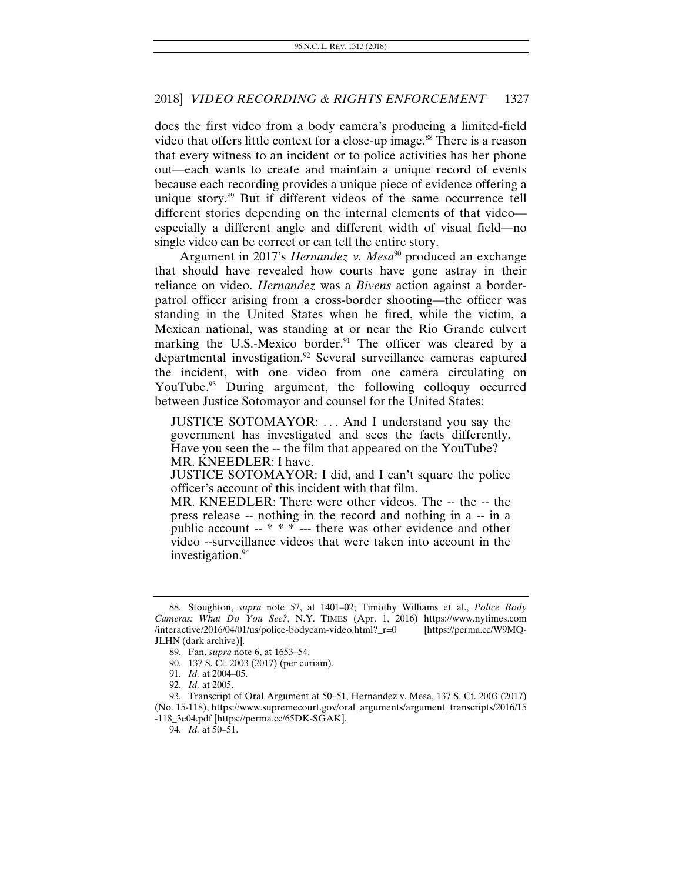does the first video from a body camera's producing a limited-field video that offers little context for a close-up image.<sup>88</sup> There is a reason that every witness to an incident or to police activities has her phone out—each wants to create and maintain a unique record of events because each recording provides a unique piece of evidence offering a unique story.<sup>89</sup> But if different videos of the same occurrence tell different stories depending on the internal elements of that video especially a different angle and different width of visual field—no single video can be correct or can tell the entire story.

Argument in 2017's *Hernandez v. Mesa*<sup>90</sup> produced an exchange that should have revealed how courts have gone astray in their reliance on video. *Hernandez* was a *Bivens* action against a borderpatrol officer arising from a cross-border shooting—the officer was standing in the United States when he fired, while the victim, a Mexican national, was standing at or near the Rio Grande culvert marking the U.S.-Mexico border.<sup>91</sup> The officer was cleared by a departmental investigation.92 Several surveillance cameras captured the incident, with one video from one camera circulating on YouTube.<sup>93</sup> During argument, the following colloquy occurred between Justice Sotomayor and counsel for the United States:

JUSTICE SOTOMAYOR: . . . And I understand you say the government has investigated and sees the facts differently. Have you seen the -- the film that appeared on the YouTube? MR. KNEEDLER: I have.

JUSTICE SOTOMAYOR: I did, and I can't square the police officer's account of this incident with that film.

MR. KNEEDLER: There were other videos. The -- the -- the press release -- nothing in the record and nothing in a -- in a public account -- \* \* \* --- there was other evidence and other video --surveillance videos that were taken into account in the investigation.<sup>94</sup>

 <sup>88.</sup> Stoughton, *supra* note 57, at 1401–02; Timothy Williams et al., *Police Body Cameras: What Do You See?*, N.Y. TIMES (Apr. 1, 2016) https://www.nytimes.com /interactive/2016/04/01/us/police-bodycam-video.html?\_r=0 JLHN (dark archive)].

 <sup>89.</sup> Fan, *supra* note 6, at 1653–54.

 <sup>90. 137</sup> S. Ct. 2003 (2017) (per curiam).

<sup>91.</sup> *Id.* at 2004–05.

<sup>92.</sup> *Id.* at 2005.

 <sup>93.</sup> Transcript of Oral Argument at 50–51, Hernandez v. Mesa, 137 S. Ct. 2003 (2017) (No. 15-118), https://www.supremecourt.gov/oral\_arguments/argument\_transcripts/2016/15 -118\_3e04.pdf [https://perma.cc/65DK-SGAK].

<sup>94.</sup> *Id.* at 50–51.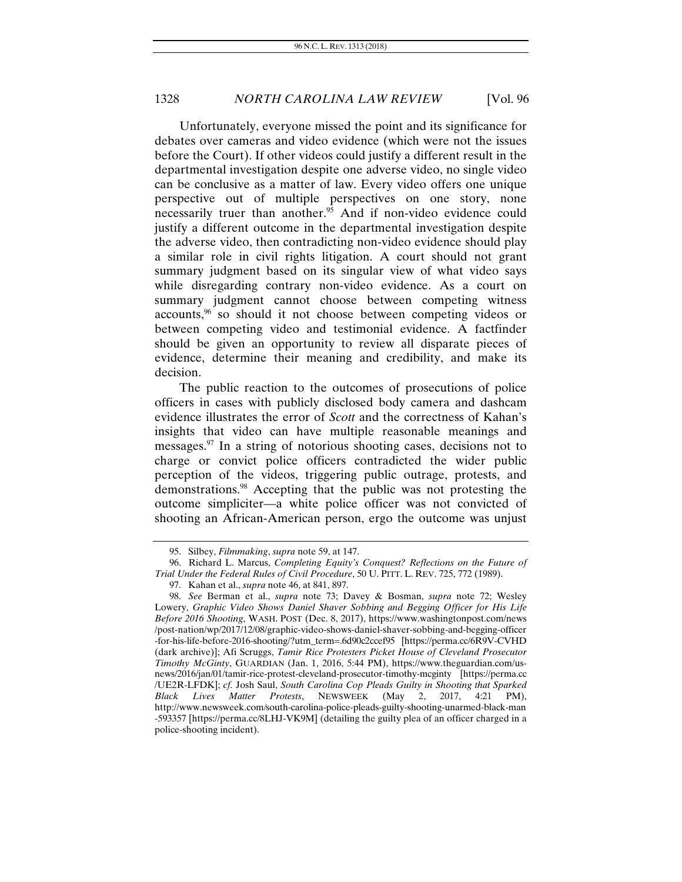Unfortunately, everyone missed the point and its significance for debates over cameras and video evidence (which were not the issues before the Court). If other videos could justify a different result in the departmental investigation despite one adverse video, no single video can be conclusive as a matter of law. Every video offers one unique perspective out of multiple perspectives on one story, none necessarily truer than another.<sup>95</sup> And if non-video evidence could justify a different outcome in the departmental investigation despite the adverse video, then contradicting non-video evidence should play a similar role in civil rights litigation. A court should not grant summary judgment based on its singular view of what video says while disregarding contrary non-video evidence. As a court on summary judgment cannot choose between competing witness accounts,96 so should it not choose between competing videos or between competing video and testimonial evidence. A factfinder should be given an opportunity to review all disparate pieces of evidence, determine their meaning and credibility, and make its decision.

The public reaction to the outcomes of prosecutions of police officers in cases with publicly disclosed body camera and dashcam evidence illustrates the error of *Scott* and the correctness of Kahan's insights that video can have multiple reasonable meanings and messages. $97$  In a string of notorious shooting cases, decisions not to charge or convict police officers contradicted the wider public perception of the videos, triggering public outrage, protests, and demonstrations.98 Accepting that the public was not protesting the outcome simpliciter—a white police officer was not convicted of shooting an African-American person, ergo the outcome was unjust

 <sup>95.</sup> Silbey, *Filmmaking*, *supra* note 59, at 147.

 <sup>96.</sup> Richard L. Marcus, *Completing Equity's Conquest? Reflections on the Future of Trial Under the Federal Rules of Civil Procedure*, 50 U. PITT. L. REV. 725, 772 (1989).

 <sup>97.</sup> Kahan et al., *supra* note 46, at 841, 897.

<sup>98.</sup> *See* Berman et al., *supra* note 73; Davey & Bosman, *supra* note 72; Wesley Lowery, *Graphic Video Shows Daniel Shaver Sobbing and Begging Officer for His Life Before 2016 Shooting*, WASH. POST (Dec. 8, 2017), https://www.washingtonpost.com/news /post-nation/wp/2017/12/08/graphic-video-shows-daniel-shaver-sobbing-and-begging-officer -for-his-life-before-2016-shooting/?utm\_term=.6d90c2ccef95 [https://perma.cc/6R9V-CVHD (dark archive)]; Afi Scruggs, *Tamir Rice Protesters Picket House of Cleveland Prosecutor Timothy McGinty*, GUARDIAN (Jan. 1, 2016, 5:44 PM), https://www.theguardian.com/usnews/2016/jan/01/tamir-rice-protest-cleveland-prosecutor-timothy-mcginty [https://perma.cc /UE2R-LFDK]; *cf.* Josh Saul, *South Carolina Cop Pleads Guilty in Shooting that Sparked Black Lives Matter Protests*, NEWSWEEK (May 2, 2017, 4:21 PM), http://www.newsweek.com/south-carolina-police-pleads-guilty-shooting-unarmed-black-man -593357 [https://perma.cc/8LHJ-VK9M] (detailing the guilty plea of an officer charged in a police-shooting incident).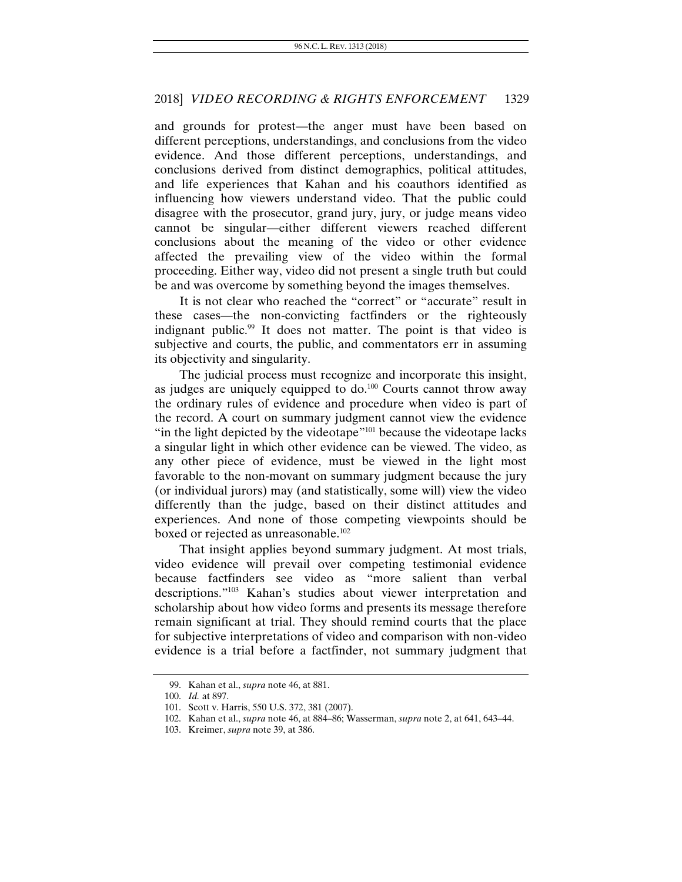and grounds for protest—the anger must have been based on different perceptions, understandings, and conclusions from the video evidence. And those different perceptions, understandings, and conclusions derived from distinct demographics, political attitudes, and life experiences that Kahan and his coauthors identified as influencing how viewers understand video. That the public could disagree with the prosecutor, grand jury, jury, or judge means video cannot be singular—either different viewers reached different conclusions about the meaning of the video or other evidence affected the prevailing view of the video within the formal proceeding. Either way, video did not present a single truth but could be and was overcome by something beyond the images themselves.

It is not clear who reached the "correct" or "accurate" result in these cases—the non-convicting factfinders or the righteously indignant public.<sup>99</sup> It does not matter. The point is that video is subjective and courts, the public, and commentators err in assuming its objectivity and singularity.

The judicial process must recognize and incorporate this insight, as judges are uniquely equipped to  $do.^{100}$  Courts cannot throw away the ordinary rules of evidence and procedure when video is part of the record. A court on summary judgment cannot view the evidence "in the light depicted by the videotape"<sup>101</sup> because the videotape lacks a singular light in which other evidence can be viewed. The video, as any other piece of evidence, must be viewed in the light most favorable to the non-movant on summary judgment because the jury (or individual jurors) may (and statistically, some will) view the video differently than the judge, based on their distinct attitudes and experiences. And none of those competing viewpoints should be boxed or rejected as unreasonable.<sup>102</sup>

That insight applies beyond summary judgment. At most trials, video evidence will prevail over competing testimonial evidence because factfinders see video as "more salient than verbal descriptions."103 Kahan's studies about viewer interpretation and scholarship about how video forms and presents its message therefore remain significant at trial. They should remind courts that the place for subjective interpretations of video and comparison with non-video evidence is a trial before a factfinder, not summary judgment that

 <sup>99.</sup> Kahan et al., *supra* note 46, at 881.

<sup>100.</sup> *Id.* at 897.

 <sup>101.</sup> Scott v. Harris, 550 U.S. 372, 381 (2007).

 <sup>102.</sup> Kahan et al., *supra* note 46, at 884–86; Wasserman, *supra* note 2, at 641, 643–44.

 <sup>103.</sup> Kreimer, *supra* note 39, at 386.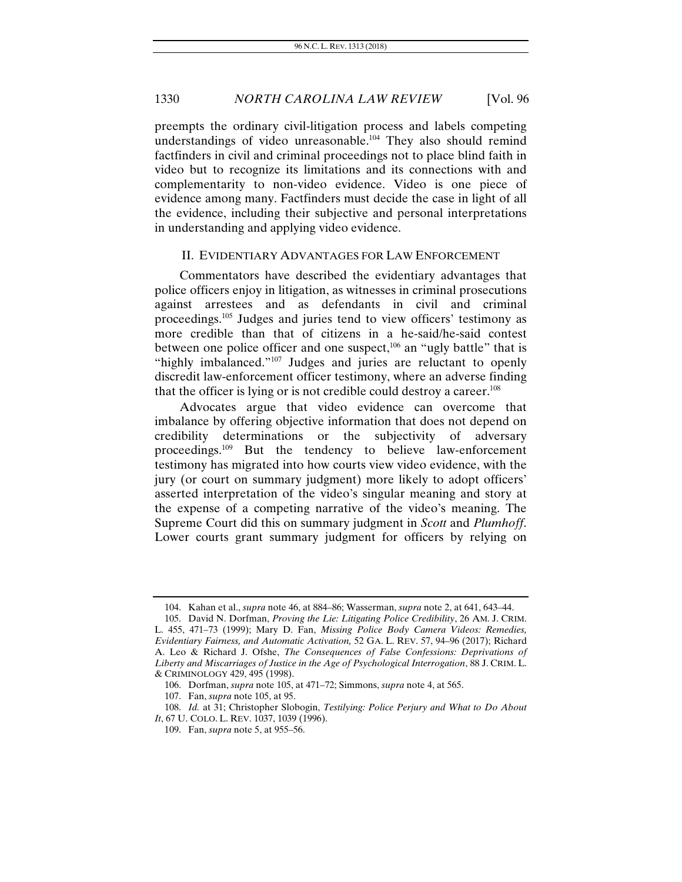preempts the ordinary civil-litigation process and labels competing understandings of video unreasonable.104 They also should remind factfinders in civil and criminal proceedings not to place blind faith in video but to recognize its limitations and its connections with and complementarity to non-video evidence. Video is one piece of evidence among many. Factfinders must decide the case in light of all the evidence, including their subjective and personal interpretations in understanding and applying video evidence.

#### II. EVIDENTIARY ADVANTAGES FOR LAW ENFORCEMENT

Commentators have described the evidentiary advantages that police officers enjoy in litigation, as witnesses in criminal prosecutions against arrestees and as defendants in civil and criminal proceedings.105 Judges and juries tend to view officers' testimony as more credible than that of citizens in a he-said/he-said contest between one police officer and one suspect, $106$  an "ugly battle" that is "highly imbalanced."<sup>107</sup> Judges and juries are reluctant to openly discredit law-enforcement officer testimony, where an adverse finding that the officer is lying or is not credible could destroy a career.<sup>108</sup>

Advocates argue that video evidence can overcome that imbalance by offering objective information that does not depend on credibility determinations or the subjectivity of adversary proceedings.109 But the tendency to believe law-enforcement testimony has migrated into how courts view video evidence, with the jury (or court on summary judgment) more likely to adopt officers' asserted interpretation of the video's singular meaning and story at the expense of a competing narrative of the video's meaning. The Supreme Court did this on summary judgment in *Scott* and *Plumhoff*. Lower courts grant summary judgment for officers by relying on

 <sup>104.</sup> Kahan et al., *supra* note 46, at 884–86; Wasserman, *supra* note 2, at 641, 643–44.

 <sup>105.</sup> David N. Dorfman, *Proving the Lie: Litigating Police Credibility*, 26 AM. J. CRIM. L. 455, 471–73 (1999); Mary D. Fan, *Missing Police Body Camera Videos: Remedies, Evidentiary Fairness, and Automatic Activation,* 52 GA. L. REV. 57, 94–96 (2017); Richard A. Leo & Richard J. Ofshe, *The Consequences of False Confessions: Deprivations of Liberty and Miscarriages of Justice in the Age of Psychological Interrogation*, 88 J. CRIM. L. & CRIMINOLOGY 429, 495 (1998).

 <sup>106.</sup> Dorfman, *supra* note 105, at 471–72; Simmons, *supra* note 4, at 565.

 <sup>107.</sup> Fan, *supra* note 105, at 95.

<sup>108.</sup> *Id.* at 31; Christopher Slobogin, *Testilying: Police Perjury and What to Do About It*, 67 U. COLO. L. REV. 1037, 1039 (1996).

 <sup>109.</sup> Fan, *supra* note 5, at 955–56.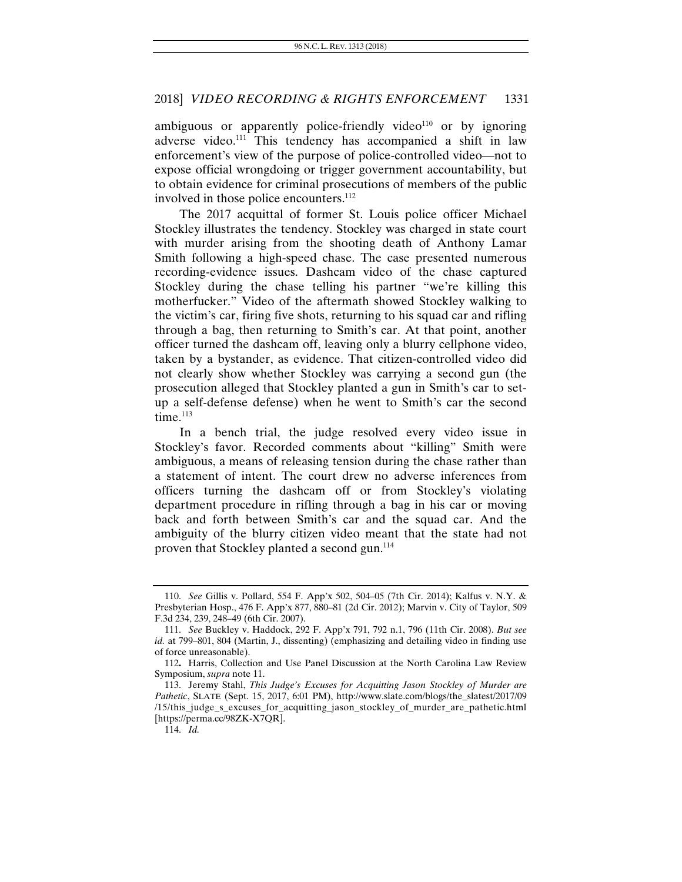ambiguous or apparently police-friendly video $110$  or by ignoring adverse video.<sup>111</sup> This tendency has accompanied a shift in law enforcement's view of the purpose of police-controlled video—not to expose official wrongdoing or trigger government accountability, but to obtain evidence for criminal prosecutions of members of the public involved in those police encounters.<sup>112</sup>

The 2017 acquittal of former St. Louis police officer Michael Stockley illustrates the tendency. Stockley was charged in state court with murder arising from the shooting death of Anthony Lamar Smith following a high-speed chase. The case presented numerous recording-evidence issues. Dashcam video of the chase captured Stockley during the chase telling his partner "we're killing this motherfucker." Video of the aftermath showed Stockley walking to the victim's car, firing five shots, returning to his squad car and rifling through a bag, then returning to Smith's car. At that point, another officer turned the dashcam off, leaving only a blurry cellphone video, taken by a bystander, as evidence. That citizen-controlled video did not clearly show whether Stockley was carrying a second gun (the prosecution alleged that Stockley planted a gun in Smith's car to setup a self-defense defense) when he went to Smith's car the second  $time$ <sup>113</sup>

In a bench trial, the judge resolved every video issue in Stockley's favor. Recorded comments about "killing" Smith were ambiguous, a means of releasing tension during the chase rather than a statement of intent. The court drew no adverse inferences from officers turning the dashcam off or from Stockley's violating department procedure in rifling through a bag in his car or moving back and forth between Smith's car and the squad car. And the ambiguity of the blurry citizen video meant that the state had not proven that Stockley planted a second gun.<sup>114</sup>

<sup>110.</sup> *See* Gillis v. Pollard, 554 F. App'x 502, 504–05 (7th Cir. 2014); Kalfus v. N.Y. & Presbyterian Hosp., 476 F. App'x 877, 880–81 (2d Cir. 2012); Marvin v. City of Taylor, 509 F.3d 234, 239, 248–49 (6th Cir. 2007).

<sup>111.</sup> *See* Buckley v. Haddock, 292 F. App'x 791, 792 n.1, 796 (11th Cir. 2008). *But see id.* at 799–801, 804 (Martin, J., dissenting) (emphasizing and detailing video in finding use of force unreasonable).

<sup>112</sup>**.** Harris, Collection and Use Panel Discussion at the North Carolina Law Review Symposium, *supra* note 11.

 <sup>113.</sup> Jeremy Stahl, *This Judge's Excuses for Acquitting Jason Stockley of Murder are Pathetic*, SLATE (Sept. 15, 2017, 6:01 PM), http://www.slate.com/blogs/the\_slatest/2017/09 /15/this\_judge\_s\_excuses\_for\_acquitting\_jason\_stockley\_of\_murder\_are\_pathetic.html [https://perma.cc/98ZK-X7QR].

<sup>114.</sup> *Id.*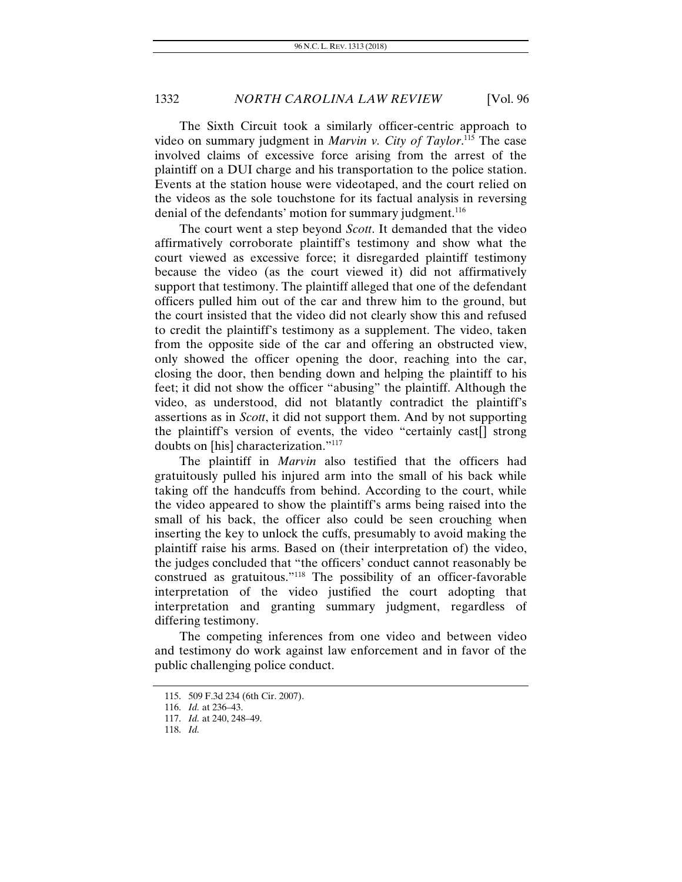The Sixth Circuit took a similarly officer-centric approach to video on summary judgment in *Marvin v. City of Taylor*. 115 The case involved claims of excessive force arising from the arrest of the plaintiff on a DUI charge and his transportation to the police station. Events at the station house were videotaped, and the court relied on the videos as the sole touchstone for its factual analysis in reversing denial of the defendants' motion for summary judgment.<sup>116</sup>

The court went a step beyond *Scott*. It demanded that the video affirmatively corroborate plaintiff's testimony and show what the court viewed as excessive force; it disregarded plaintiff testimony because the video (as the court viewed it) did not affirmatively support that testimony. The plaintiff alleged that one of the defendant officers pulled him out of the car and threw him to the ground, but the court insisted that the video did not clearly show this and refused to credit the plaintiff's testimony as a supplement. The video, taken from the opposite side of the car and offering an obstructed view, only showed the officer opening the door, reaching into the car, closing the door, then bending down and helping the plaintiff to his feet; it did not show the officer "abusing" the plaintiff. Although the video, as understood, did not blatantly contradict the plaintiff's assertions as in *Scott*, it did not support them. And by not supporting the plaintiff's version of events, the video "certainly cast[] strong doubts on [his] characterization."117

The plaintiff in *Marvin* also testified that the officers had gratuitously pulled his injured arm into the small of his back while taking off the handcuffs from behind. According to the court, while the video appeared to show the plaintiff's arms being raised into the small of his back, the officer also could be seen crouching when inserting the key to unlock the cuffs, presumably to avoid making the plaintiff raise his arms. Based on (their interpretation of) the video, the judges concluded that "the officers' conduct cannot reasonably be construed as gratuitous."118 The possibility of an officer-favorable interpretation of the video justified the court adopting that interpretation and granting summary judgment, regardless of differing testimony.

The competing inferences from one video and between video and testimony do work against law enforcement and in favor of the public challenging police conduct.

 <sup>115. 509</sup> F.3d 234 (6th Cir. 2007).

<sup>116.</sup> *Id.* at 236–43.

<sup>117.</sup> *Id.* at 240, 248–49.

<sup>118.</sup> *Id.*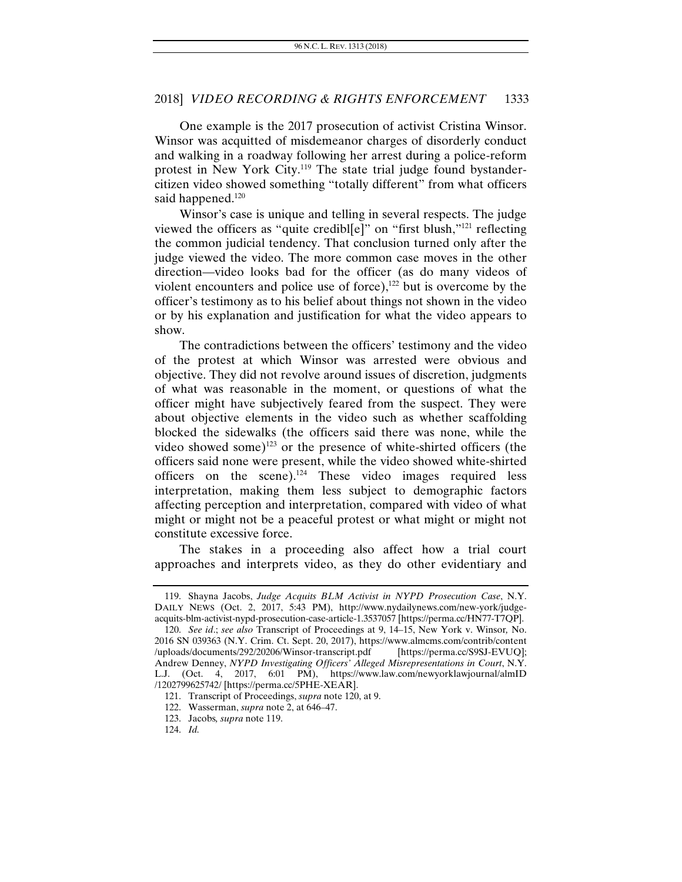One example is the 2017 prosecution of activist Cristina Winsor. Winsor was acquitted of misdemeanor charges of disorderly conduct and walking in a roadway following her arrest during a police-reform protest in New York City.119 The state trial judge found bystandercitizen video showed something "totally different" from what officers said happened.<sup>120</sup>

Winsor's case is unique and telling in several respects. The judge viewed the officers as "quite credibl[e]" on "first blush,"121 reflecting the common judicial tendency. That conclusion turned only after the judge viewed the video. The more common case moves in the other direction—video looks bad for the officer (as do many videos of violent encounters and police use of force), $122$  but is overcome by the officer's testimony as to his belief about things not shown in the video or by his explanation and justification for what the video appears to show.

The contradictions between the officers' testimony and the video of the protest at which Winsor was arrested were obvious and objective. They did not revolve around issues of discretion, judgments of what was reasonable in the moment, or questions of what the officer might have subjectively feared from the suspect. They were about objective elements in the video such as whether scaffolding blocked the sidewalks (the officers said there was none, while the video showed some) $123$  or the presence of white-shirted officers (the officers said none were present, while the video showed white-shirted officers on the scene).<sup>124</sup> These video images required less interpretation, making them less subject to demographic factors affecting perception and interpretation, compared with video of what might or might not be a peaceful protest or what might or might not constitute excessive force.

The stakes in a proceeding also affect how a trial court approaches and interprets video, as they do other evidentiary and

 <sup>119.</sup> Shayna Jacobs, *Judge Acquits BLM Activist in NYPD Prosecution Case*, N.Y. DAILY NEWS (Oct. 2, 2017, 5:43 PM), http://www.nydailynews.com/new-york/judgeacquits-blm-activist-nypd-prosecution-case-article-1.3537057 [https://perma.cc/HN77-T7QP].

<sup>120.</sup> *See id*.; *see also* Transcript of Proceedings at 9, 14–15, New York v. Winsor*,* No. 2016 SN 039363 (N.Y. Crim. Ct. Sept. 20, 2017), https://www.almcms.com/contrib/content /uploads/documents/292/20206/Winsor-transcript.pdf [https://perma.cc/S9SJ-EVUQ]; Andrew Denney, *NYPD Investigating Officers' Alleged Misrepresentations in Court*, N.Y. L.J. (Oct. 4, 2017, 6:01 PM), https://www.law.com/newyorklawjournal/almID /1202799625742/ [https://perma.cc/5PHE-XEAR].

 <sup>121.</sup> Transcript of Proceedings, *supra* note 120, at 9.

 <sup>122.</sup> Wasserman, *supra* note 2, at 646–47.

 <sup>123.</sup> Jacobs*, supra* note 119.

<sup>124.</sup> *Id.*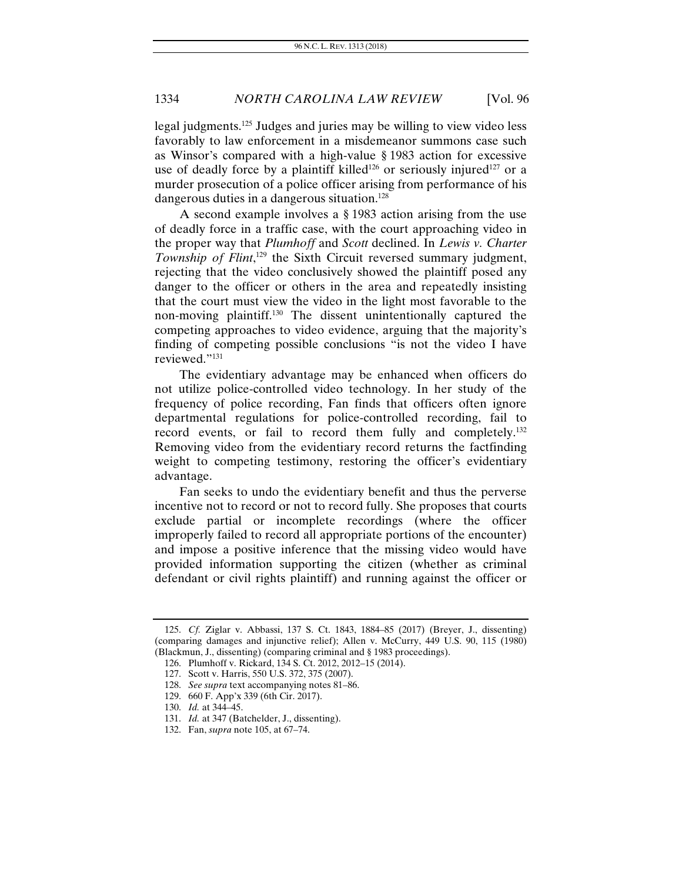legal judgments.125 Judges and juries may be willing to view video less favorably to law enforcement in a misdemeanor summons case such as Winsor's compared with a high-value § 1983 action for excessive use of deadly force by a plaintiff killed<sup>126</sup> or seriously injured<sup>127</sup> or a murder prosecution of a police officer arising from performance of his dangerous duties in a dangerous situation.<sup>128</sup>

A second example involves a § 1983 action arising from the use of deadly force in a traffic case, with the court approaching video in the proper way that *Plumhoff* and *Scott* declined. In *Lewis v. Charter*  Township of Flint,<sup>129</sup> the Sixth Circuit reversed summary judgment, rejecting that the video conclusively showed the plaintiff posed any danger to the officer or others in the area and repeatedly insisting that the court must view the video in the light most favorable to the non-moving plaintiff.130 The dissent unintentionally captured the competing approaches to video evidence, arguing that the majority's finding of competing possible conclusions "is not the video I have reviewed."131

The evidentiary advantage may be enhanced when officers do not utilize police-controlled video technology. In her study of the frequency of police recording, Fan finds that officers often ignore departmental regulations for police-controlled recording, fail to record events, or fail to record them fully and completely.<sup>132</sup> Removing video from the evidentiary record returns the factfinding weight to competing testimony, restoring the officer's evidentiary advantage.

Fan seeks to undo the evidentiary benefit and thus the perverse incentive not to record or not to record fully. She proposes that courts exclude partial or incomplete recordings (where the officer improperly failed to record all appropriate portions of the encounter) and impose a positive inference that the missing video would have provided information supporting the citizen (whether as criminal defendant or civil rights plaintiff) and running against the officer or

<sup>125.</sup> *Cf.* Ziglar v. Abbassi, 137 S. Ct. 1843, 1884–85 (2017) (Breyer, J., dissenting) (comparing damages and injunctive relief); Allen v. McCurry, 449 U.S. 90, 115 (1980) (Blackmun, J., dissenting) (comparing criminal and § 1983 proceedings).

 <sup>126.</sup> Plumhoff v. Rickard, 134 S. Ct. 2012, 2012–15 (2014).

 <sup>127.</sup> Scott v. Harris, 550 U.S. 372, 375 (2007).

<sup>128.</sup> *See supra* text accompanying notes 81–86.

<sup>129. 660</sup> F. App'x 339 (6th Cir. 2017).

<sup>130.</sup> *Id.* at 344–45.

<sup>131.</sup> *Id.* at 347 (Batchelder, J., dissenting).

 <sup>132.</sup> Fan, *supra* note 105, at 67–74.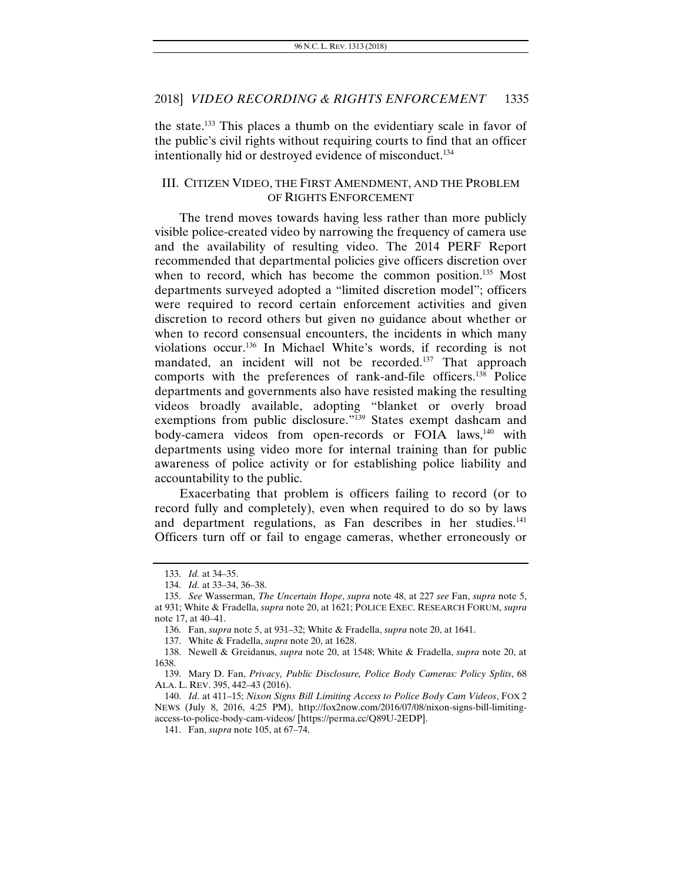the state.133 This places a thumb on the evidentiary scale in favor of the public's civil rights without requiring courts to find that an officer intentionally hid or destroyed evidence of misconduct.134

#### III. CITIZEN VIDEO, THE FIRST AMENDMENT, AND THE PROBLEM OF RIGHTS ENFORCEMENT

The trend moves towards having less rather than more publicly visible police-created video by narrowing the frequency of camera use and the availability of resulting video. The 2014 PERF Report recommended that departmental policies give officers discretion over when to record, which has become the common position.<sup>135</sup> Most departments surveyed adopted a "limited discretion model"; officers were required to record certain enforcement activities and given discretion to record others but given no guidance about whether or when to record consensual encounters, the incidents in which many violations occur.136 In Michael White's words, if recording is not mandated, an incident will not be recorded.<sup>137</sup> That approach comports with the preferences of rank-and-file officers.138 Police departments and governments also have resisted making the resulting videos broadly available, adopting "blanket or overly broad exemptions from public disclosure."<sup>139</sup> States exempt dashcam and body-camera videos from open-records or FOIA laws,<sup>140</sup> with departments using video more for internal training than for public awareness of police activity or for establishing police liability and accountability to the public.

Exacerbating that problem is officers failing to record (or to record fully and completely), even when required to do so by laws and department regulations, as Fan describes in her studies.<sup>141</sup> Officers turn off or fail to engage cameras, whether erroneously or

<sup>133.</sup> *Id.* at 34–35.

<sup>134.</sup> *Id.* at 33–34, 36–38.

<sup>135.</sup> *See* Wasserman, *The Uncertain Hope*, *supra* note 48, at 227 *see* Fan, *supra* note 5, at 931; White & Fradella, *supra* note 20, at 1621; POLICE EXEC. RESEARCH FORUM, *supra* note 17, at 40–41.

 <sup>136.</sup> Fan, *supra* note 5, at 931–32; White & Fradella, *supra* note 20, at 1641.

 <sup>137.</sup> White & Fradella, *supra* note 20, at 1628.

 <sup>138.</sup> Newell & Greidanus, *supra* note 20, at 1548; White & Fradella, *supra* note 20, at 1638.

 <sup>139.</sup> Mary D. Fan, *Privacy, Public Disclosure, Police Body Cameras: Policy Splits*, 68 ALA. L. REV. 395, 442–43 (2016).

<sup>140.</sup> *Id.* at 411–15; *Nixon Signs Bill Limiting Access to Police Body Cam Videos*, FOX 2 NEWS (July 8, 2016, 4:25 PM), http://fox2now.com/2016/07/08/nixon-signs-bill-limitingaccess-to-police-body-cam-videos/ [https://perma.cc/Q89U-2EDP].

 <sup>141.</sup> Fan, *supra* note 105, at 67–74.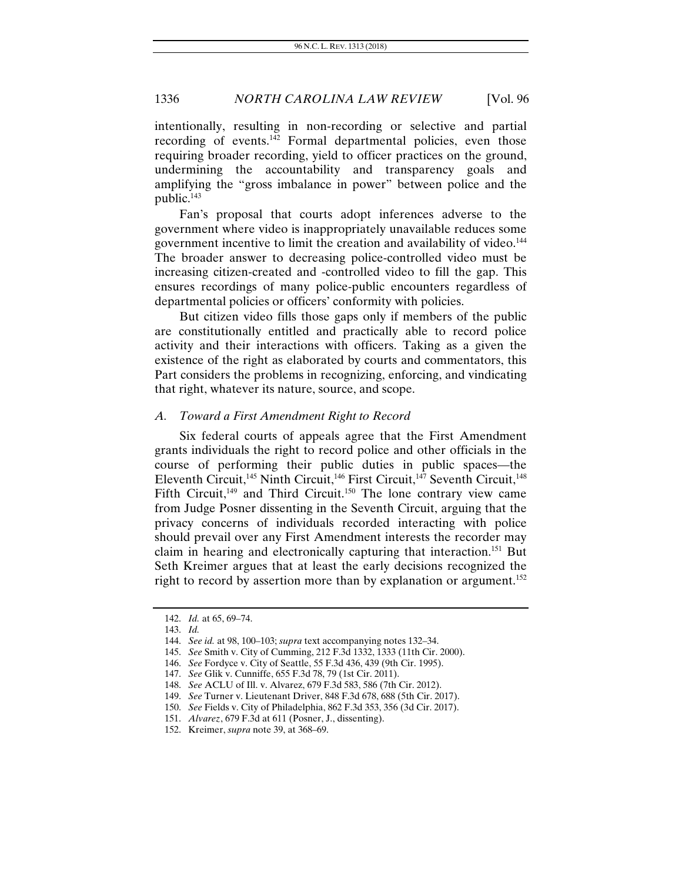intentionally, resulting in non-recording or selective and partial recording of events.<sup>142</sup> Formal departmental policies, even those requiring broader recording, yield to officer practices on the ground, undermining the accountability and transparency goals and amplifying the "gross imbalance in power" between police and the public.<sup>143</sup>

Fan's proposal that courts adopt inferences adverse to the government where video is inappropriately unavailable reduces some government incentive to limit the creation and availability of video.<sup>144</sup> The broader answer to decreasing police-controlled video must be increasing citizen-created and -controlled video to fill the gap. This ensures recordings of many police-public encounters regardless of departmental policies or officers' conformity with policies.

But citizen video fills those gaps only if members of the public are constitutionally entitled and practically able to record police activity and their interactions with officers. Taking as a given the existence of the right as elaborated by courts and commentators, this Part considers the problems in recognizing, enforcing, and vindicating that right, whatever its nature, source, and scope.

#### *A. Toward a First Amendment Right to Record*

Six federal courts of appeals agree that the First Amendment grants individuals the right to record police and other officials in the course of performing their public duties in public spaces—the Eleventh Circuit,<sup>145</sup> Ninth Circuit,<sup>146</sup> First Circuit,<sup>147</sup> Seventh Circuit,<sup>148</sup> Fifth Circuit,<sup>149</sup> and Third Circuit.<sup>150</sup> The lone contrary view came from Judge Posner dissenting in the Seventh Circuit, arguing that the privacy concerns of individuals recorded interacting with police should prevail over any First Amendment interests the recorder may claim in hearing and electronically capturing that interaction.<sup>151</sup> But Seth Kreimer argues that at least the early decisions recognized the right to record by assertion more than by explanation or argument.<sup>152</sup>

<sup>142.</sup> *Id.* at 65, 69–74.

<sup>143.</sup> *Id.*

<sup>144.</sup> *See id.* at 98, 100–103; *supra* text accompanying notes 132–34.

 <sup>145.</sup> *See* Smith v. City of Cumming, 212 F.3d 1332, 1333 (11th Cir. 2000).

 <sup>146.</sup> *See* Fordyce v. City of Seattle, 55 F.3d 436, 439 (9th Cir. 1995).

 <sup>147.</sup> *See* Glik v. Cunniffe, 655 F.3d 78, 79 (1st Cir. 2011).

 <sup>148.</sup> *See* ACLU of Ill. v. Alvarez, 679 F.3d 583, 586 (7th Cir. 2012).

 <sup>149.</sup> *See* Turner v. Lieutenant Driver, 848 F.3d 678, 688 (5th Cir. 2017).

 <sup>150.</sup> *See* Fields v. City of Philadelphia, 862 F.3d 353, 356 (3d Cir. 2017).

<sup>151.</sup> *Alvarez*, 679 F.3d at 611 (Posner, J., dissenting).

 <sup>152.</sup> Kreimer, *supra* note 39, at 368–69.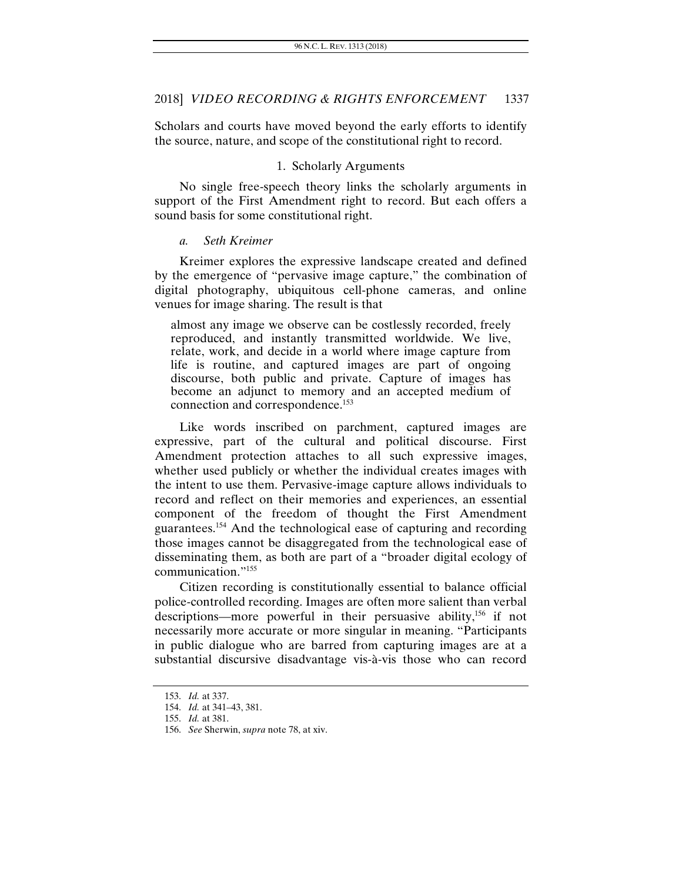Scholars and courts have moved beyond the early efforts to identify the source, nature, and scope of the constitutional right to record.

#### 1. Scholarly Arguments

No single free-speech theory links the scholarly arguments in support of the First Amendment right to record. But each offers a sound basis for some constitutional right.

#### *a. Seth Kreimer*

Kreimer explores the expressive landscape created and defined by the emergence of "pervasive image capture," the combination of digital photography, ubiquitous cell-phone cameras, and online venues for image sharing. The result is that

almost any image we observe can be costlessly recorded, freely reproduced, and instantly transmitted worldwide. We live, relate, work, and decide in a world where image capture from life is routine, and captured images are part of ongoing discourse, both public and private. Capture of images has become an adjunct to memory and an accepted medium of connection and correspondence.<sup>153</sup>

Like words inscribed on parchment, captured images are expressive, part of the cultural and political discourse. First Amendment protection attaches to all such expressive images, whether used publicly or whether the individual creates images with the intent to use them. Pervasive-image capture allows individuals to record and reflect on their memories and experiences, an essential component of the freedom of thought the First Amendment guarantees.154 And the technological ease of capturing and recording those images cannot be disaggregated from the technological ease of disseminating them, as both are part of a "broader digital ecology of communication."155

Citizen recording is constitutionally essential to balance official police-controlled recording. Images are often more salient than verbal descriptions—more powerful in their persuasive ability,<sup>156</sup> if not necessarily more accurate or more singular in meaning. "Participants in public dialogue who are barred from capturing images are at a substantial discursive disadvantage vis-à-vis those who can record

<sup>153.</sup> *Id.* at 337.

<sup>154.</sup> *Id.* at 341–43, 381.

<sup>155.</sup> *Id.* at 381.

<sup>156.</sup> *See* Sherwin, *supra* note 78, at xiv.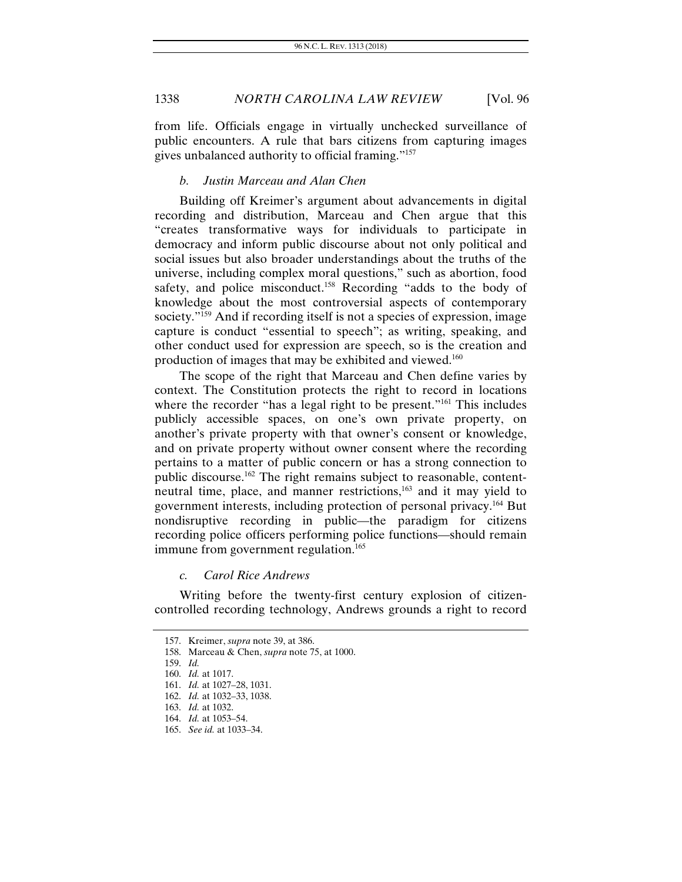from life. Officials engage in virtually unchecked surveillance of public encounters. A rule that bars citizens from capturing images gives unbalanced authority to official framing."157

#### *b. Justin Marceau and Alan Chen*

Building off Kreimer's argument about advancements in digital recording and distribution, Marceau and Chen argue that this "creates transformative ways for individuals to participate in democracy and inform public discourse about not only political and social issues but also broader understandings about the truths of the universe, including complex moral questions," such as abortion, food safety, and police misconduct.<sup>158</sup> Recording "adds to the body of knowledge about the most controversial aspects of contemporary society."<sup>159</sup> And if recording itself is not a species of expression, image capture is conduct "essential to speech"; as writing, speaking, and other conduct used for expression are speech, so is the creation and production of images that may be exhibited and viewed.160

The scope of the right that Marceau and Chen define varies by context. The Constitution protects the right to record in locations where the recorder "has a legal right to be present."<sup>161</sup> This includes publicly accessible spaces, on one's own private property, on another's private property with that owner's consent or knowledge, and on private property without owner consent where the recording pertains to a matter of public concern or has a strong connection to public discourse.162 The right remains subject to reasonable, contentneutral time, place, and manner restrictions,<sup>163</sup> and it may yield to government interests, including protection of personal privacy.164 But nondisruptive recording in public—the paradigm for citizens recording police officers performing police functions—should remain immune from government regulation.<sup>165</sup>

*c. Carol Rice Andrews* 

Writing before the twenty-first century explosion of citizencontrolled recording technology, Andrews grounds a right to record

 <sup>157.</sup> Kreimer, *supra* note 39, at 386.

 <sup>158.</sup> Marceau & Chen, *supra* note 75, at 1000.

<sup>159.</sup> *Id.* 

<sup>160.</sup> *Id.* at 1017.

<sup>161.</sup> *Id.* at 1027–28, 1031.

<sup>162.</sup> *Id.* at 1032–33, 1038.

<sup>163.</sup> *Id.* at 1032.

<sup>164.</sup> *Id.* at 1053–54.

<sup>165.</sup> *See id.* at 1033–34.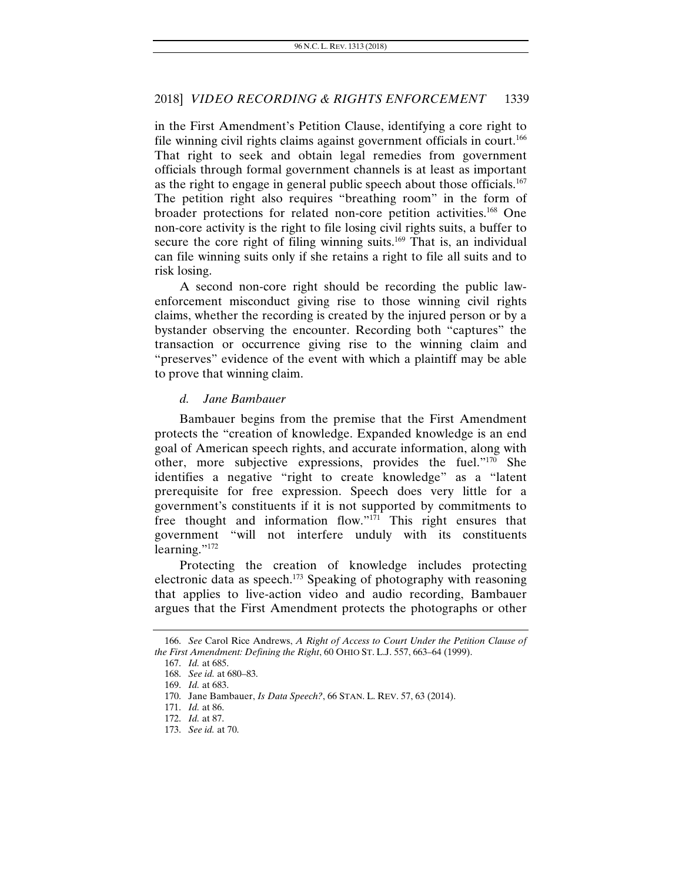in the First Amendment's Petition Clause, identifying a core right to file winning civil rights claims against government officials in court.<sup>166</sup> That right to seek and obtain legal remedies from government officials through formal government channels is at least as important as the right to engage in general public speech about those officials.167 The petition right also requires "breathing room" in the form of broader protections for related non-core petition activities.168 One non-core activity is the right to file losing civil rights suits, a buffer to secure the core right of filing winning suits.<sup>169</sup> That is, an individual can file winning suits only if she retains a right to file all suits and to risk losing.

A second non-core right should be recording the public lawenforcement misconduct giving rise to those winning civil rights claims, whether the recording is created by the injured person or by a bystander observing the encounter. Recording both "captures" the transaction or occurrence giving rise to the winning claim and "preserves" evidence of the event with which a plaintiff may be able to prove that winning claim.

#### *d. Jane Bambauer*

Bambauer begins from the premise that the First Amendment protects the "creation of knowledge. Expanded knowledge is an end goal of American speech rights, and accurate information, along with other, more subjective expressions, provides the fuel."170 She identifies a negative "right to create knowledge" as a "latent prerequisite for free expression. Speech does very little for a government's constituents if it is not supported by commitments to free thought and information flow."171 This right ensures that government "will not interfere unduly with its constituents learning."<sup>172</sup>

Protecting the creation of knowledge includes protecting electronic data as speech.<sup>173</sup> Speaking of photography with reasoning that applies to live-action video and audio recording, Bambauer argues that the First Amendment protects the photographs or other

<sup>166.</sup> *See* Carol Rice Andrews, *A Right of Access to Court Under the Petition Clause of the First Amendment: Defining the Right*, 60 OHIO ST. L.J. 557, 663–64 (1999).

<sup>167.</sup> *Id.* at 685.

<sup>168.</sup> *See id.* at 680–83.

<sup>169.</sup> *Id.* at 683.

 <sup>170.</sup> Jane Bambauer, *Is Data Speech?*, 66 STAN. L. REV. 57, 63 (2014).

<sup>171.</sup> *Id.* at 86.

<sup>172.</sup> *Id.* at 87.

<sup>173.</sup> *See id.* at 70.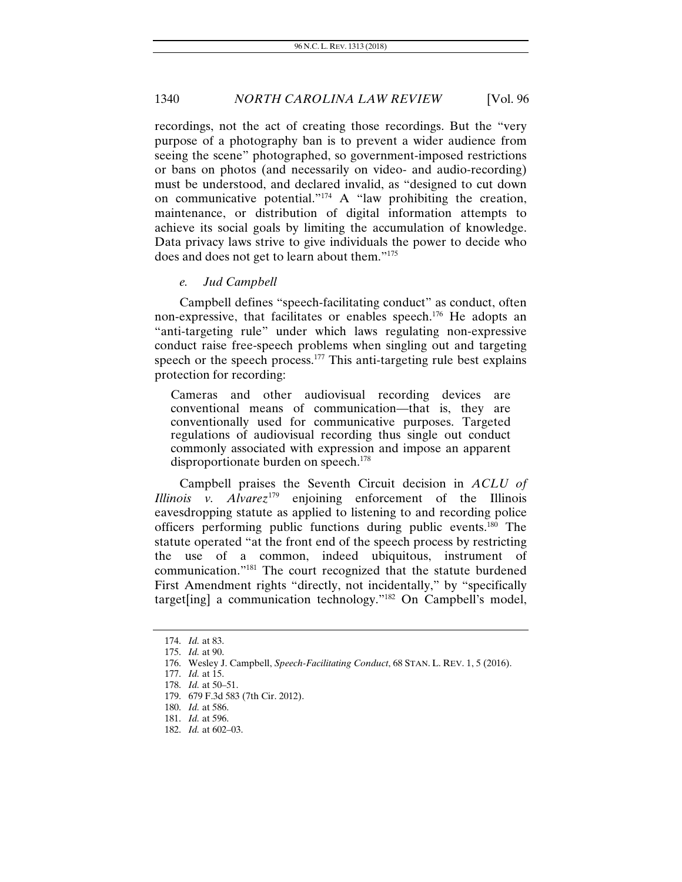recordings, not the act of creating those recordings. But the "very purpose of a photography ban is to prevent a wider audience from seeing the scene" photographed, so government-imposed restrictions or bans on photos (and necessarily on video- and audio-recording) must be understood, and declared invalid, as "designed to cut down on communicative potential."174 A "law prohibiting the creation, maintenance, or distribution of digital information attempts to achieve its social goals by limiting the accumulation of knowledge. Data privacy laws strive to give individuals the power to decide who does and does not get to learn about them."175

*e. Jud Campbell* 

Campbell defines "speech-facilitating conduct" as conduct, often non-expressive, that facilitates or enables speech.176 He adopts an "anti-targeting rule" under which laws regulating non-expressive conduct raise free-speech problems when singling out and targeting speech or the speech process.<sup>177</sup> This anti-targeting rule best explains protection for recording:

Cameras and other audiovisual recording devices are conventional means of communication—that is, they are conventionally used for communicative purposes. Targeted regulations of audiovisual recording thus single out conduct commonly associated with expression and impose an apparent disproportionate burden on speech.<sup>178</sup>

Campbell praises the Seventh Circuit decision in *ACLU of Illinois v. Alvarez*<sup>179</sup> enjoining enforcement of the Illinois eavesdropping statute as applied to listening to and recording police officers performing public functions during public events.180 The statute operated "at the front end of the speech process by restricting the use of a common, indeed ubiquitous, instrument of communication."181 The court recognized that the statute burdened First Amendment rights "directly, not incidentally," by "specifically target[ing] a communication technology."182 On Campbell's model,

<sup>174.</sup> *Id.* at 83.

<sup>175.</sup> *Id.* at 90.

 <sup>176.</sup> Wesley J. Campbell, *Speech-Facilitating Conduct*, 68 STAN. L. REV. 1, 5 (2016).

<sup>177.</sup> *Id.* at 15.

<sup>178.</sup> *Id.* at 50–51.

 <sup>179. 679</sup> F.3d 583 (7th Cir. 2012).

 <sup>180.</sup> *Id.* at 586.

<sup>181.</sup> *Id.* at 596.

<sup>182.</sup> *Id.* at 602–03.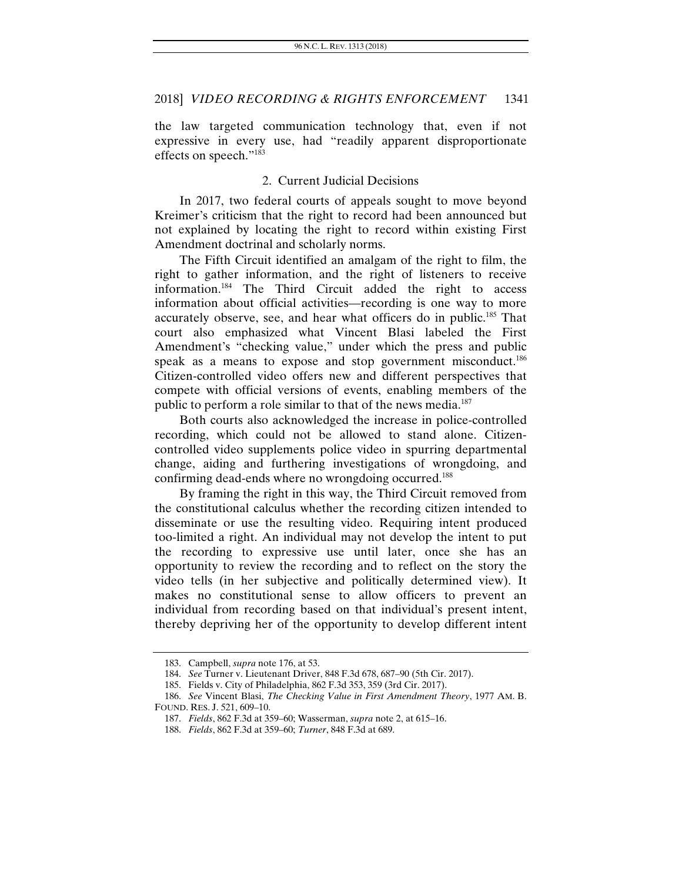the law targeted communication technology that, even if not expressive in every use, had "readily apparent disproportionate effects on speech."183

#### 2. Current Judicial Decisions

In 2017, two federal courts of appeals sought to move beyond Kreimer's criticism that the right to record had been announced but not explained by locating the right to record within existing First Amendment doctrinal and scholarly norms.

The Fifth Circuit identified an amalgam of the right to film, the right to gather information, and the right of listeners to receive information.184 The Third Circuit added the right to access information about official activities—recording is one way to more accurately observe, see, and hear what officers do in public.185 That court also emphasized what Vincent Blasi labeled the First Amendment's "checking value," under which the press and public speak as a means to expose and stop government misconduct.<sup>186</sup> Citizen-controlled video offers new and different perspectives that compete with official versions of events, enabling members of the public to perform a role similar to that of the news media.<sup>187</sup>

Both courts also acknowledged the increase in police-controlled recording, which could not be allowed to stand alone. Citizencontrolled video supplements police video in spurring departmental change, aiding and furthering investigations of wrongdoing, and confirming dead-ends where no wrongdoing occurred.<sup>188</sup>

By framing the right in this way, the Third Circuit removed from the constitutional calculus whether the recording citizen intended to disseminate or use the resulting video. Requiring intent produced too-limited a right. An individual may not develop the intent to put the recording to expressive use until later, once she has an opportunity to review the recording and to reflect on the story the video tells (in her subjective and politically determined view). It makes no constitutional sense to allow officers to prevent an individual from recording based on that individual's present intent, thereby depriving her of the opportunity to develop different intent

 <sup>183.</sup> Campbell, *supra* note 176, at 53.

<sup>184.</sup> *See* Turner v. Lieutenant Driver, 848 F.3d 678, 687–90 (5th Cir. 2017).

 <sup>185.</sup> Fields v. City of Philadelphia, 862 F.3d 353, 359 (3rd Cir. 2017).

<sup>186.</sup> *See* Vincent Blasi, *The Checking Value in First Amendment Theory*, 1977 AM. B. FOUND. RES. J. 521, 609–10.

<sup>187.</sup> *Fields*, 862 F.3d at 359–60; Wasserman, *supra* note 2, at 615–16.

<sup>188.</sup> *Fields*, 862 F.3d at 359–60; *Turner*, 848 F.3d at 689.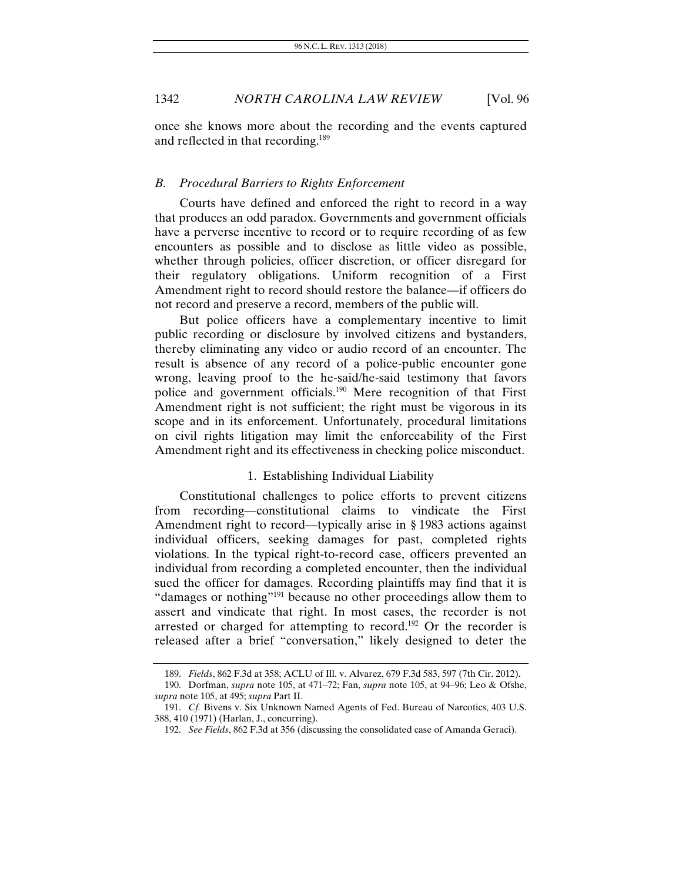once she knows more about the recording and the events captured and reflected in that recording.189

#### *B. Procedural Barriers to Rights Enforcement*

Courts have defined and enforced the right to record in a way that produces an odd paradox. Governments and government officials have a perverse incentive to record or to require recording of as few encounters as possible and to disclose as little video as possible, whether through policies, officer discretion, or officer disregard for their regulatory obligations. Uniform recognition of a First Amendment right to record should restore the balance—if officers do not record and preserve a record, members of the public will.

But police officers have a complementary incentive to limit public recording or disclosure by involved citizens and bystanders, thereby eliminating any video or audio record of an encounter. The result is absence of any record of a police-public encounter gone wrong, leaving proof to the he-said/he-said testimony that favors police and government officials.190 Mere recognition of that First Amendment right is not sufficient; the right must be vigorous in its scope and in its enforcement. Unfortunately, procedural limitations on civil rights litigation may limit the enforceability of the First Amendment right and its effectiveness in checking police misconduct.

#### 1. Establishing Individual Liability

Constitutional challenges to police efforts to prevent citizens from recording—constitutional claims to vindicate the First Amendment right to record—typically arise in § 1983 actions against individual officers, seeking damages for past, completed rights violations. In the typical right-to-record case, officers prevented an individual from recording a completed encounter, then the individual sued the officer for damages. Recording plaintiffs may find that it is "damages or nothing"<sup>191</sup> because no other proceedings allow them to assert and vindicate that right. In most cases, the recorder is not arrested or charged for attempting to record.<sup>192</sup> Or the recorder is released after a brief "conversation," likely designed to deter the

<sup>189.</sup> *Fields*, 862 F.3d at 358; ACLU of Ill. v. Alvarez, 679 F.3d 583, 597 (7th Cir. 2012).

 <sup>190.</sup> Dorfman, *supra* note 105, at 471–72; Fan, *supra* note 105, at 94–96; Leo & Ofshe, *supra* note 105, at 495; *supra* Part II.

<sup>191.</sup> *Cf.* Bivens v. Six Unknown Named Agents of Fed. Bureau of Narcotics, 403 U.S. 388, 410 (1971) (Harlan, J., concurring).

<sup>192.</sup> *See Fields*, 862 F.3d at 356 (discussing the consolidated case of Amanda Geraci).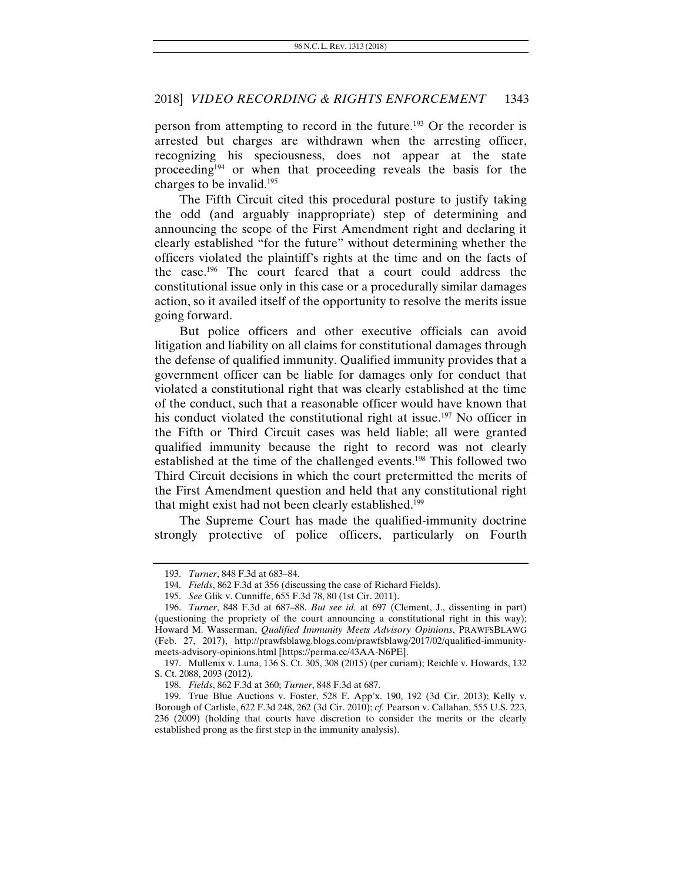person from attempting to record in the future.193 Or the recorder is arrested but charges are withdrawn when the arresting officer, recognizing his speciousness, does not appear at the state proceeding<sup>194</sup> or when that proceeding reveals the basis for the charges to be invalid. $195$ 

The Fifth Circuit cited this procedural posture to justify taking the odd (and arguably inappropriate) step of determining and announcing the scope of the First Amendment right and declaring it clearly established "for the future" without determining whether the officers violated the plaintiff's rights at the time and on the facts of the case.196 The court feared that a court could address the constitutional issue only in this case or a procedurally similar damages action, so it availed itself of the opportunity to resolve the merits issue going forward.

But police officers and other executive officials can avoid litigation and liability on all claims for constitutional damages through the defense of qualified immunity. Qualified immunity provides that a government officer can be liable for damages only for conduct that violated a constitutional right that was clearly established at the time of the conduct, such that a reasonable officer would have known that his conduct violated the constitutional right at issue.<sup>197</sup> No officer in the Fifth or Third Circuit cases was held liable; all were granted qualified immunity because the right to record was not clearly established at the time of the challenged events.<sup>198</sup> This followed two Third Circuit decisions in which the court pretermitted the merits of the First Amendment question and held that any constitutional right that might exist had not been clearly established.<sup>199</sup>

The Supreme Court has made the qualified-immunity doctrine strongly protective of police officers, particularly on Fourth

<sup>193.</sup> *Turner*, 848 F.3d at 683–84.

<sup>194.</sup> *Fields*, 862 F.3d at 356 (discussing the case of Richard Fields).

<sup>195.</sup> *See* Glik v. Cunniffe, 655 F.3d 78, 80 (1st Cir. 2011).

<sup>196.</sup> *Turner*, 848 F.3d at 687–88. *But see id.* at 697 (Clement, J., dissenting in part) (questioning the propriety of the court announcing a constitutional right in this way); Howard M. Wasserman, *Qualified Immunity Meets Advisory Opinions*, PRAWFSBLAWG (Feb. 27, 2017), http://prawfsblawg.blogs.com/prawfsblawg/2017/02/qualified-immunitymeets-advisory-opinions.html [https://perma.cc/43AA-N6PE].

 <sup>197.</sup> Mullenix v. Luna, 136 S. Ct. 305, 308 (2015) (per curiam); Reichle v. Howards, 132 S. Ct. 2088, 2093 (2012).

<sup>198.</sup> *Fields*, 862 F.3d at 360; *Turner*, 848 F.3d at 687.

 <sup>199.</sup> True Blue Auctions v. Foster, 528 F. App'x. 190, 192 (3d Cir. 2013); Kelly v. Borough of Carlisle, 622 F.3d 248, 262 (3d Cir. 2010); *cf.* Pearson v. Callahan, 555 U.S. 223, 236 (2009) (holding that courts have discretion to consider the merits or the clearly established prong as the first step in the immunity analysis).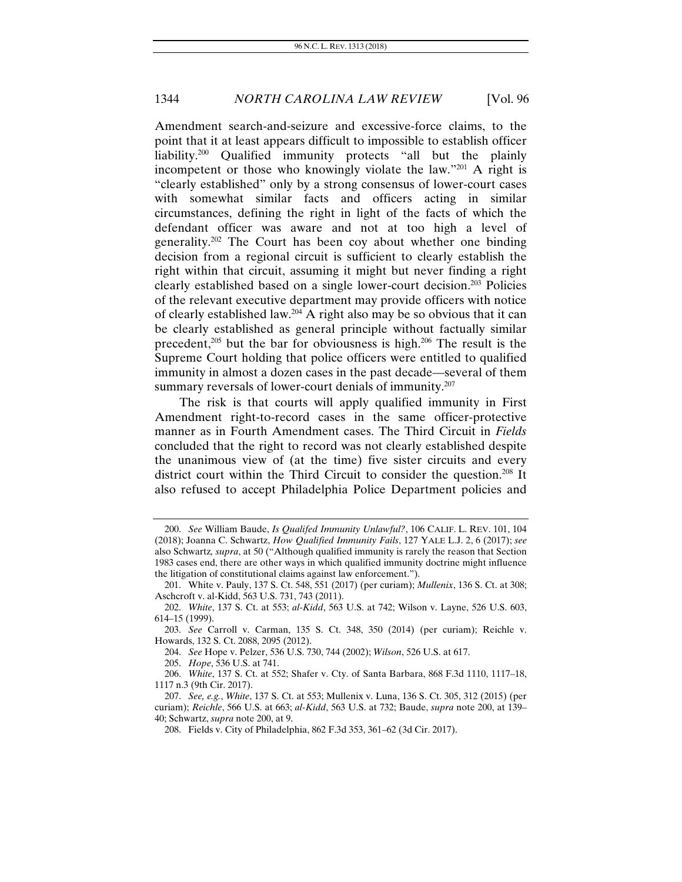Amendment search-and-seizure and excessive-force claims, to the point that it at least appears difficult to impossible to establish officer liability.200 Qualified immunity protects "all but the plainly incompetent or those who knowingly violate the law."201 A right is "clearly established" only by a strong consensus of lower-court cases with somewhat similar facts and officers acting in similar circumstances, defining the right in light of the facts of which the defendant officer was aware and not at too high a level of generality.202 The Court has been coy about whether one binding decision from a regional circuit is sufficient to clearly establish the right within that circuit, assuming it might but never finding a right clearly established based on a single lower-court decision.203 Policies of the relevant executive department may provide officers with notice of clearly established law.<sup>204</sup> A right also may be so obvious that it can be clearly established as general principle without factually similar precedent,<sup>205</sup> but the bar for obviousness is high.<sup>206</sup> The result is the Supreme Court holding that police officers were entitled to qualified immunity in almost a dozen cases in the past decade—several of them summary reversals of lower-court denials of immunity.<sup>207</sup>

The risk is that courts will apply qualified immunity in First Amendment right-to-record cases in the same officer-protective manner as in Fourth Amendment cases. The Third Circuit in *Fields* concluded that the right to record was not clearly established despite the unanimous view of (at the time) five sister circuits and every district court within the Third Circuit to consider the question.<sup>208</sup> It also refused to accept Philadelphia Police Department policies and

206. *White*, 137 S. Ct. at 552; Shafer v. Cty. of Santa Barbara, 868 F.3d 1110, 1117–18, 1117 n.3 (9th Cir. 2017).

<sup>200.</sup> *See* William Baude, *Is Qualifed Immunity Unlawful?*, 106 CALIF. L. REV. 101, 104 (2018); Joanna C. Schwartz, *How Qualified Immunity Fails*, 127 YALE L.J. 2, 6 (2017); *see*  also Schwartz*, supra*, at 50 ("Although qualified immunity is rarely the reason that Section 1983 cases end, there are other ways in which qualified immunity doctrine might influence the litigation of constitutional claims against law enforcement.").

<sup>201.</sup> White v. Pauly, 137 S. Ct. 548, 551 (2017) (per curiam); *Mullenix*, 136 S. Ct. at 308; Aschcroft v. al-Kidd, 563 U.S. 731, 743 (2011).

<sup>202.</sup> *White*, 137 S. Ct. at 553; *al-Kidd*, 563 U.S. at 742; Wilson v. Layne, 526 U.S. 603, 614–15 (1999).

<sup>203.</sup> *See* Carroll v. Carman, 135 S. Ct. 348, 350 (2014) (per curiam); Reichle v. Howards, 132 S. Ct. 2088, 2095 (2012).

<sup>204.</sup> *See* Hope v. Pelzer, 536 U.S. 730, 744 (2002); *Wilson*, 526 U.S. at 617.

<sup>205.</sup> *Hope*, 536 U.S. at 741.

<sup>207.</sup> *See, e.g.*, *White*, 137 S. Ct. at 553; Mullenix v. Luna, 136 S. Ct. 305, 312 (2015) (per curiam); *Reichle*, 566 U.S. at 663; *al-Kidd*, 563 U.S. at 732; Baude, *supra* note 200, at 139– 40; Schwartz, *supra* note 200, at 9.

 <sup>208.</sup> Fields v. City of Philadelphia, 862 F.3d 353, 361–62 (3d Cir. 2017).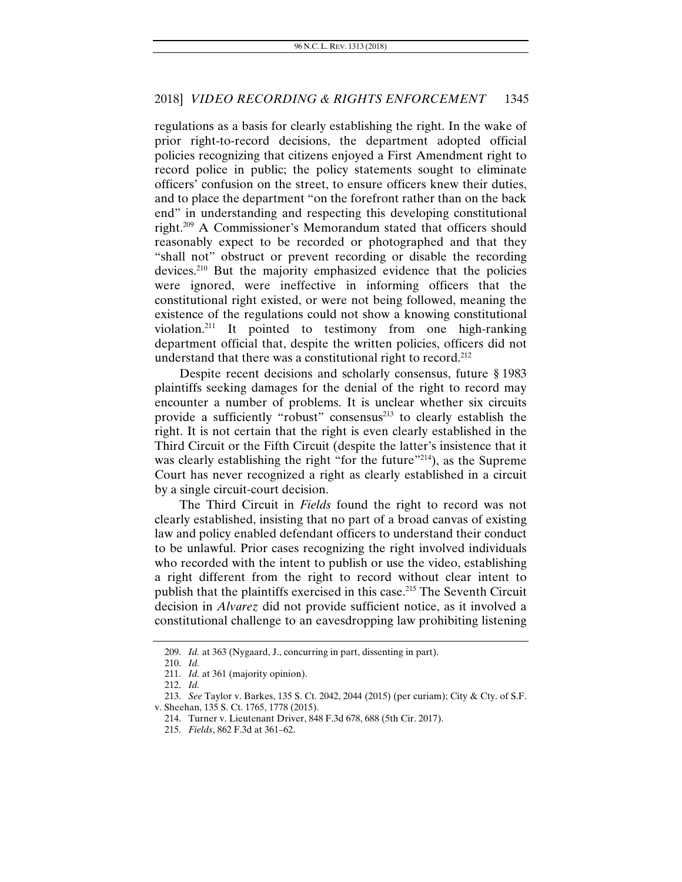regulations as a basis for clearly establishing the right. In the wake of prior right-to-record decisions, the department adopted official policies recognizing that citizens enjoyed a First Amendment right to record police in public; the policy statements sought to eliminate officers' confusion on the street, to ensure officers knew their duties, and to place the department "on the forefront rather than on the back end" in understanding and respecting this developing constitutional right.209 A Commissioner's Memorandum stated that officers should reasonably expect to be recorded or photographed and that they "shall not" obstruct or prevent recording or disable the recording devices.210 But the majority emphasized evidence that the policies were ignored, were ineffective in informing officers that the constitutional right existed, or were not being followed, meaning the existence of the regulations could not show a knowing constitutional violation.211 It pointed to testimony from one high-ranking department official that, despite the written policies, officers did not understand that there was a constitutional right to record.<sup>212</sup>

Despite recent decisions and scholarly consensus, future § 1983 plaintiffs seeking damages for the denial of the right to record may encounter a number of problems. It is unclear whether six circuits provide a sufficiently "robust" consensus<sup>213</sup> to clearly establish the right. It is not certain that the right is even clearly established in the Third Circuit or the Fifth Circuit (despite the latter's insistence that it was clearly establishing the right "for the future"<sup>214</sup>), as the Supreme Court has never recognized a right as clearly established in a circuit by a single circuit-court decision.

The Third Circuit in *Fields* found the right to record was not clearly established, insisting that no part of a broad canvas of existing law and policy enabled defendant officers to understand their conduct to be unlawful. Prior cases recognizing the right involved individuals who recorded with the intent to publish or use the video, establishing a right different from the right to record without clear intent to publish that the plaintiffs exercised in this case.<sup>215</sup> The Seventh Circuit decision in *Alvarez* did not provide sufficient notice, as it involved a constitutional challenge to an eavesdropping law prohibiting listening

<sup>209.</sup> *Id.* at 363 (Nygaard, J., concurring in part, dissenting in part).

<sup>210.</sup> *Id.* 

<sup>211.</sup> *Id.* at 361 (majority opinion).

<sup>212.</sup> *Id.*

<sup>213.</sup> *See* Taylor v. Barkes, 135 S. Ct. 2042, 2044 (2015) (per curiam); City & Cty. of S.F. v. Sheehan, 135 S. Ct. 1765, 1778 (2015).

 <sup>214.</sup> Turner v. Lieutenant Driver, 848 F.3d 678, 688 (5th Cir. 2017).

 <sup>215.</sup> *Fields*, 862 F.3d at 361–62.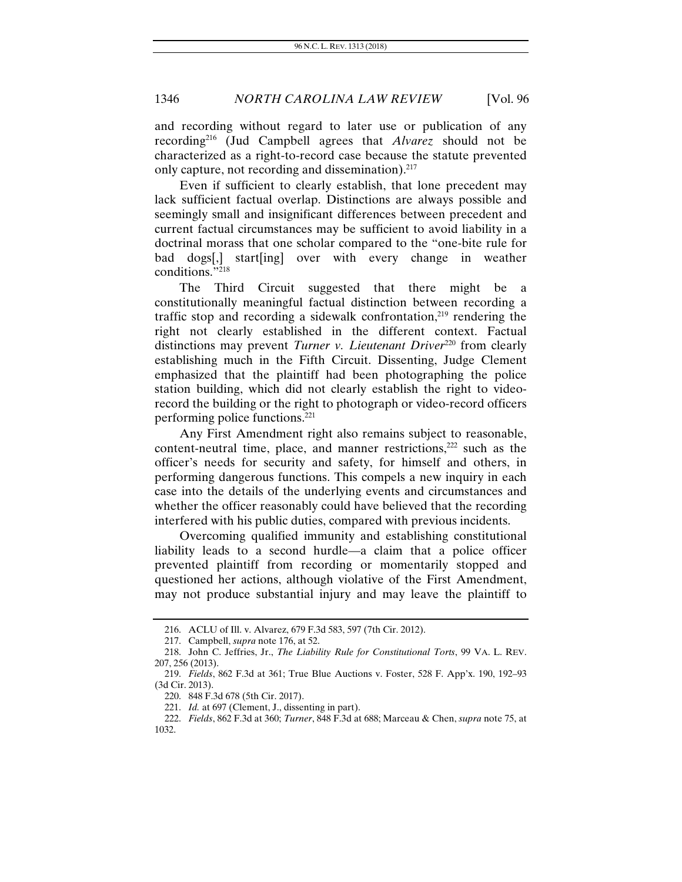and recording without regard to later use or publication of any recording216 (Jud Campbell agrees that *Alvarez* should not be characterized as a right-to-record case because the statute prevented only capture, not recording and dissemination).<sup>217</sup>

Even if sufficient to clearly establish, that lone precedent may lack sufficient factual overlap. Distinctions are always possible and seemingly small and insignificant differences between precedent and current factual circumstances may be sufficient to avoid liability in a doctrinal morass that one scholar compared to the "one-bite rule for bad dogs[,] start[ing] over with every change in weather conditions."218

The Third Circuit suggested that there might be a constitutionally meaningful factual distinction between recording a traffic stop and recording a sidewalk confrontation,<sup>219</sup> rendering the right not clearly established in the different context. Factual distinctions may prevent *Turner v. Lieutenant Driver*<sup>220</sup> from clearly establishing much in the Fifth Circuit. Dissenting, Judge Clement emphasized that the plaintiff had been photographing the police station building, which did not clearly establish the right to videorecord the building or the right to photograph or video-record officers performing police functions.221

Any First Amendment right also remains subject to reasonable, content-neutral time, place, and manner restrictions, $222$  such as the officer's needs for security and safety, for himself and others, in performing dangerous functions. This compels a new inquiry in each case into the details of the underlying events and circumstances and whether the officer reasonably could have believed that the recording interfered with his public duties, compared with previous incidents.

Overcoming qualified immunity and establishing constitutional liability leads to a second hurdle—a claim that a police officer prevented plaintiff from recording or momentarily stopped and questioned her actions, although violative of the First Amendment, may not produce substantial injury and may leave the plaintiff to

 <sup>216.</sup> ACLU of Ill. v. Alvarez, 679 F.3d 583, 597 (7th Cir. 2012).

 <sup>217.</sup> Campbell, *supra* note 176, at 52.

<sup>218.</sup> John C. Jeffries, Jr., *The Liability Rule for Constitutional Torts*, 99 VA. L. REV. 207, 256 (2013).

<sup>219.</sup> *Fields*, 862 F.3d at 361; True Blue Auctions v. Foster, 528 F. App'x. 190, 192–93 (3d Cir. 2013).

 <sup>220. 848</sup> F.3d 678 (5th Cir. 2017).

 <sup>221.</sup> *Id.* at 697 (Clement, J., dissenting in part).

<sup>222.</sup> *Fields*, 862 F.3d at 360; *Turner*, 848 F.3d at 688; Marceau & Chen, *supra* note 75, at 1032.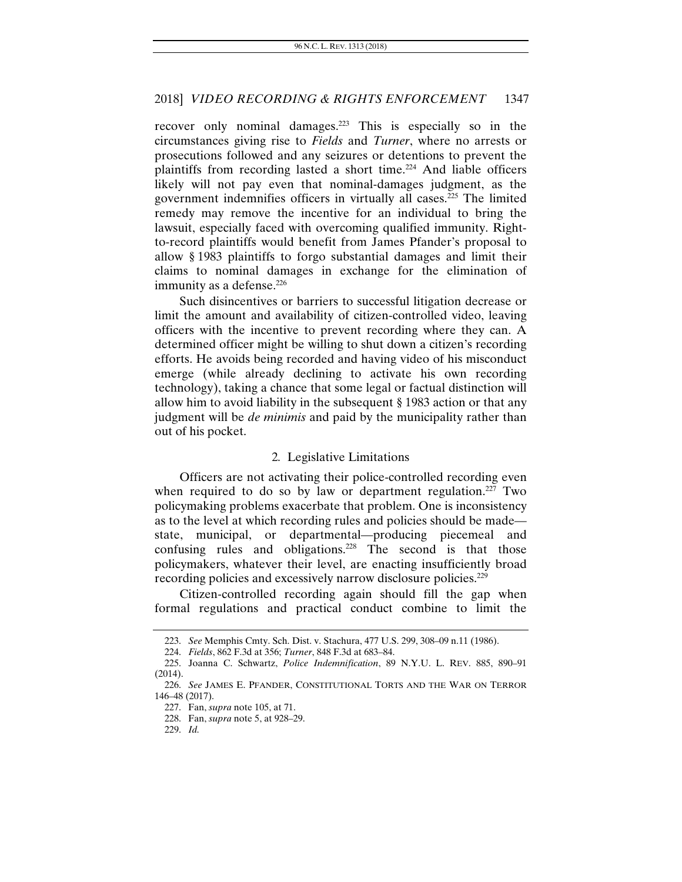recover only nominal damages.223 This is especially so in the circumstances giving rise to *Fields* and *Turner*, where no arrests or prosecutions followed and any seizures or detentions to prevent the plaintiffs from recording lasted a short time.224 And liable officers likely will not pay even that nominal-damages judgment, as the government indemnifies officers in virtually all cases.225 The limited remedy may remove the incentive for an individual to bring the lawsuit, especially faced with overcoming qualified immunity. Rightto-record plaintiffs would benefit from James Pfander's proposal to allow § 1983 plaintiffs to forgo substantial damages and limit their claims to nominal damages in exchange for the elimination of immunity as a defense.<sup>226</sup>

Such disincentives or barriers to successful litigation decrease or limit the amount and availability of citizen-controlled video, leaving officers with the incentive to prevent recording where they can. A determined officer might be willing to shut down a citizen's recording efforts. He avoids being recorded and having video of his misconduct emerge (while already declining to activate his own recording technology), taking a chance that some legal or factual distinction will allow him to avoid liability in the subsequent § 1983 action or that any judgment will be *de minimis* and paid by the municipality rather than out of his pocket.

#### 2*.* Legislative Limitations

Officers are not activating their police-controlled recording even when required to do so by law or department regulation.<sup>227</sup> Two policymaking problems exacerbate that problem. One is inconsistency as to the level at which recording rules and policies should be made state, municipal, or departmental—producing piecemeal and confusing rules and obligations.<sup>228</sup> The second is that those policymakers, whatever their level, are enacting insufficiently broad recording policies and excessively narrow disclosure policies.<sup>229</sup>

Citizen-controlled recording again should fill the gap when formal regulations and practical conduct combine to limit the

<sup>223.</sup> *See* Memphis Cmty. Sch. Dist. v. Stachura, 477 U.S. 299, 308–09 n.11 (1986).

<sup>224.</sup> *Fields*, 862 F.3d at 356; *Turner*, 848 F.3d at 683–84.

 <sup>225.</sup> Joanna C. Schwartz, *Police Indemnification*, 89 N.Y.U. L. REV. 885, 890–91  $(2014)$ .

 <sup>226.</sup> *See* JAMES E. PFANDER, CONSTITUTIONAL TORTS AND THE WAR ON TERROR 146–48 (2017).

 <sup>227.</sup> Fan, *supra* note 105, at 71.

 <sup>228.</sup> Fan, *supra* note 5, at 928–29.

<sup>229.</sup> *Id.*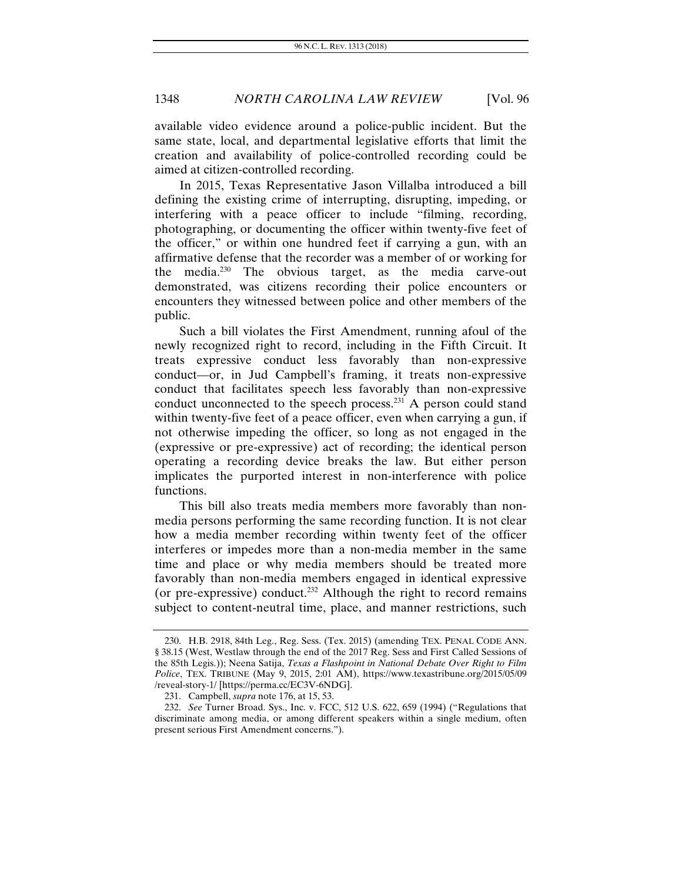available video evidence around a police-public incident. But the same state, local, and departmental legislative efforts that limit the creation and availability of police-controlled recording could be aimed at citizen-controlled recording.

In 2015, Texas Representative Jason Villalba introduced a bill defining the existing crime of interrupting, disrupting, impeding, or interfering with a peace officer to include "filming, recording, photographing, or documenting the officer within twenty-five feet of the officer," or within one hundred feet if carrying a gun, with an affirmative defense that the recorder was a member of or working for the media.230 The obvious target, as the media carve-out demonstrated, was citizens recording their police encounters or encounters they witnessed between police and other members of the public.

Such a bill violates the First Amendment, running afoul of the newly recognized right to record, including in the Fifth Circuit. It treats expressive conduct less favorably than non-expressive conduct—or, in Jud Campbell's framing, it treats non-expressive conduct that facilitates speech less favorably than non-expressive conduct unconnected to the speech process.231 A person could stand within twenty-five feet of a peace officer, even when carrying a gun, if not otherwise impeding the officer, so long as not engaged in the (expressive or pre-expressive) act of recording; the identical person operating a recording device breaks the law. But either person implicates the purported interest in non-interference with police functions.

This bill also treats media members more favorably than nonmedia persons performing the same recording function. It is not clear how a media member recording within twenty feet of the officer interferes or impedes more than a non-media member in the same time and place or why media members should be treated more favorably than non-media members engaged in identical expressive (or pre-expressive) conduct.<sup>232</sup> Although the right to record remains subject to content-neutral time, place, and manner restrictions, such

<sup>230.</sup> H.B. 2918, 84th Leg., Reg. Sess. (Tex. 2015) (amending TEX. PENAL CODE ANN. § 38.15 (West, Westlaw through the end of the 2017 Reg. Sess and First Called Sessions of the 85th Legis.)); Neena Satija, *Texas a Flashpoint in National Debate Over Right to Film Police*, TEX. TRIBUNE (May 9, 2015, 2:01 AM), https://www.texastribune.org/2015/05/09 /reveal-story-1/ [https://perma.cc/EC3V-6NDG].

 <sup>231.</sup> Campbell, *supra* note 176, at 15, 53.

<sup>232.</sup> *See* Turner Broad. Sys., Inc. v. FCC, 512 U.S. 622, 659 (1994) ("Regulations that discriminate among media, or among different speakers within a single medium, often present serious First Amendment concerns.").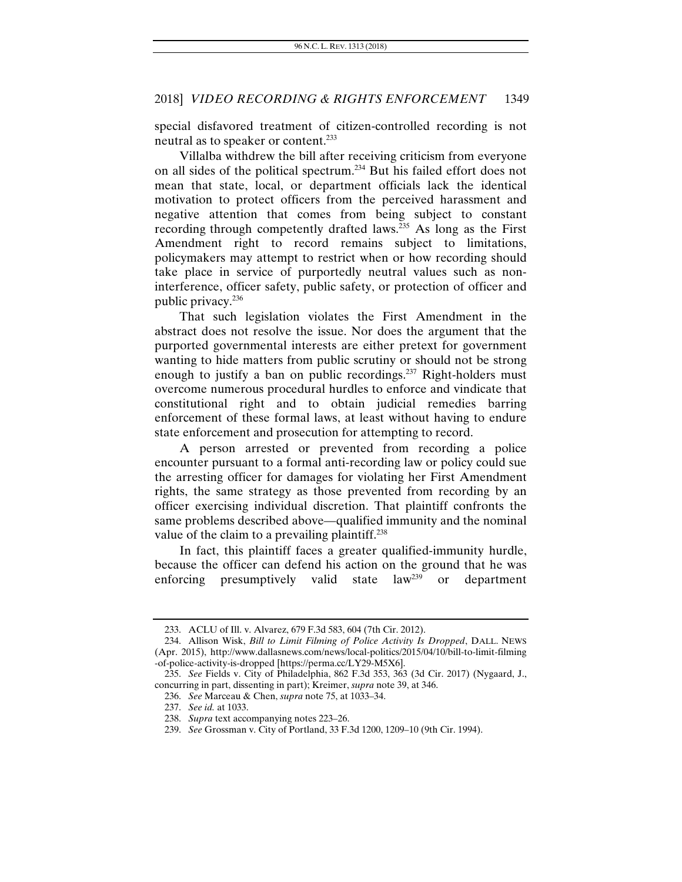special disfavored treatment of citizen-controlled recording is not neutral as to speaker or content.233

Villalba withdrew the bill after receiving criticism from everyone on all sides of the political spectrum.234 But his failed effort does not mean that state, local, or department officials lack the identical motivation to protect officers from the perceived harassment and negative attention that comes from being subject to constant recording through competently drafted laws.<sup>235</sup> As long as the First Amendment right to record remains subject to limitations, policymakers may attempt to restrict when or how recording should take place in service of purportedly neutral values such as noninterference, officer safety, public safety, or protection of officer and public privacy.236

That such legislation violates the First Amendment in the abstract does not resolve the issue. Nor does the argument that the purported governmental interests are either pretext for government wanting to hide matters from public scrutiny or should not be strong enough to justify a ban on public recordings.<sup>237</sup> Right-holders must overcome numerous procedural hurdles to enforce and vindicate that constitutional right and to obtain judicial remedies barring enforcement of these formal laws, at least without having to endure state enforcement and prosecution for attempting to record.

A person arrested or prevented from recording a police encounter pursuant to a formal anti-recording law or policy could sue the arresting officer for damages for violating her First Amendment rights, the same strategy as those prevented from recording by an officer exercising individual discretion. That plaintiff confronts the same problems described above—qualified immunity and the nominal value of the claim to a prevailing plaintiff.<sup>238</sup>

In fact, this plaintiff faces a greater qualified-immunity hurdle, because the officer can defend his action on the ground that he was enforcing presumptively valid state  $\text{law}^{239}$  or department enforcing presumptively valid state  $law^{239}$  or department

<sup>233.</sup> ACLU of Ill. v. Alvarez, 679 F.3d 583, 604 (7th Cir. 2012).

 <sup>234.</sup> Allison Wisk, *Bill to Limit Filming of Police Activity Is Dropped*, DALL. NEWS (Apr. 2015), http://www.dallasnews.com/news/local-politics/2015/04/10/bill-to-limit-filming -of-police-activity-is-dropped [https://perma.cc/LY29-M5X6].

<sup>235.</sup> *See* Fields v. City of Philadelphia, 862 F.3d 353, 363 (3d Cir. 2017) (Nygaard, J., concurring in part, dissenting in part); Kreimer, *supra* note 39, at 346.

<sup>236.</sup> *See* Marceau & Chen, *supra* note 75, at 1033–34.

<sup>237.</sup> *See id.* at 1033.

<sup>238.</sup> *Supra* text accompanying notes 223–26.

<sup>239.</sup> *See* Grossman v. City of Portland, 33 F.3d 1200, 1209–10 (9th Cir. 1994).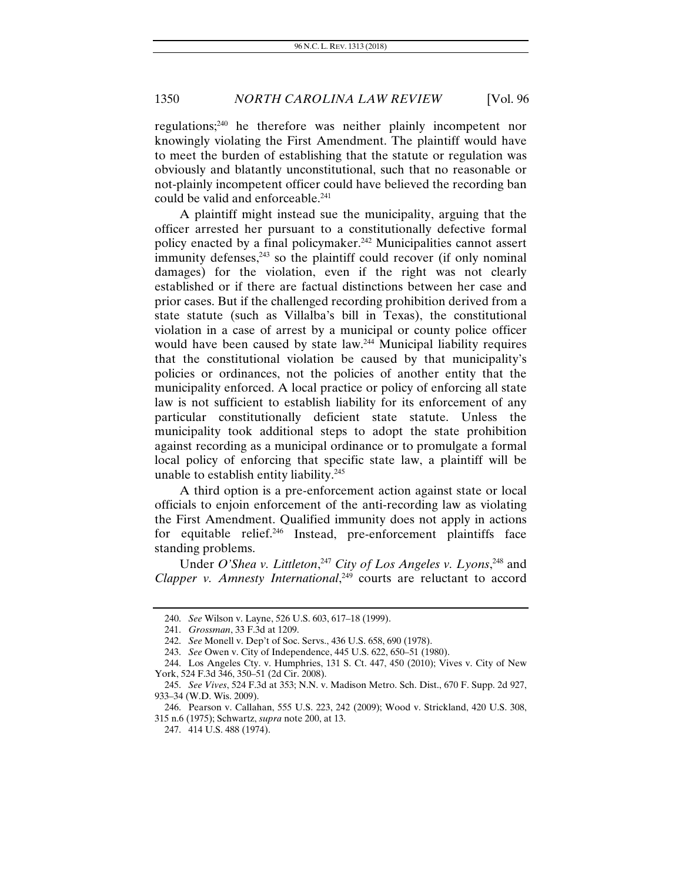regulations;240 he therefore was neither plainly incompetent nor knowingly violating the First Amendment. The plaintiff would have to meet the burden of establishing that the statute or regulation was obviously and blatantly unconstitutional, such that no reasonable or not-plainly incompetent officer could have believed the recording ban could be valid and enforceable.<sup>241</sup>

A plaintiff might instead sue the municipality, arguing that the officer arrested her pursuant to a constitutionally defective formal policy enacted by a final policymaker.<sup>242</sup> Municipalities cannot assert immunity defenses, $243$  so the plaintiff could recover (if only nominal damages) for the violation, even if the right was not clearly established or if there are factual distinctions between her case and prior cases. But if the challenged recording prohibition derived from a state statute (such as Villalba's bill in Texas), the constitutional violation in a case of arrest by a municipal or county police officer would have been caused by state law.<sup>244</sup> Municipal liability requires that the constitutional violation be caused by that municipality's policies or ordinances, not the policies of another entity that the municipality enforced. A local practice or policy of enforcing all state law is not sufficient to establish liability for its enforcement of any particular constitutionally deficient state statute. Unless the municipality took additional steps to adopt the state prohibition against recording as a municipal ordinance or to promulgate a formal local policy of enforcing that specific state law, a plaintiff will be unable to establish entity liability.<sup>245</sup>

A third option is a pre-enforcement action against state or local officials to enjoin enforcement of the anti-recording law as violating the First Amendment. Qualified immunity does not apply in actions for equitable relief.<sup>246</sup> Instead, pre-enforcement plaintiffs face standing problems.

Under *O'Shea v. Littleton*,<sup>247</sup> *City of Los Angeles v. Lyons*,<sup>248</sup> and Clapper v. Amnesty International,<sup>249</sup> courts are reluctant to accord

<sup>240.</sup> *See* Wilson v. Layne, 526 U.S. 603, 617–18 (1999).

<sup>241.</sup> *Grossman*, 33 F.3d at 1209.

 <sup>242.</sup> *See* Monell v. Dep't of Soc. Servs., 436 U.S. 658, 690 (1978).

<sup>243.</sup> *See* Owen v. City of Independence, 445 U.S. 622, 650–51 (1980).

 <sup>244.</sup> Los Angeles Cty. v. Humphries, 131 S. Ct. 447, 450 (2010); Vives v. City of New York, 524 F.3d 346, 350–51 (2d Cir. 2008).

<sup>245.</sup> *See Vives*, 524 F.3d at 353; N.N. v. Madison Metro. Sch. Dist., 670 F. Supp. 2d 927, 933–34 (W.D. Wis. 2009).

 <sup>246.</sup> Pearson v. Callahan, 555 U.S. 223, 242 (2009); Wood v. Strickland, 420 U.S. 308, 315 n.6 (1975); Schwartz, *supra* note 200, at 13.

 <sup>247. 414</sup> U.S. 488 (1974).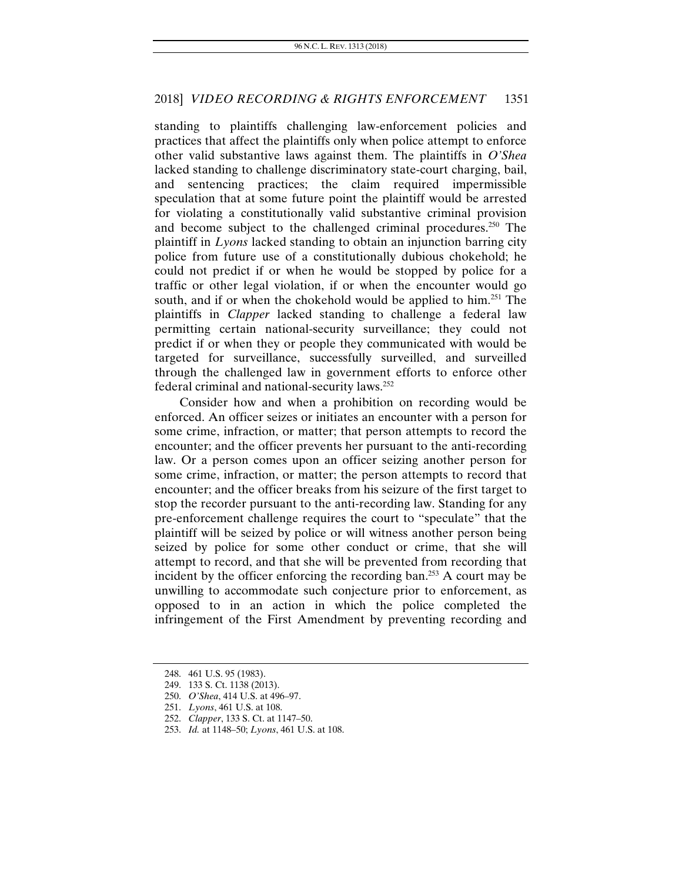standing to plaintiffs challenging law-enforcement policies and practices that affect the plaintiffs only when police attempt to enforce other valid substantive laws against them. The plaintiffs in *O'Shea* lacked standing to challenge discriminatory state-court charging, bail, and sentencing practices; the claim required impermissible speculation that at some future point the plaintiff would be arrested for violating a constitutionally valid substantive criminal provision and become subject to the challenged criminal procedures.<sup>250</sup> The plaintiff in *Lyons* lacked standing to obtain an injunction barring city police from future use of a constitutionally dubious chokehold; he could not predict if or when he would be stopped by police for a traffic or other legal violation, if or when the encounter would go south, and if or when the chokehold would be applied to him.<sup>251</sup> The plaintiffs in *Clapper* lacked standing to challenge a federal law permitting certain national-security surveillance; they could not predict if or when they or people they communicated with would be targeted for surveillance, successfully surveilled, and surveilled through the challenged law in government efforts to enforce other federal criminal and national-security laws.252

Consider how and when a prohibition on recording would be enforced. An officer seizes or initiates an encounter with a person for some crime, infraction, or matter; that person attempts to record the encounter; and the officer prevents her pursuant to the anti-recording law. Or a person comes upon an officer seizing another person for some crime, infraction, or matter; the person attempts to record that encounter; and the officer breaks from his seizure of the first target to stop the recorder pursuant to the anti-recording law. Standing for any pre-enforcement challenge requires the court to "speculate" that the plaintiff will be seized by police or will witness another person being seized by police for some other conduct or crime, that she will attempt to record, and that she will be prevented from recording that incident by the officer enforcing the recording ban.<sup>253</sup> A court may be unwilling to accommodate such conjecture prior to enforcement, as opposed to in an action in which the police completed the infringement of the First Amendment by preventing recording and

 <sup>248. 461</sup> U.S. 95 (1983).

 <sup>249. 133</sup> S. Ct. 1138 (2013).

 <sup>250.</sup> *O'Shea*, 414 U.S. at 496–97.

<sup>251.</sup> *Lyons*, 461 U.S. at 108.

<sup>252.</sup> *Clapper*, 133 S. Ct. at 1147–50.

<sup>253.</sup> *Id.* at 1148–50; *Lyons*, 461 U.S. at 108.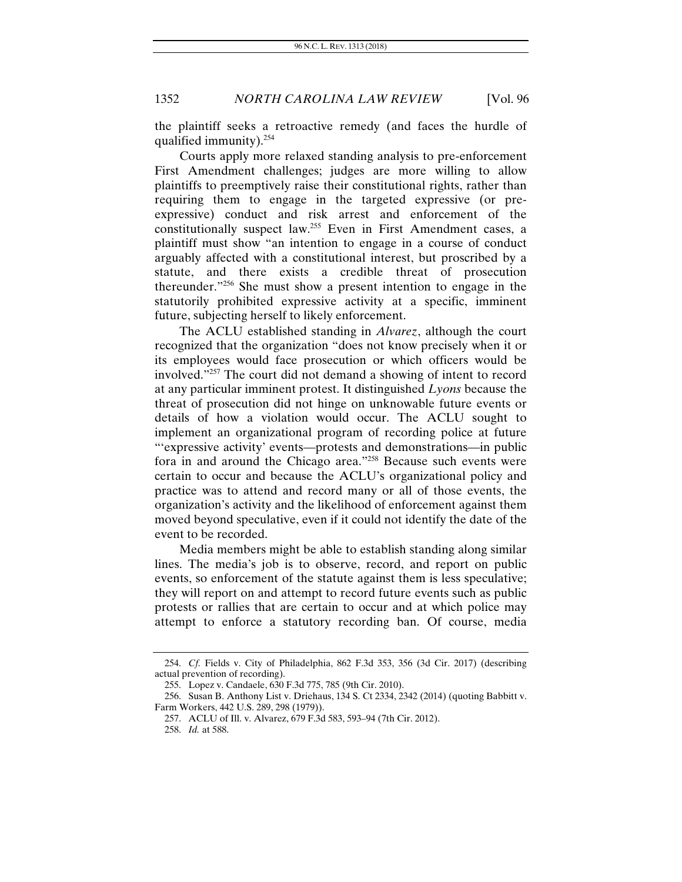the plaintiff seeks a retroactive remedy (and faces the hurdle of qualified immunity).254

Courts apply more relaxed standing analysis to pre-enforcement First Amendment challenges; judges are more willing to allow plaintiffs to preemptively raise their constitutional rights, rather than requiring them to engage in the targeted expressive (or preexpressive) conduct and risk arrest and enforcement of the constitutionally suspect law.255 Even in First Amendment cases, a plaintiff must show "an intention to engage in a course of conduct arguably affected with a constitutional interest, but proscribed by a statute, and there exists a credible threat of prosecution thereunder."256 She must show a present intention to engage in the statutorily prohibited expressive activity at a specific, imminent future, subjecting herself to likely enforcement.

The ACLU established standing in *Alvarez*, although the court recognized that the organization "does not know precisely when it or its employees would face prosecution or which officers would be involved."257 The court did not demand a showing of intent to record at any particular imminent protest. It distinguished *Lyons* because the threat of prosecution did not hinge on unknowable future events or details of how a violation would occur. The ACLU sought to implement an organizational program of recording police at future "'expressive activity' events—protests and demonstrations—in public fora in and around the Chicago area."258 Because such events were certain to occur and because the ACLU's organizational policy and practice was to attend and record many or all of those events, the organization's activity and the likelihood of enforcement against them moved beyond speculative, even if it could not identify the date of the event to be recorded.

Media members might be able to establish standing along similar lines. The media's job is to observe, record, and report on public events, so enforcement of the statute against them is less speculative; they will report on and attempt to record future events such as public protests or rallies that are certain to occur and at which police may attempt to enforce a statutory recording ban. Of course, media

<sup>254.</sup> *Cf.* Fields v. City of Philadelphia, 862 F.3d 353, 356 (3d Cir. 2017) (describing actual prevention of recording).

 <sup>255.</sup> Lopez v. Candaele, 630 F.3d 775, 785 (9th Cir. 2010).

 <sup>256.</sup> Susan B. Anthony List v. Driehaus, 134 S. Ct 2334, 2342 (2014) (quoting Babbitt v. Farm Workers, 442 U.S. 289, 298 (1979)).

 <sup>257.</sup> ACLU of Ill. v. Alvarez, 679 F.3d 583, 593–94 (7th Cir. 2012).

<sup>258.</sup> *Id.* at 588.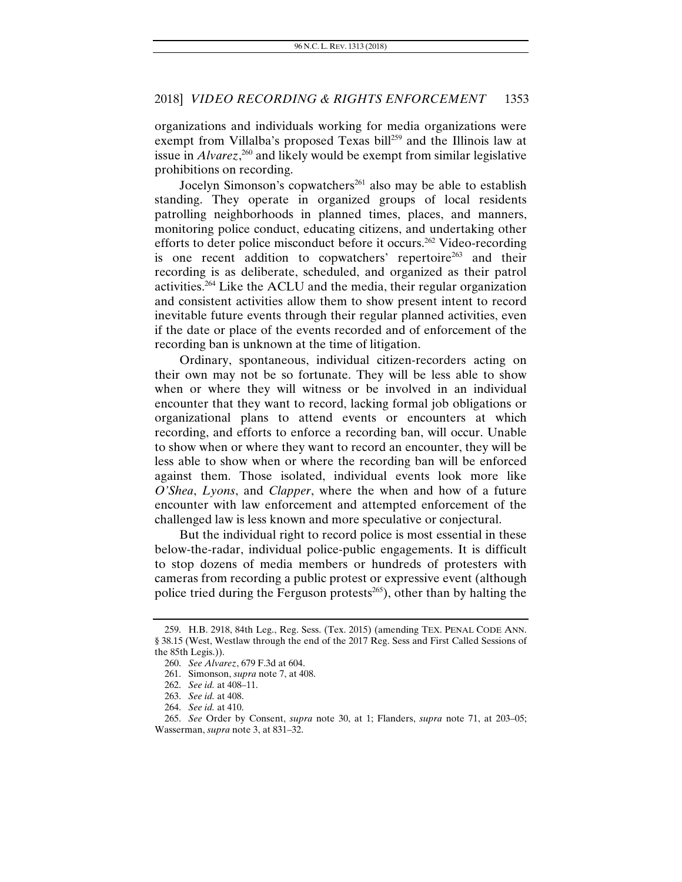organizations and individuals working for media organizations were exempt from Villalba's proposed Texas bill<sup>259</sup> and the Illinois law at issue in *Alvarez*, 260 and likely would be exempt from similar legislative prohibitions on recording.

Jocelyn Simonson's copwatchers<sup>261</sup> also may be able to establish standing. They operate in organized groups of local residents patrolling neighborhoods in planned times, places, and manners, monitoring police conduct, educating citizens, and undertaking other efforts to deter police misconduct before it occurs.262 Video-recording is one recent addition to copwatchers' repertoire<sup>263</sup> and their recording is as deliberate, scheduled, and organized as their patrol activities.264 Like the ACLU and the media, their regular organization and consistent activities allow them to show present intent to record inevitable future events through their regular planned activities, even if the date or place of the events recorded and of enforcement of the recording ban is unknown at the time of litigation.

Ordinary, spontaneous, individual citizen-recorders acting on their own may not be so fortunate. They will be less able to show when or where they will witness or be involved in an individual encounter that they want to record, lacking formal job obligations or organizational plans to attend events or encounters at which recording, and efforts to enforce a recording ban, will occur. Unable to show when or where they want to record an encounter, they will be less able to show when or where the recording ban will be enforced against them. Those isolated, individual events look more like *O'Shea*, *Lyons*, and *Clapper*, where the when and how of a future encounter with law enforcement and attempted enforcement of the challenged law is less known and more speculative or conjectural.

But the individual right to record police is most essential in these below-the-radar, individual police-public engagements. It is difficult to stop dozens of media members or hundreds of protesters with cameras from recording a public protest or expressive event (although police tried during the Ferguson protests $^{265}$ ), other than by halting the

<sup>259.</sup> H.B. 2918, 84th Leg., Reg. Sess. (Tex. 2015) (amending TEX. PENAL CODE ANN. § 38.15 (West, Westlaw through the end of the 2017 Reg. Sess and First Called Sessions of the 85th Legis.)).

<sup>260.</sup> *See Alvarez*, 679 F.3d at 604.

 <sup>261.</sup> Simonson, *supra* note 7, at 408.

<sup>262.</sup> *See id.* at 408–11.

<sup>263.</sup> *See id.* at 408.

<sup>264.</sup> *See id.* at 410.

<sup>265.</sup> *See* Order by Consent, *supra* note 30, at 1; Flanders, *supra* note 71, at 203–05; Wasserman, *supra* note 3, at 831–32.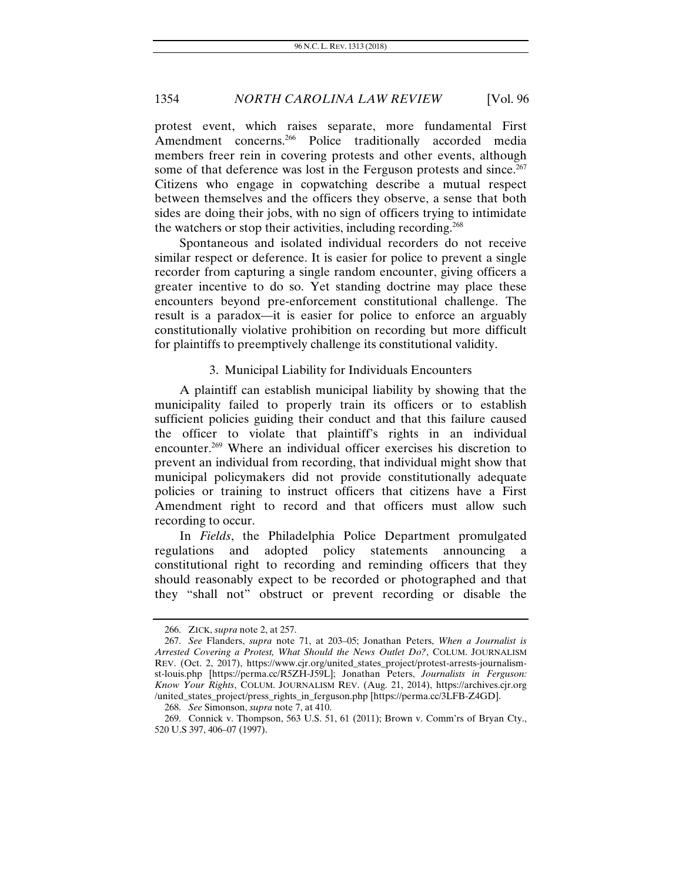protest event, which raises separate, more fundamental First Amendment concerns.<sup>266</sup> Police traditionally accorded media members freer rein in covering protests and other events, although some of that deference was lost in the Ferguson protests and since.<sup>267</sup> Citizens who engage in copwatching describe a mutual respect between themselves and the officers they observe, a sense that both sides are doing their jobs, with no sign of officers trying to intimidate the watchers or stop their activities, including recording.<sup>268</sup>

Spontaneous and isolated individual recorders do not receive similar respect or deference. It is easier for police to prevent a single recorder from capturing a single random encounter, giving officers a greater incentive to do so. Yet standing doctrine may place these encounters beyond pre-enforcement constitutional challenge. The result is a paradox—it is easier for police to enforce an arguably constitutionally violative prohibition on recording but more difficult for plaintiffs to preemptively challenge its constitutional validity.

#### 3. Municipal Liability for Individuals Encounters

A plaintiff can establish municipal liability by showing that the municipality failed to properly train its officers or to establish sufficient policies guiding their conduct and that this failure caused the officer to violate that plaintiff's rights in an individual encounter.269 Where an individual officer exercises his discretion to prevent an individual from recording, that individual might show that municipal policymakers did not provide constitutionally adequate policies or training to instruct officers that citizens have a First Amendment right to record and that officers must allow such recording to occur.

In *Fields*, the Philadelphia Police Department promulgated regulations and adopted policy statements announcing a constitutional right to recording and reminding officers that they should reasonably expect to be recorded or photographed and that they "shall not" obstruct or prevent recording or disable the

 <sup>266.</sup> ZICK, *supra* note 2, at 257.

<sup>267.</sup> *See* Flanders, *supra* note 71, at 203–05; Jonathan Peters, *When a Journalist is Arrested Covering a Protest, What Should the News Outlet Do?*, COLUM. JOURNALISM REV. (Oct. 2, 2017), https://www.cjr.org/united\_states\_project/protest-arrests-journalismst-louis.php [https://perma.cc/R5ZH-J59L]; Jonathan Peters, *Journalists in Ferguson: Know Your Rights*, COLUM. JOURNALISM REV. (Aug. 21, 2014), https://archives.cjr.org /united\_states\_project/press\_rights\_in\_ferguson.php [https://perma.cc/3LFB-Z4GD].

<sup>268.</sup> *See* Simonson, *supra* note 7, at 410.

<sup>269.</sup> Connick v. Thompson, 563 U.S. 51, 61 (2011); Brown v. Comm'rs of Bryan Cty., 520 U.S 397, 406–07 (1997).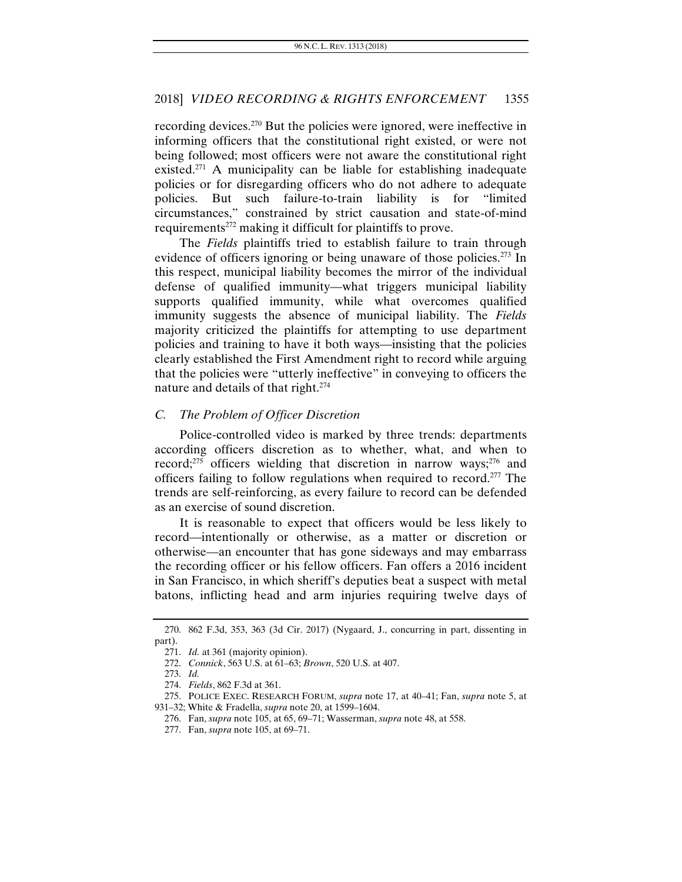recording devices.270 But the policies were ignored, were ineffective in informing officers that the constitutional right existed, or were not being followed; most officers were not aware the constitutional right existed.<sup>271</sup> A municipality can be liable for establishing inadequate policies or for disregarding officers who do not adhere to adequate policies. But such failure-to-train liability is for "limited circumstances," constrained by strict causation and state-of-mind requirements<sup>272</sup> making it difficult for plaintiffs to prove.

The *Fields* plaintiffs tried to establish failure to train through evidence of officers ignoring or being unaware of those policies.<sup>273</sup> In this respect, municipal liability becomes the mirror of the individual defense of qualified immunity—what triggers municipal liability supports qualified immunity, while what overcomes qualified immunity suggests the absence of municipal liability. The *Fields* majority criticized the plaintiffs for attempting to use department policies and training to have it both ways—insisting that the policies clearly established the First Amendment right to record while arguing that the policies were "utterly ineffective" in conveying to officers the nature and details of that right.<sup>274</sup>

#### *C. The Problem of Officer Discretion*

Police-controlled video is marked by three trends: departments according officers discretion as to whether, what, and when to record; $275$  officers wielding that discretion in narrow ways; $276$  and officers failing to follow regulations when required to record.277 The trends are self-reinforcing, as every failure to record can be defended as an exercise of sound discretion.

It is reasonable to expect that officers would be less likely to record—intentionally or otherwise, as a matter or discretion or otherwise—an encounter that has gone sideways and may embarrass the recording officer or his fellow officers. Fan offers a 2016 incident in San Francisco, in which sheriff's deputies beat a suspect with metal batons, inflicting head and arm injuries requiring twelve days of

<sup>270. 862</sup> F.3d, 353, 363 (3d Cir. 2017) (Nygaard, J., concurring in part, dissenting in part).

<sup>271.</sup> *Id.* at 361 (majority opinion).

<sup>272.</sup> *Connick*, 563 U.S. at 61–63; *Brown*, 520 U.S. at 407.

<sup>273.</sup> *Id.*

<sup>274.</sup> *Fields*, 862 F.3d at 361.

 <sup>275.</sup> POLICE EXEC. RESEARCH FORUM, *supra* note 17, at 40–41; Fan, *supra* note 5, at 931–32; White & Fradella, *supra* note 20, at 1599–1604.

 <sup>276.</sup> Fan, *supra* note 105, at 65, 69–71; Wasserman, *supra* note 48, at 558.

 <sup>277.</sup> Fan, *supra* note 105, at 69–71.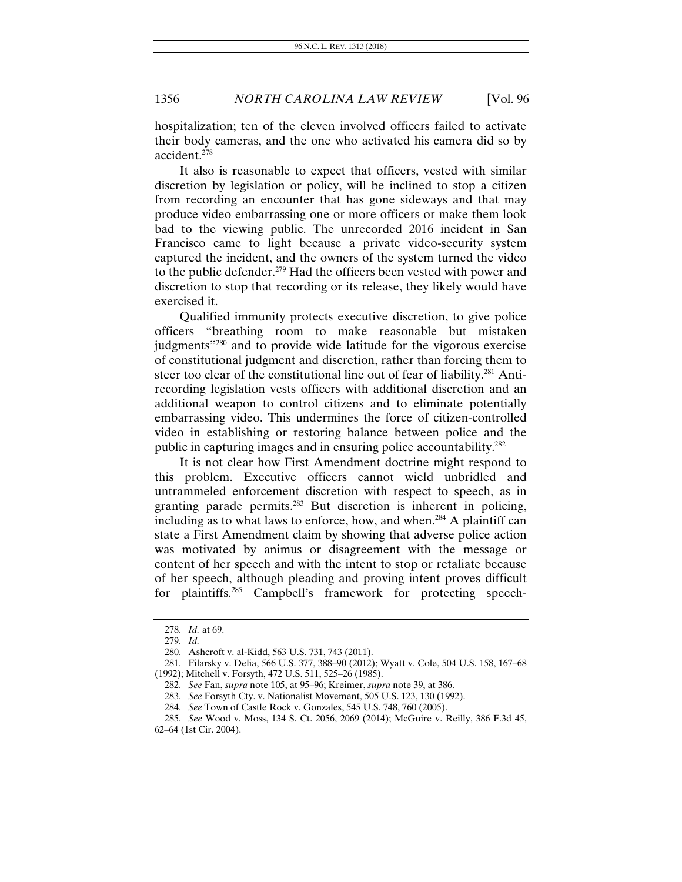hospitalization; ten of the eleven involved officers failed to activate their body cameras, and the one who activated his camera did so by accident.278

It also is reasonable to expect that officers, vested with similar discretion by legislation or policy, will be inclined to stop a citizen from recording an encounter that has gone sideways and that may produce video embarrassing one or more officers or make them look bad to the viewing public. The unrecorded 2016 incident in San Francisco came to light because a private video-security system captured the incident, and the owners of the system turned the video to the public defender.279 Had the officers been vested with power and discretion to stop that recording or its release, they likely would have exercised it.

Qualified immunity protects executive discretion, to give police officers "breathing room to make reasonable but mistaken judgments<sup>"280</sup> and to provide wide latitude for the vigorous exercise of constitutional judgment and discretion, rather than forcing them to steer too clear of the constitutional line out of fear of liability.<sup>281</sup> Antirecording legislation vests officers with additional discretion and an additional weapon to control citizens and to eliminate potentially embarrassing video. This undermines the force of citizen-controlled video in establishing or restoring balance between police and the public in capturing images and in ensuring police accountability.282

It is not clear how First Amendment doctrine might respond to this problem. Executive officers cannot wield unbridled and untrammeled enforcement discretion with respect to speech, as in granting parade permits.<sup>283</sup> But discretion is inherent in policing, including as to what laws to enforce, how, and when.<sup>284</sup> A plaintiff can state a First Amendment claim by showing that adverse police action was motivated by animus or disagreement with the message or content of her speech and with the intent to stop or retaliate because of her speech, although pleading and proving intent proves difficult for plaintiffs.285 Campbell's framework for protecting speech-

<sup>278.</sup> *Id.* at 69.

<sup>279.</sup> *Id.*

 <sup>280.</sup> Ashcroft v. al-Kidd, 563 U.S. 731, 743 (2011).

 <sup>281.</sup> Filarsky v. Delia, 566 U.S. 377, 388–90 (2012); Wyatt v. Cole, 504 U.S. 158, 167–68 (1992); Mitchell v. Forsyth, 472 U.S. 511, 525–26 (1985).

<sup>282.</sup> *See* Fan, *supra* note 105, at 95–96; Kreimer, *supra* note 39, at 386.

<sup>283.</sup> *See* Forsyth Cty. v. Nationalist Movement, 505 U.S. 123, 130 (1992).

<sup>284.</sup> *See* Town of Castle Rock v. Gonzales, 545 U.S. 748, 760 (2005).

<sup>285.</sup> *See* Wood v. Moss, 134 S. Ct. 2056, 2069 (2014); McGuire v. Reilly, 386 F.3d 45, 62–64 (1st Cir. 2004).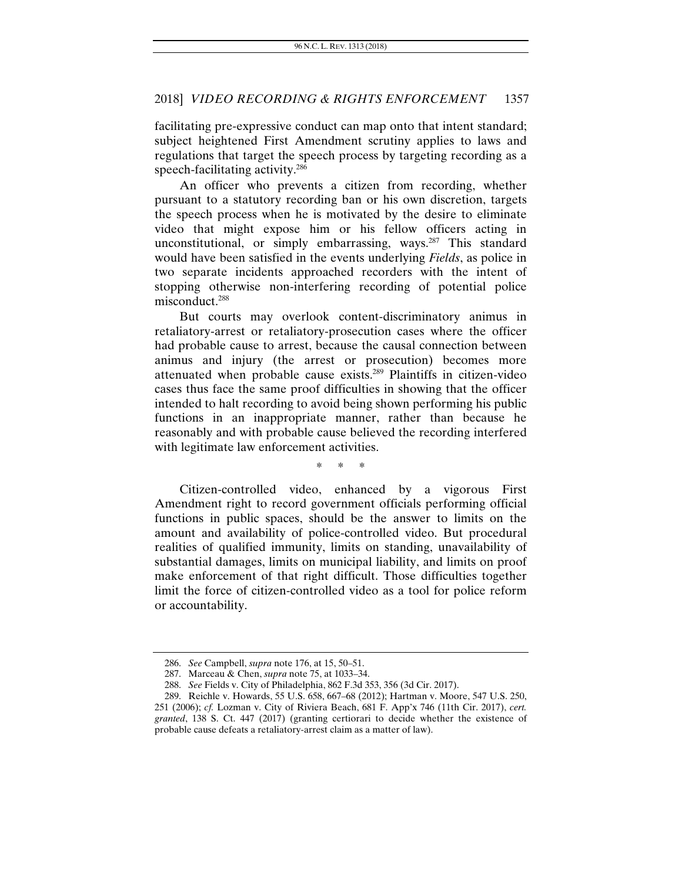facilitating pre-expressive conduct can map onto that intent standard; subject heightened First Amendment scrutiny applies to laws and regulations that target the speech process by targeting recording as a speech-facilitating activity.286

An officer who prevents a citizen from recording, whether pursuant to a statutory recording ban or his own discretion, targets the speech process when he is motivated by the desire to eliminate video that might expose him or his fellow officers acting in unconstitutional, or simply embarrassing, ways.<sup>287</sup> This standard would have been satisfied in the events underlying *Fields*, as police in two separate incidents approached recorders with the intent of stopping otherwise non-interfering recording of potential police misconduct.<sup>288</sup>

But courts may overlook content-discriminatory animus in retaliatory-arrest or retaliatory-prosecution cases where the officer had probable cause to arrest, because the causal connection between animus and injury (the arrest or prosecution) becomes more attenuated when probable cause exists.289 Plaintiffs in citizen-video cases thus face the same proof difficulties in showing that the officer intended to halt recording to avoid being shown performing his public functions in an inappropriate manner, rather than because he reasonably and with probable cause believed the recording interfered with legitimate law enforcement activities.

\* \* \*

Citizen-controlled video, enhanced by a vigorous First Amendment right to record government officials performing official functions in public spaces, should be the answer to limits on the amount and availability of police-controlled video. But procedural realities of qualified immunity, limits on standing, unavailability of substantial damages, limits on municipal liability, and limits on proof make enforcement of that right difficult. Those difficulties together limit the force of citizen-controlled video as a tool for police reform or accountability.

<sup>286.</sup> *See* Campbell, *supra* note 176, at 15, 50–51.

 <sup>287.</sup> Marceau & Chen, *supra* note 75, at 1033–34.

<sup>288.</sup> *See* Fields v. City of Philadelphia, 862 F.3d 353, 356 (3d Cir. 2017).

 <sup>289.</sup> Reichle v. Howards, 55 U.S. 658, 667–68 (2012); Hartman v. Moore, 547 U.S. 250, 251 (2006); *cf.* Lozman v. City of Riviera Beach, 681 F. App'x 746 (11th Cir. 2017), *cert. granted*, 138 S. Ct. 447 (2017) (granting certiorari to decide whether the existence of probable cause defeats a retaliatory-arrest claim as a matter of law).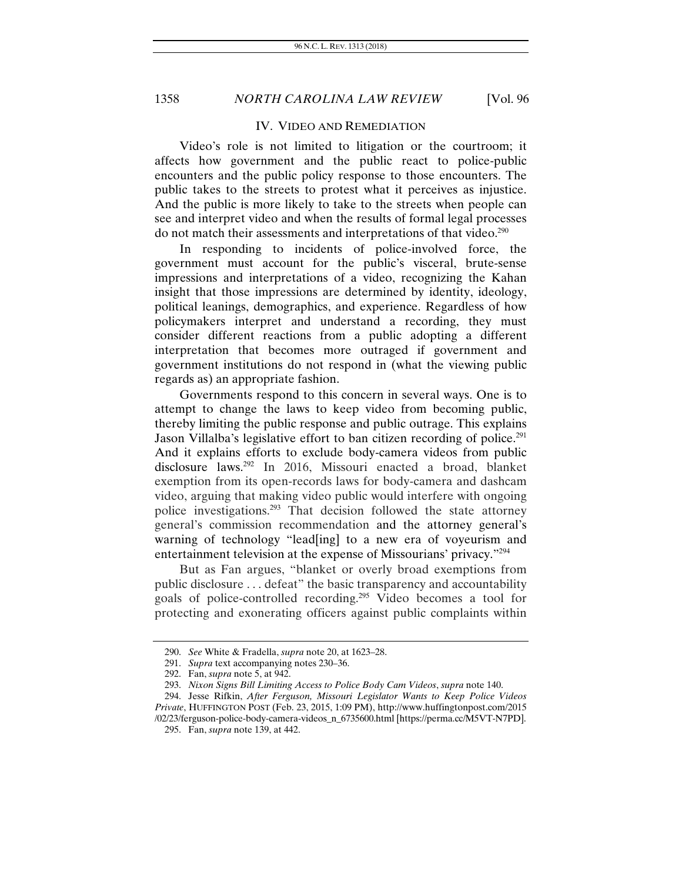#### IV. VIDEO AND REMEDIATION

Video's role is not limited to litigation or the courtroom; it affects how government and the public react to police-public encounters and the public policy response to those encounters. The public takes to the streets to protest what it perceives as injustice. And the public is more likely to take to the streets when people can see and interpret video and when the results of formal legal processes do not match their assessments and interpretations of that video.<sup>290</sup>

In responding to incidents of police-involved force, the government must account for the public's visceral, brute-sense impressions and interpretations of a video, recognizing the Kahan insight that those impressions are determined by identity, ideology, political leanings, demographics, and experience. Regardless of how policymakers interpret and understand a recording, they must consider different reactions from a public adopting a different interpretation that becomes more outraged if government and government institutions do not respond in (what the viewing public regards as) an appropriate fashion.

Governments respond to this concern in several ways. One is to attempt to change the laws to keep video from becoming public, thereby limiting the public response and public outrage. This explains Jason Villalba's legislative effort to ban citizen recording of police.<sup>291</sup> And it explains efforts to exclude body-camera videos from public disclosure laws.292 In 2016, Missouri enacted a broad, blanket exemption from its open-records laws for body-camera and dashcam video, arguing that making video public would interfere with ongoing police investigations.293 That decision followed the state attorney general's commission recommendation and the attorney general's warning of technology "lead[ing] to a new era of voyeurism and entertainment television at the expense of Missourians' privacy."294

But as Fan argues, "blanket or overly broad exemptions from public disclosure . . . defeat" the basic transparency and accountability goals of police-controlled recording.295 Video becomes a tool for protecting and exonerating officers against public complaints within

 <sup>290.</sup> *See* White & Fradella, *supra* note 20, at 1623–28.

<sup>291.</sup> *Supra* text accompanying notes 230–36.

 <sup>292.</sup> Fan, *supra* note 5, at 942.

<sup>293.</sup> *Nixon Signs Bill Limiting Access to Police Body Cam Videos*, *supra* note 140.

 <sup>294.</sup> Jesse Rifkin, *After Ferguson, Missouri Legislator Wants to Keep Police Videos Private*, HUFFINGTON POST (Feb. 23, 2015, 1:09 PM), http://www.huffingtonpost.com/2015

<sup>/02/23/</sup>ferguson-police-body-camera-videos\_n\_6735600.html [https://perma.cc/M5VT-N7PD]. 295. Fan, *supra* note 139, at 442.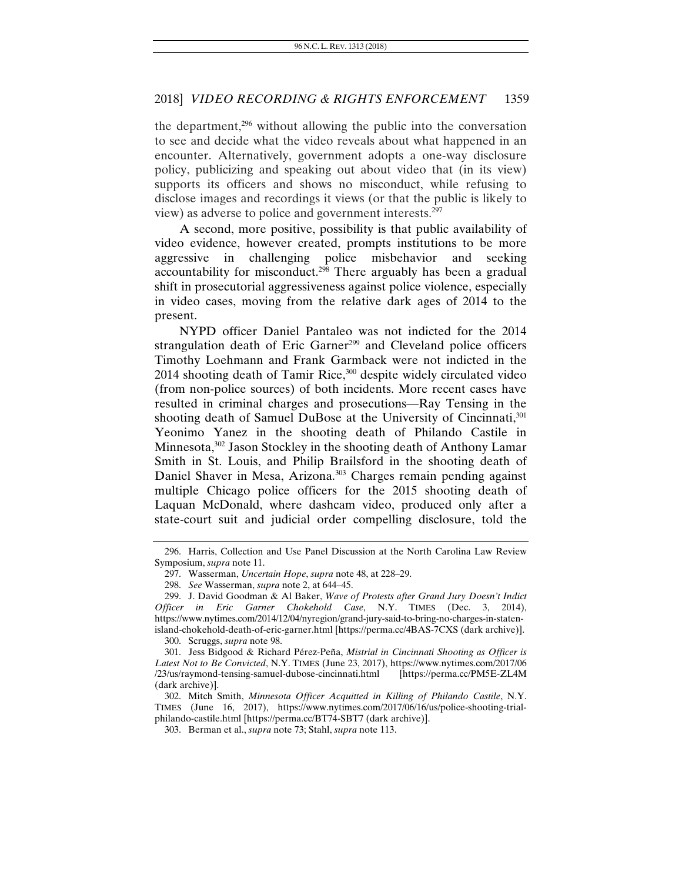the department,296 without allowing the public into the conversation to see and decide what the video reveals about what happened in an encounter. Alternatively, government adopts a one-way disclosure policy, publicizing and speaking out about video that (in its view) supports its officers and shows no misconduct, while refusing to disclose images and recordings it views (or that the public is likely to view) as adverse to police and government interests.297

A second, more positive, possibility is that public availability of video evidence, however created, prompts institutions to be more aggressive in challenging police misbehavior and seeking accountability for misconduct.<sup>298</sup> There arguably has been a gradual shift in prosecutorial aggressiveness against police violence, especially in video cases, moving from the relative dark ages of 2014 to the present.

NYPD officer Daniel Pantaleo was not indicted for the 2014 strangulation death of Eric Garner<sup>299</sup> and Cleveland police officers Timothy Loehmann and Frank Garmback were not indicted in the  $2014$  shooting death of Tamir Rice,  $300$  despite widely circulated video (from non-police sources) of both incidents. More recent cases have resulted in criminal charges and prosecutions—Ray Tensing in the shooting death of Samuel DuBose at the University of Cincinnati,<sup>301</sup> Yeonimo Yanez in the shooting death of Philando Castile in Minnesota,<sup>302</sup> Jason Stockley in the shooting death of Anthony Lamar Smith in St. Louis, and Philip Brailsford in the shooting death of Daniel Shaver in Mesa, Arizona.<sup>303</sup> Charges remain pending against multiple Chicago police officers for the 2015 shooting death of Laquan McDonald, where dashcam video, produced only after a state-court suit and judicial order compelling disclosure, told the

<sup>296.</sup> Harris, Collection and Use Panel Discussion at the North Carolina Law Review Symposium, *supra* note 11.

 <sup>297.</sup> Wasserman, *Uncertain Hope*, *supra* note 48, at 228–29.

<sup>298.</sup> *See* Wasserman, *supra* note 2, at 644–45.

 <sup>299.</sup> J. David Goodman & Al Baker, *Wave of Protests after Grand Jury Doesn't Indict Officer in Eric Garner Chokehold Case*, N.Y. TIMES (Dec. 3, 2014), https://www.nytimes.com/2014/12/04/nyregion/grand-jury-said-to-bring-no-charges-in-statenisland-chokehold-death-of-eric-garner.html [https://perma.cc/4BAS-7CXS (dark archive)].

 <sup>300.</sup> Scruggs, *supra* note 98.

 <sup>301.</sup> Jess Bidgood & Richard Pérez-Peña, *Mistrial in Cincinnati Shooting as Officer is Latest Not to Be Convicted*, N.Y. TIMES (June 23, 2017), https://www.nytimes.com/2017/06 /23/us/raymond-tensing-samuel-dubose-cincinnati.html [https://perma.cc/PM5E-ZL4M (dark archive)].

 <sup>302.</sup> Mitch Smith, *Minnesota Officer Acquitted in Killing of Philando Castile*, N.Y. TIMES (June 16, 2017), https://www.nytimes.com/2017/06/16/us/police-shooting-trialphilando-castile.html [https://perma.cc/BT74-SBT7 (dark archive)].

 <sup>303.</sup> Berman et al., *supra* note 73; Stahl, *supra* note 113.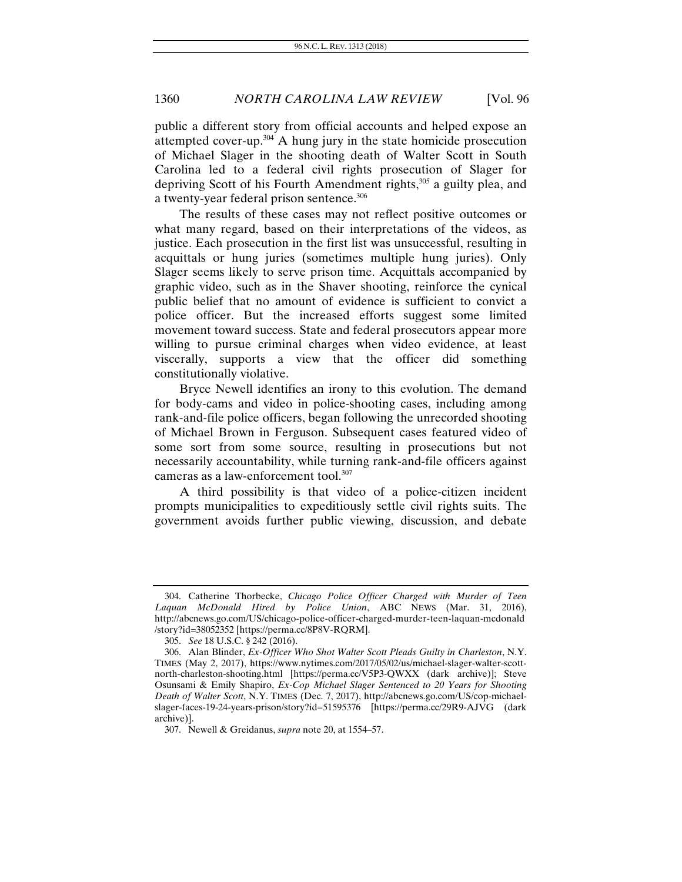public a different story from official accounts and helped expose an attempted cover-up. $304$  A hung jury in the state homicide prosecution of Michael Slager in the shooting death of Walter Scott in South Carolina led to a federal civil rights prosecution of Slager for depriving Scott of his Fourth Amendment rights,<sup>305</sup> a guilty plea, and a twenty-year federal prison sentence.<sup>306</sup>

The results of these cases may not reflect positive outcomes or what many regard, based on their interpretations of the videos, as justice. Each prosecution in the first list was unsuccessful, resulting in acquittals or hung juries (sometimes multiple hung juries). Only Slager seems likely to serve prison time. Acquittals accompanied by graphic video, such as in the Shaver shooting, reinforce the cynical public belief that no amount of evidence is sufficient to convict a police officer. But the increased efforts suggest some limited movement toward success. State and federal prosecutors appear more willing to pursue criminal charges when video evidence, at least viscerally, supports a view that the officer did something constitutionally violative.

Bryce Newell identifies an irony to this evolution. The demand for body-cams and video in police-shooting cases, including among rank-and-file police officers, began following the unrecorded shooting of Michael Brown in Ferguson. Subsequent cases featured video of some sort from some source, resulting in prosecutions but not necessarily accountability, while turning rank-and-file officers against cameras as a law-enforcement tool.307

A third possibility is that video of a police-citizen incident prompts municipalities to expeditiously settle civil rights suits. The government avoids further public viewing, discussion, and debate

 <sup>304.</sup> Catherine Thorbecke, *Chicago Police Officer Charged with Murder of Teen Laquan McDonald Hired by Police Union*, ABC NEWS (Mar. 31, 2016), http://abcnews.go.com/US/chicago-police-officer-charged-murder-teen-laquan-mcdonald /story?id=38052352 [https://perma.cc/8P8V-RQRM].

 <sup>305.</sup> *See* 18 U.S.C. § 242 (2016).

 <sup>306.</sup> Alan Blinder, *Ex-Officer Who Shot Walter Scott Pleads Guilty in Charleston*, N.Y. TIMES (May 2, 2017), https://www.nytimes.com/2017/05/02/us/michael-slager-walter-scottnorth-charleston-shooting.html [https://perma.cc/V5P3-QWXX (dark archive)]; Steve Osunsami & Emily Shapiro, *Ex-Cop Michael Slager Sentenced to 20 Years for Shooting Death of Walter Scott*, N.Y. TIMES (Dec. 7, 2017), http://abcnews.go.com/US/cop-michaelslager-faces-19-24-years-prison/story?id=51595376 [https://perma.cc/29R9-AJVG (dark archive)].

 <sup>307.</sup> Newell & Greidanus, *supra* note 20, at 1554–57.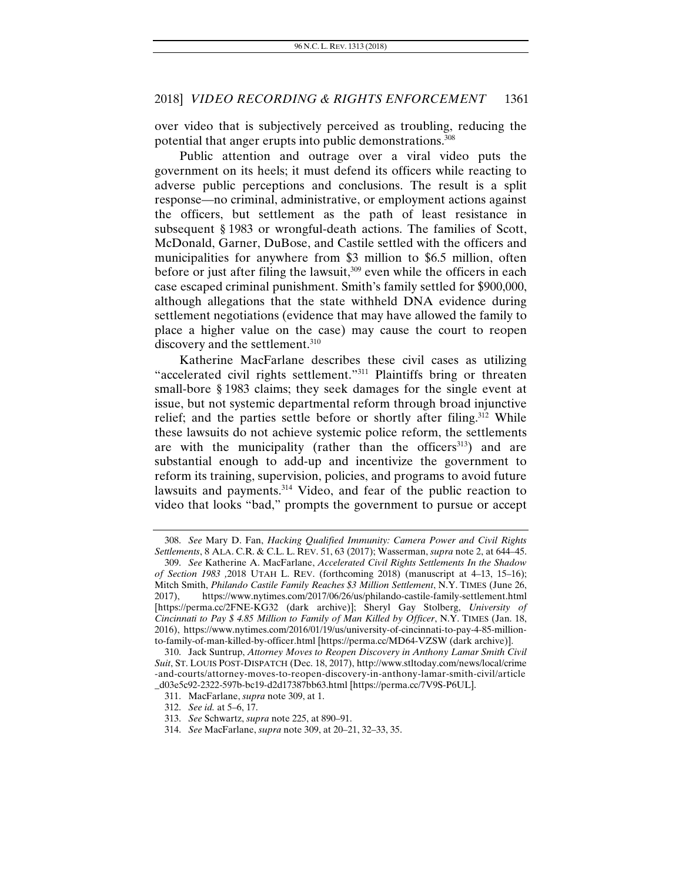over video that is subjectively perceived as troubling, reducing the potential that anger erupts into public demonstrations.308

Public attention and outrage over a viral video puts the government on its heels; it must defend its officers while reacting to adverse public perceptions and conclusions. The result is a split response—no criminal, administrative, or employment actions against the officers, but settlement as the path of least resistance in subsequent § 1983 or wrongful-death actions. The families of Scott, McDonald, Garner, DuBose, and Castile settled with the officers and municipalities for anywhere from \$3 million to \$6.5 million, often before or just after filing the lawsuit, $309$  even while the officers in each case escaped criminal punishment. Smith's family settled for \$900,000, although allegations that the state withheld DNA evidence during settlement negotiations (evidence that may have allowed the family to place a higher value on the case) may cause the court to reopen discovery and the settlement.<sup>310</sup>

Katherine MacFarlane describes these civil cases as utilizing "accelerated civil rights settlement."311 Plaintiffs bring or threaten small-bore § 1983 claims; they seek damages for the single event at issue, but not systemic departmental reform through broad injunctive relief; and the parties settle before or shortly after filing.<sup>312</sup> While these lawsuits do not achieve systemic police reform, the settlements are with the municipality (rather than the officers $313$ ) and are substantial enough to add-up and incentivize the government to reform its training, supervision, policies, and programs to avoid future lawsuits and payments.<sup>314</sup> Video, and fear of the public reaction to video that looks "bad," prompts the government to pursue or accept

<sup>308.</sup> *See* Mary D. Fan, *Hacking Qualified Immunity: Camera Power and Civil Rights Settlements*, 8 ALA. C.R. & C.L. L. REV. 51, 63 (2017); Wasserman, *supra* note 2, at 644–45.

<sup>309.</sup> *See* Katherine A. MacFarlane, *Accelerated Civil Rights Settlements In the Shadow of Section 1983 ,*2018 UTAH L. REV. (forthcoming 2018) (manuscript at 4–13, 15–16); Mitch Smith, *Philando Castile Family Reaches \$3 Million Settlement*, N.Y. TIMES (June 26, 2017), https://www.nytimes.com/2017/06/26/us/philando-castile-family-settlement.html [https://perma.cc/2FNE-KG32 (dark archive)]; Sheryl Gay Stolberg, *University of Cincinnati to Pay \$ 4.85 Million to Family of Man Killed by Officer*, N.Y. TIMES (Jan. 18, 2016), https://www.nytimes.com/2016/01/19/us/university-of-cincinnati-to-pay-4-85-millionto-family-of-man-killed-by-officer.html [https://perma.cc/MD64-VZSW (dark archive)].

 <sup>310.</sup> Jack Suntrup, *Attorney Moves to Reopen Discovery in Anthony Lamar Smith Civil Suit*, ST. LOUIS POST-DISPATCH (Dec. 18, 2017), http://www.stltoday.com/news/local/crime -and-courts/attorney-moves-to-reopen-discovery-in-anthony-lamar-smith-civil/article \_d03e5c92-2322-597b-bc19-d2d17387bb63.html [https://perma.cc/7V9S-P6UL].

 <sup>311.</sup> MacFarlane, *supra* note 309, at 1.

<sup>312.</sup> *See id.* at 5–6, 17.

<sup>313.</sup> *See* Schwartz, *supra* note 225, at 890–91.

<sup>314.</sup> *See* MacFarlane, *supra* note 309, at 20–21, 32–33, 35.